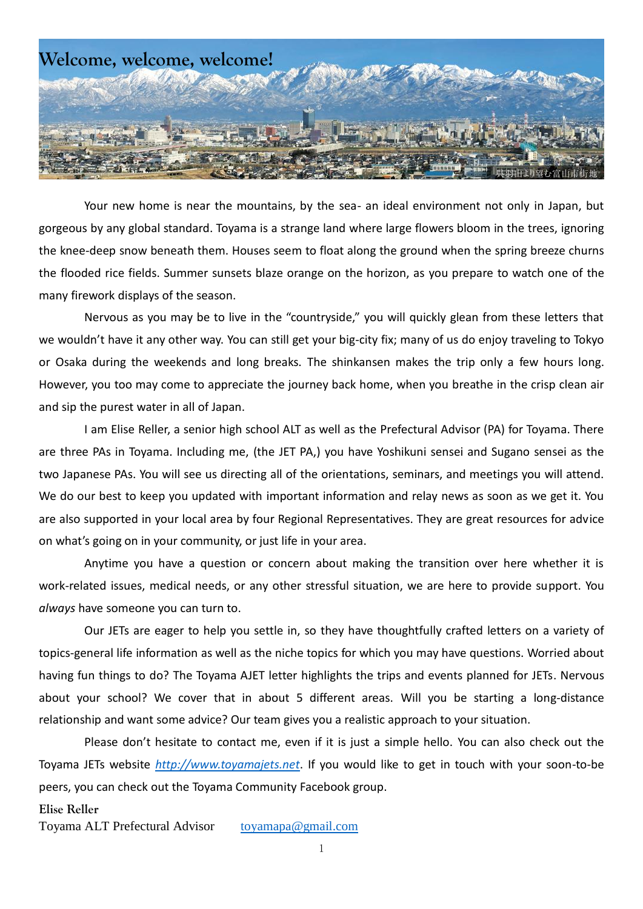

Your new home is near the mountains, by the sea- an ideal environment not only in Japan, but gorgeous by any global standard. Toyama is a strange land where large flowers bloom in the trees, ignoring the knee-deep snow beneath them. Houses seem to float along the ground when the spring breeze churns the flooded rice fields. Summer sunsets blaze orange on the horizon, as you prepare to watch one of the many firework displays of the season.

Nervous as you may be to live in the "countryside," you will quickly glean from these letters that we wouldn't have it any other way. You can still get your big-city fix; many of us do enjoy traveling to Tokyo or Osaka during the weekends and long breaks. The shinkansen makes the trip only a few hours long. However, you too may come to appreciate the journey back home, when you breathe in the crisp clean air and sip the purest water in all of Japan.

I am Elise Reller, a senior high school ALT as well as the Prefectural Advisor (PA) for Toyama. There are three PAs in Toyama. Including me, (the JET PA,) you have Yoshikuni sensei and Sugano sensei as the two Japanese PAs. You will see us directing all of the orientations, seminars, and meetings you will attend. We do our best to keep you updated with important information and relay news as soon as we get it. You are also supported in your local area by four Regional Representatives. They are great resources for advice on what's going on in your community, or just life in your area.

Anytime you have a question or concern about making the transition over here whether it is work-related issues, medical needs, or any other stressful situation, we are here to provide support. You *always* have someone you can turn to.

Our JETs are eager to help you settle in, so they have thoughtfully crafted letters on a variety of topics-general life information as well as the niche topics for which you may have questions. Worried about having fun things to do? The Toyama AJET letter highlights the trips and events planned for JETs. Nervous about your school? We cover that in about 5 different areas. Will you be starting a long-distance relationship and want some advice? Our team gives you a realistic approach to your situation.

Please don't hesitate to contact me, even if it is just a simple hello. You can also check out the Toyama JETs website *[http://www.toyamajets.net](http://www.toyamajets.net/)*. If you would like to get in touch with your soon-to-be peers, you can check out the Toyama Community Facebook group.

#### **Elise Reller**

Toyama ALT Prefectural Advisor [toyamapa@gmail.com](mailto:toyamapa@gmail.com)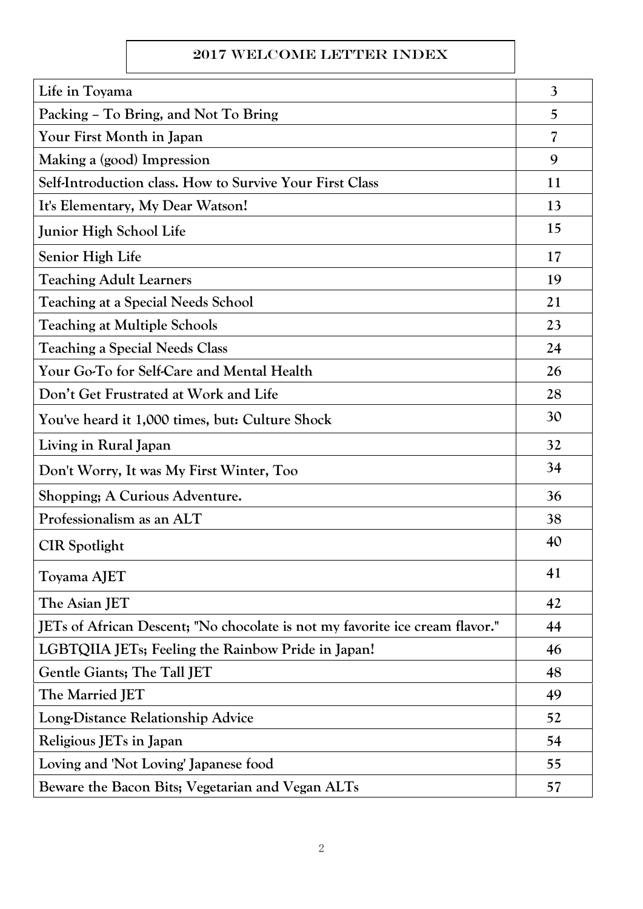# 2017 Welcome Letter Index

| Life in Toyama                                                               | $\overline{3}$ |
|------------------------------------------------------------------------------|----------------|
| Packing - To Bring, and Not To Bring                                         | 5              |
| Your First Month in Japan                                                    | 7              |
| Making a (good) Impression                                                   | 9              |
| Self-Introduction class. How to Survive Your First Class                     | 11             |
| It's Elementary, My Dear Watson!                                             | 13             |
| Junior High School Life                                                      | 15             |
| Senior High Life                                                             | 17             |
| <b>Teaching Adult Learners</b>                                               | 19             |
| Teaching at a Special Needs School                                           | 21             |
| <b>Teaching at Multiple Schools</b>                                          | 23             |
| <b>Teaching a Special Needs Class</b>                                        | 24             |
| Your Go-To for Self-Care and Mental Health                                   | 26             |
| Don't Get Frustrated at Work and Life                                        | 28             |
| You've heard it 1,000 times, but: Culture Shock                              | 30             |
| Living in Rural Japan                                                        | 32             |
| Don't Worry, It was My First Winter, Too                                     | 34             |
| Shopping; A Curious Adventure.                                               | 36             |
| Professionalism as an ALT                                                    | 38             |
| <b>CIR</b> Spotlight                                                         | 40             |
| Toyama AJET                                                                  | 41             |
| The Asian JET                                                                | 42             |
| JETs of African Descent; "No chocolate is not my favorite ice cream flavor." | 44             |
| LGBTQIIA JET <sub>s</sub> ; Feeling the Rainbow Pride in Japan!              | 46             |
| <b>Gentle Giants; The Tall JET</b>                                           | 48             |
| The Married JET                                                              | 49             |
| Long-Distance Relationship Advice                                            | 52             |
| Religious JETs in Japan                                                      | 54             |
| Loving and 'Not Loving' Japanese food                                        | 55             |
| Beware the Bacon Bits; Vegetarian and Vegan ALTs                             | 57             |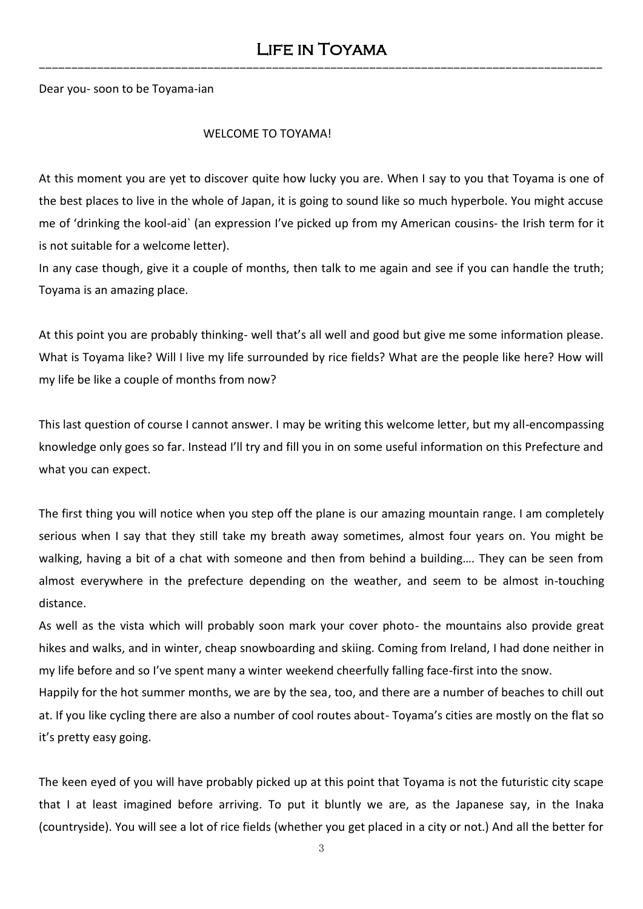Dear you- soon to be Toyama-ian

### WELCOME TO TOYAMA!

At this moment you are yet to discover quite how lucky you are. When I say to you that Toyama is one of the best places to live in the whole of Japan, it is going to sound like so much hyperbole. You might accuse me of 'drinking the kool-aid` (an expression I've picked up from my American cousins- the Irish term for it is not suitable for a welcome letter).

In any case though, give it a couple of months, then talk to me again and see if you can handle the truth; Toyama is an amazing place.

At this point you are probably thinking- well that's all well and good but give me some information please. What is Toyama like? Will I live my life surrounded by rice fields? What are the people like here? How will my life be like a couple of months from now?

This last question of course I cannot answer. I may be writing this welcome letter, but my all-encompassing knowledge only goes so far. Instead I'll try and fill you in on some useful information on this Prefecture and what you can expect.

The first thing you will notice when you step off the plane is our amazing mountain range. I am completely serious when I say that they still take my breath away sometimes, almost four years on. You might be walking, having a bit of a chat with someone and then from behind a building…. They can be seen from almost everywhere in the prefecture depending on the weather, and seem to be almost in-touching distance.

As well as the vista which will probably soon mark your cover photo- the mountains also provide great hikes and walks, and in winter, cheap snowboarding and skiing. Coming from Ireland, I had done neither in my life before and so I've spent many a winter weekend cheerfully falling face-first into the snow.

Happily for the hot summer months, we are by the sea, too, and there are a number of beaches to chill out at. If you like cycling there are also a number of cool routes about- Toyama's cities are mostly on the flat so it's pretty easy going.

The keen eyed of you will have probably picked up at this point that Toyama is not the futuristic city scape that I at least imagined before arriving. To put it bluntly we are, as the Japanese say, in the Inaka (countryside). You will see a lot of rice fields (whether you get placed in a city or not.) And all the better for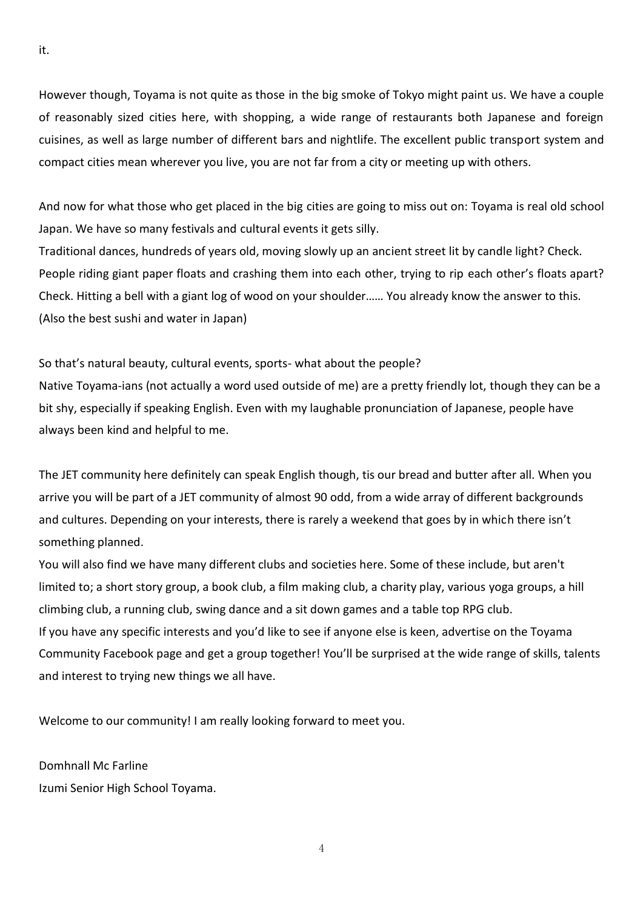However though, Toyama is not quite as those in the big smoke of Tokyo might paint us. We have a couple of reasonably sized cities here, with shopping, a wide range of restaurants both Japanese and foreign cuisines, as well as large number of different bars and nightlife. The excellent public transport system and compact cities mean wherever you live, you are not far from a city or meeting up with others.

And now for what those who get placed in the big cities are going to miss out on: Toyama is real old school Japan. We have so many festivals and cultural events it gets silly.

Traditional dances, hundreds of years old, moving slowly up an ancient street lit by candle light? Check. People riding giant paper floats and crashing them into each other, trying to rip each other's floats apart? Check. Hitting a bell with a giant log of wood on your shoulder…… You already know the answer to this. (Also the best sushi and water in Japan)

So that's natural beauty, cultural events, sports- what about the people? Native Toyama-ians (not actually a word used outside of me) are a pretty friendly lot, though they can be a bit shy, especially if speaking English. Even with my laughable pronunciation of Japanese, people have always been kind and helpful to me.

The JET community here definitely can speak English though, tis our bread and butter after all. When you arrive you will be part of a JET community of almost 90 odd, from a wide array of different backgrounds and cultures. Depending on your interests, there is rarely a weekend that goes by in which there isn't something planned.

You will also find we have many different clubs and societies here. Some of these include, but aren't limited to; a short story group, a book club, a film making club, a charity play, various yoga groups, a hill climbing club, a running club, swing dance and a sit down games and a table top RPG club. If you have any specific interests and you'd like to see if anyone else is keen, advertise on the Toyama Community Facebook page and get a group together! You'll be surprised at the wide range of skills, talents and interest to trying new things we all have.

Welcome to our community! I am really looking forward to meet you.

Domhnall Mc Farline Izumi Senior High School Toyama.

it.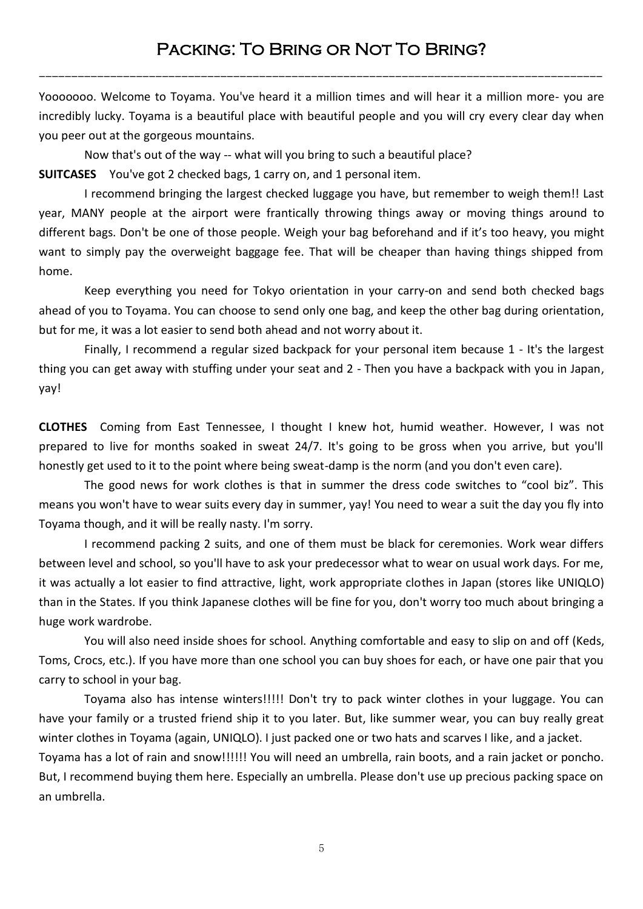# Packing: To Bring or Not To Bring?

---------------------------------------------------------------------------------------

Yooooooo. Welcome to Toyama. You've heard it a million times and will hear it a million more- you are incredibly lucky. Toyama is a beautiful place with beautiful people and you will cry every clear day when you peer out at the gorgeous mountains.

Now that's out of the way -- what will you bring to such a beautiful place? **SUITCASES** You've got 2 checked bags, 1 carry on, and 1 personal item.

I recommend bringing the largest checked luggage you have, but remember to weigh them!! Last year, MANY people at the airport were frantically throwing things away or moving things around to different bags. Don't be one of those people. Weigh your bag beforehand and if it's too heavy, you might want to simply pay the overweight baggage fee. That will be cheaper than having things shipped from home.

Keep everything you need for Tokyo orientation in your carry-on and send both checked bags ahead of you to Toyama. You can choose to send only one bag, and keep the other bag during orientation, but for me, it was a lot easier to send both ahead and not worry about it.

Finally, I recommend a regular sized backpack for your personal item because 1 - It's the largest thing you can get away with stuffing under your seat and 2 - Then you have a backpack with you in Japan, yay!

**CLOTHES** Coming from East Tennessee, I thought I knew hot, humid weather. However, I was not prepared to live for months soaked in sweat 24/7. It's going to be gross when you arrive, but you'll honestly get used to it to the point where being sweat-damp is the norm (and you don't even care).

The good news for work clothes is that in summer the dress code switches to "cool biz". This means you won't have to wear suits every day in summer, yay! You need to wear a suit the day you fly into Toyama though, and it will be really nasty. I'm sorry.

I recommend packing 2 suits, and one of them must be black for ceremonies. Work wear differs between level and school, so you'll have to ask your predecessor what to wear on usual work days. For me, it was actually a lot easier to find attractive, light, work appropriate clothes in Japan (stores like UNIQLO) than in the States. If you think Japanese clothes will be fine for you, don't worry too much about bringing a huge work wardrobe.

You will also need inside shoes for school. Anything comfortable and easy to slip on and off (Keds, Toms, Crocs, etc.). If you have more than one school you can buy shoes for each, or have one pair that you carry to school in your bag.

Toyama also has intense winters!!!!! Don't try to pack winter clothes in your luggage. You can have your family or a trusted friend ship it to you later. But, like summer wear, you can buy really great winter clothes in Toyama (again, UNIQLO). I just packed one or two hats and scarves I like, and a jacket. Toyama has a lot of rain and snow!!!!!! You will need an umbrella, rain boots, and a rain jacket or poncho. But, I recommend buying them here. Especially an umbrella. Please don't use up precious packing space on an umbrella.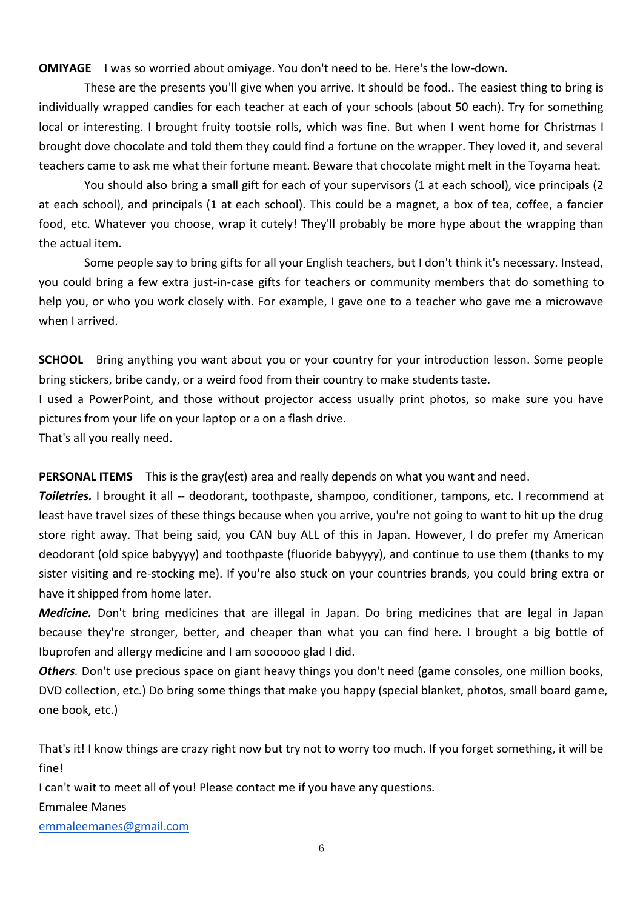**OMIYAGE** I was so worried about omiyage. You don't need to be. Here's the low-down.

These are the presents you'll give when you arrive. It should be food.. The easiest thing to bring is individually wrapped candies for each teacher at each of your schools (about 50 each). Try for something local or interesting. I brought fruity tootsie rolls, which was fine. But when I went home for Christmas I brought dove chocolate and told them they could find a fortune on the wrapper. They loved it, and several teachers came to ask me what their fortune meant. Beware that chocolate might melt in the Toyama heat.

You should also bring a small gift for each of your supervisors (1 at each school), vice principals (2 at each school), and principals (1 at each school). This could be a magnet, a box of tea, coffee, a fancier food, etc. Whatever you choose, wrap it cutely! They'll probably be more hype about the wrapping than the actual item.

Some people say to bring gifts for all your English teachers, but I don't think it's necessary. Instead, you could bring a few extra just-in-case gifts for teachers or community members that do something to help you, or who you work closely with. For example, I gave one to a teacher who gave me a microwave when I arrived.

**SCHOOL** Bring anything you want about you or your country for your introduction lesson. Some people bring stickers, bribe candy, or a weird food from their country to make students taste.

I used a PowerPoint, and those without projector access usually print photos, so make sure you have pictures from your life on your laptop or a on a flash drive.

That's all you really need.

**PERSONAL ITEMS** This is the gray(est) area and really depends on what you want and need.

*Toiletries.* I brought it all -- deodorant, toothpaste, shampoo, conditioner, tampons, etc. I recommend at least have travel sizes of these things because when you arrive, you're not going to want to hit up the drug store right away. That being said, you CAN buy ALL of this in Japan. However, I do prefer my American deodorant (old spice babyyyy) and toothpaste (fluoride babyyyy), and continue to use them (thanks to my sister visiting and re-stocking me). If you're also stuck on your countries brands, you could bring extra or have it shipped from home later.

*Medicine.* Don't bring medicines that are illegal in Japan. Do bring medicines that are legal in Japan because they're stronger, better, and cheaper than what you can find here. I brought a big bottle of Ibuprofen and allergy medicine and I am soooooo glad I did.

*Others.* Don't use precious space on giant heavy things you don't need (game consoles, one million books, DVD collection, etc.) Do bring some things that make you happy (special blanket, photos, small board game, one book, etc.)

That's it! I know things are crazy right now but try not to worry too much. If you forget something, it will be fine!

I can't wait to meet all of you! Please contact me if you have any questions.

Emmalee Manes

[emmaleemanes@gmail.com](mailto:emmaleemanes@gmail.com)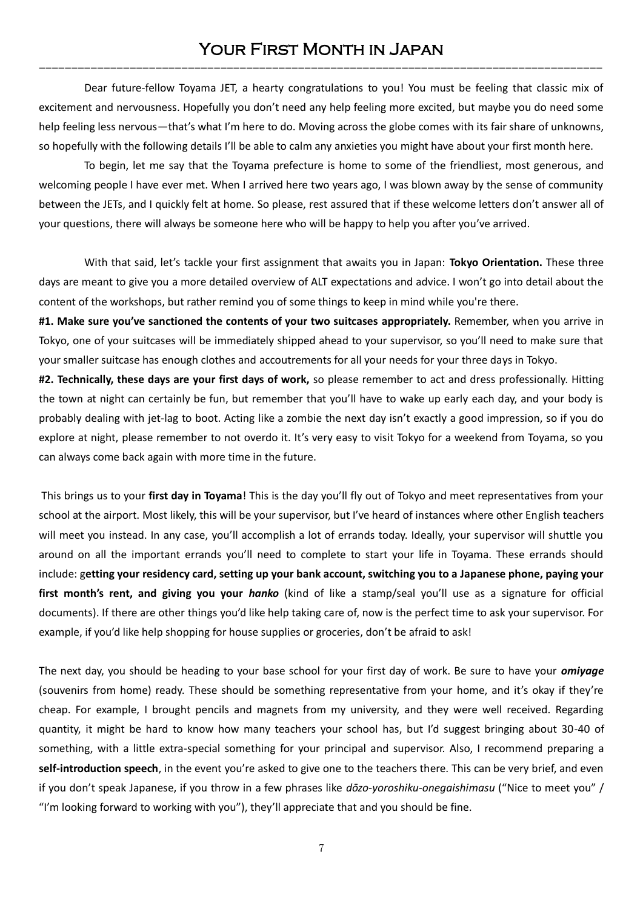Dear future-fellow Toyama JET, a hearty congratulations to you! You must be feeling that classic mix of excitement and nervousness. Hopefully you don't need any help feeling more excited, but maybe you do need some help feeling less nervous—that's what I'm here to do. Moving across the globe comes with its fair share of unknowns, so hopefully with the following details I'll be able to calm any anxieties you might have about your first month here.

To begin, let me say that the Toyama prefecture is home to some of the friendliest, most generous, and welcoming people I have ever met. When I arrived here two years ago, I was blown away by the sense of community between the JETs, and I quickly felt at home. So please, rest assured that if these welcome letters don't answer all of your questions, there will always be someone here who will be happy to help you after you've arrived.

With that said, let's tackle your first assignment that awaits you in Japan: **Tokyo Orientation.** These three days are meant to give you a more detailed overview of ALT expectations and advice. I won't go into detail about the content of the workshops, but rather remind you of some things to keep in mind while you're there.

**#1. Make sure you've sanctioned the contents of your two suitcases appropriately.** Remember, when you arrive in Tokyo, one of your suitcases will be immediately shipped ahead to your supervisor, so you'll need to make sure that your smaller suitcase has enough clothes and accoutrements for all your needs for your three days in Tokyo.

**#2. Technically, these days are your first days of work,** so please remember to act and dress professionally. Hitting the town at night can certainly be fun, but remember that you'll have to wake up early each day, and your body is probably dealing with jet-lag to boot. Acting like a zombie the next day isn't exactly a good impression, so if you do explore at night, please remember to not overdo it. It's very easy to visit Tokyo for a weekend from Toyama, so you can always come back again with more time in the future.

This brings us to your **first day in Toyama**! This is the day you'll fly out of Tokyo and meet representatives from your school at the airport. Most likely, this will be your supervisor, but I've heard of instances where other English teachers will meet you instead. In any case, you'll accomplish a lot of errands today. Ideally, your supervisor will shuttle you around on all the important errands you'll need to complete to start your life in Toyama. These errands should include: g**etting your residency card, setting up your bank account, switching you to a Japanese phone, paying your first month's rent, and giving you your** *hanko* (kind of like a stamp/seal you'll use as a signature for official documents). If there are other things you'd like help taking care of, now is the perfect time to ask your supervisor. For example, if you'd like help shopping for house supplies or groceries, don't be afraid to ask!

The next day, you should be heading to your base school for your first day of work. Be sure to have your *omiyage* (souvenirs from home) ready. These should be something representative from your home, and it's okay if they're cheap. For example, I brought pencils and magnets from my university, and they were well received. Regarding quantity, it might be hard to know how many teachers your school has, but I'd suggest bringing about 30-40 of something, with a little extra-special something for your principal and supervisor. Also, I recommend preparing a **self-introduction speech**, in the event you're asked to give one to the teachers there. This can be very brief, and even if you don't speak Japanese, if you throw in a few phrases like *dōzo-yoroshiku-onegaishimasu* ("Nice to meet you" / "I'm looking forward to working with you"), they'll appreciate that and you should be fine.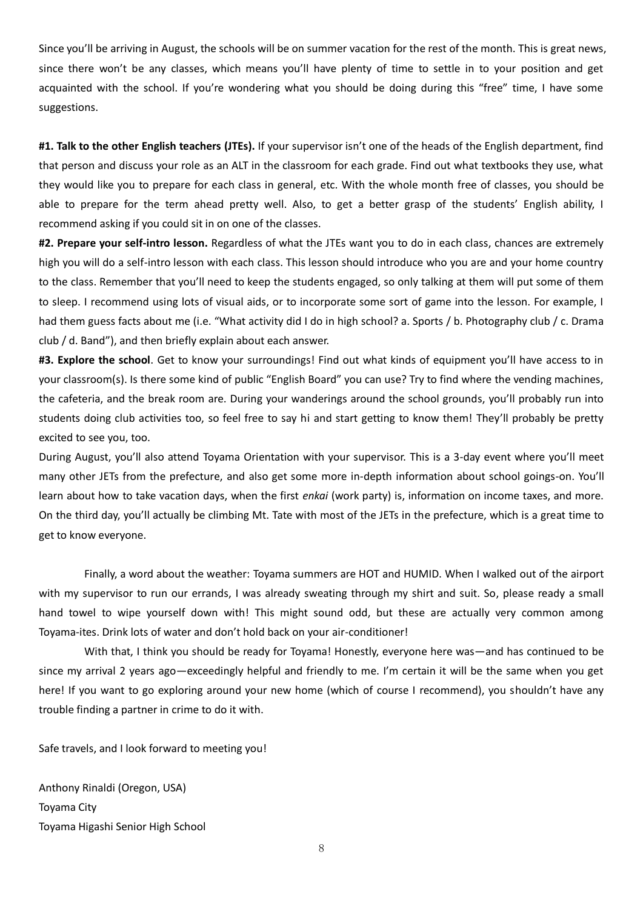Since you'll be arriving in August, the schools will be on summer vacation for the rest of the month. This is great news, since there won't be any classes, which means you'll have plenty of time to settle in to your position and get acquainted with the school. If you're wondering what you should be doing during this "free" time, I have some suggestions.

**#1. Talk to the other English teachers (JTEs).** If your supervisor isn't one of the heads of the English department, find that person and discuss your role as an ALT in the classroom for each grade. Find out what textbooks they use, what they would like you to prepare for each class in general, etc. With the whole month free of classes, you should be able to prepare for the term ahead pretty well. Also, to get a better grasp of the students' English ability, I recommend asking if you could sit in on one of the classes.

**#2. Prepare your self-intro lesson.** Regardless of what the JTEs want you to do in each class, chances are extremely high you will do a self-intro lesson with each class. This lesson should introduce who you are and your home country to the class. Remember that you'll need to keep the students engaged, so only talking at them will put some of them to sleep. I recommend using lots of visual aids, or to incorporate some sort of game into the lesson. For example, I had them guess facts about me (i.e. "What activity did I do in high school? a. Sports / b. Photography club / c. Drama club / d. Band"), and then briefly explain about each answer.

**#3. Explore the school**. Get to know your surroundings! Find out what kinds of equipment you'll have access to in your classroom(s). Is there some kind of public "English Board" you can use? Try to find where the vending machines, the cafeteria, and the break room are. During your wanderings around the school grounds, you'll probably run into students doing club activities too, so feel free to say hi and start getting to know them! They'll probably be pretty excited to see you, too.

During August, you'll also attend Toyama Orientation with your supervisor. This is a 3-day event where you'll meet many other JETs from the prefecture, and also get some more in-depth information about school goings-on. You'll learn about how to take vacation days, when the first *enkai* (work party) is, information on income taxes, and more. On the third day, you'll actually be climbing Mt. Tate with most of the JETs in the prefecture, which is a great time to get to know everyone.

Finally, a word about the weather: Toyama summers are HOT and HUMID. When I walked out of the airport with my supervisor to run our errands, I was already sweating through my shirt and suit. So, please ready a small hand towel to wipe yourself down with! This might sound odd, but these are actually very common among Toyama-ites. Drink lots of water and don't hold back on your air-conditioner!

With that, I think you should be ready for Toyama! Honestly, everyone here was—and has continued to be since my arrival 2 years ago—exceedingly helpful and friendly to me. I'm certain it will be the same when you get here! If you want to go exploring around your new home (which of course I recommend), you shouldn't have any trouble finding a partner in crime to do it with.

Safe travels, and I look forward to meeting you!

Anthony Rinaldi (Oregon, USA) Toyama City Toyama Higashi Senior High School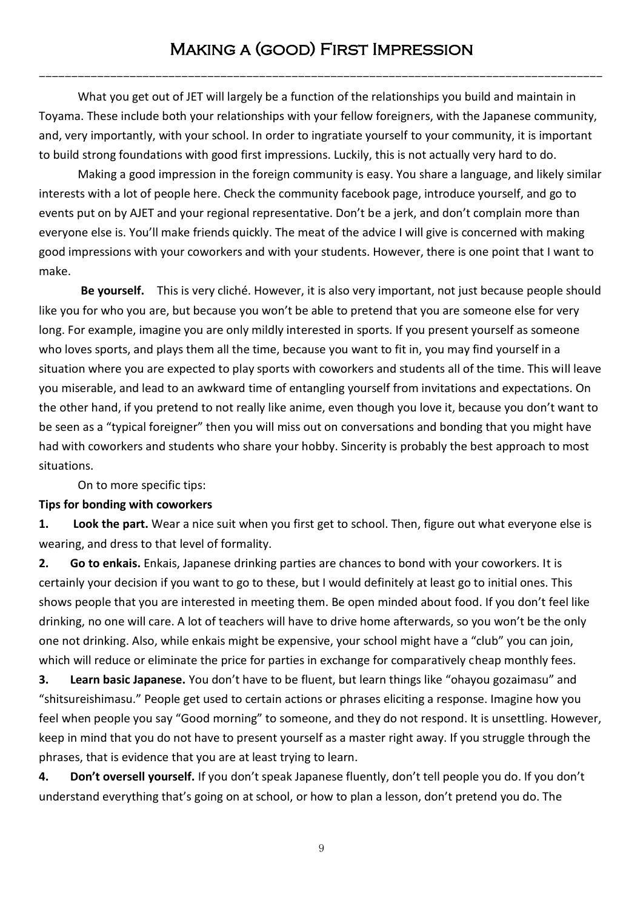---------------------------------------------------------------------------------------

What you get out of JET will largely be a function of the relationships you build and maintain in Toyama. These include both your relationships with your fellow foreigners, with the Japanese community, and, very importantly, with your school. In order to ingratiate yourself to your community, it is important to build strong foundations with good first impressions. Luckily, this is not actually very hard to do.

Making a good impression in the foreign community is easy. You share a language, and likely similar interests with a lot of people here. Check the community facebook page, introduce yourself, and go to events put on by AJET and your regional representative. Don't be a jerk, and don't complain more than everyone else is. You'll make friends quickly. The meat of the advice I will give is concerned with making good impressions with your coworkers and with your students. However, there is one point that I want to make.

**Be yourself.** This is very cliché. However, it is also very important, not just because people should like you for who you are, but because you won't be able to pretend that you are someone else for very long. For example, imagine you are only mildly interested in sports. If you present yourself as someone who loves sports, and plays them all the time, because you want to fit in, you may find yourself in a situation where you are expected to play sports with coworkers and students all of the time. This will leave you miserable, and lead to an awkward time of entangling yourself from invitations and expectations. On the other hand, if you pretend to not really like anime, even though you love it, because you don't want to be seen as a "typical foreigner" then you will miss out on conversations and bonding that you might have had with coworkers and students who share your hobby. Sincerity is probably the best approach to most situations.

On to more specific tips:

# **Tips for bonding with coworkers**

**1. Look the part.** Wear a nice suit when you first get to school. Then, figure out what everyone else is wearing, and dress to that level of formality.

**2. Go to enkais.** Enkais, Japanese drinking parties are chances to bond with your coworkers. It is certainly your decision if you want to go to these, but I would definitely at least go to initial ones. This shows people that you are interested in meeting them. Be open minded about food. If you don't feel like drinking, no one will care. A lot of teachers will have to drive home afterwards, so you won't be the only one not drinking. Also, while enkais might be expensive, your school might have a "club" you can join, which will reduce or eliminate the price for parties in exchange for comparatively cheap monthly fees.

**3. Learn basic Japanese.** You don't have to be fluent, but learn things like "ohayou gozaimasu" and "shitsureishimasu." People get used to certain actions or phrases eliciting a response. Imagine how you feel when people you say "Good morning" to someone, and they do not respond. It is unsettling. However, keep in mind that you do not have to present yourself as a master right away. If you struggle through the phrases, that is evidence that you are at least trying to learn.

**4. Don't oversell yourself.** If you don't speak Japanese fluently, don't tell people you do. If you don't understand everything that's going on at school, or how to plan a lesson, don't pretend you do. The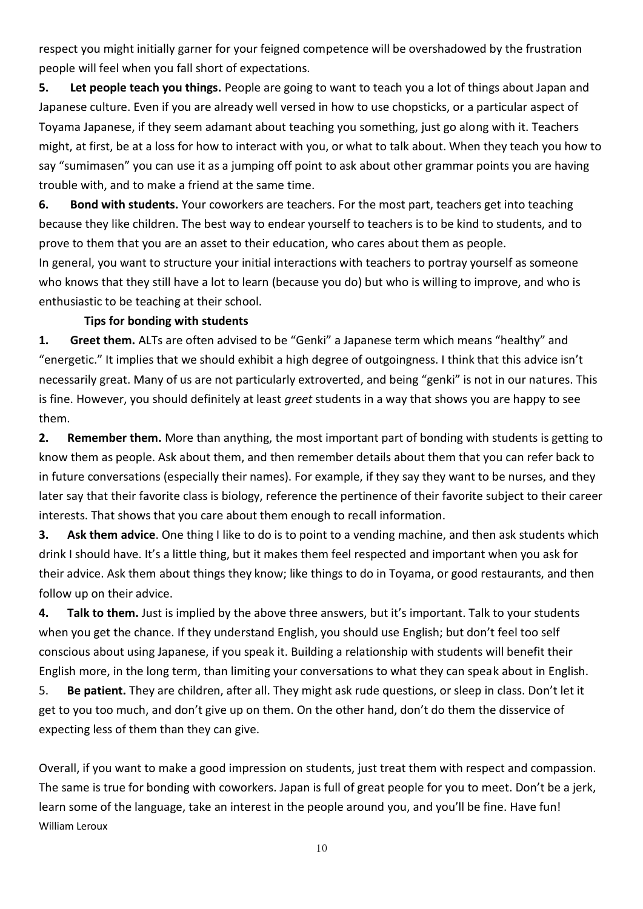respect you might initially garner for your feigned competence will be overshadowed by the frustration people will feel when you fall short of expectations.

**5. Let people teach you things.** People are going to want to teach you a lot of things about Japan and Japanese culture. Even if you are already well versed in how to use chopsticks, or a particular aspect of Toyama Japanese, if they seem adamant about teaching you something, just go along with it. Teachers might, at first, be at a loss for how to interact with you, or what to talk about. When they teach you how to say "sumimasen" you can use it as a jumping off point to ask about other grammar points you are having trouble with, and to make a friend at the same time.

**6. Bond with students.** Your coworkers are teachers. For the most part, teachers get into teaching because they like children. The best way to endear yourself to teachers is to be kind to students, and to prove to them that you are an asset to their education, who cares about them as people.

In general, you want to structure your initial interactions with teachers to portray yourself as someone who knows that they still have a lot to learn (because you do) but who is willing to improve, and who is enthusiastic to be teaching at their school.

## **Tips for bonding with students**

**1. Greet them.** ALTs are often advised to be "Genki" a Japanese term which means "healthy" and "energetic." It implies that we should exhibit a high degree of outgoingness. I think that this advice isn't necessarily great. Many of us are not particularly extroverted, and being "genki" is not in our natures. This is fine. However, you should definitely at least *greet* students in a way that shows you are happy to see them.

**2. Remember them.** More than anything, the most important part of bonding with students is getting to know them as people. Ask about them, and then remember details about them that you can refer back to in future conversations (especially their names). For example, if they say they want to be nurses, and they later say that their favorite class is biology, reference the pertinence of their favorite subject to their career interests. That shows that you care about them enough to recall information.

**3. Ask them advice**. One thing I like to do is to point to a vending machine, and then ask students which drink I should have. It's a little thing, but it makes them feel respected and important when you ask for their advice. Ask them about things they know; like things to do in Toyama, or good restaurants, and then follow up on their advice.

**4. Talk to them.** Just is implied by the above three answers, but it's important. Talk to your students when you get the chance. If they understand English, you should use English; but don't feel too self conscious about using Japanese, if you speak it. Building a relationship with students will benefit their English more, in the long term, than limiting your conversations to what they can speak about in English.

5. **Be patient.** They are children, after all. They might ask rude questions, or sleep in class. Don't let it get to you too much, and don't give up on them. On the other hand, don't do them the disservice of expecting less of them than they can give.

Overall, if you want to make a good impression on students, just treat them with respect and compassion. The same is true for bonding with coworkers. Japan is full of great people for you to meet. Don't be a jerk, learn some of the language, take an interest in the people around you, and you'll be fine. Have fun! William Leroux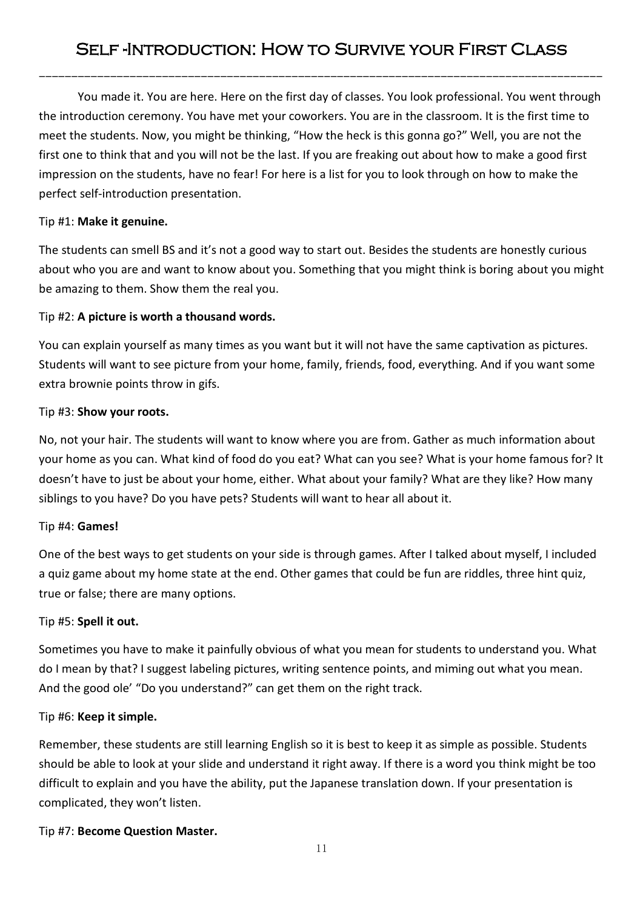---------------------------------------------------------------------------------------

You made it. You are here. Here on the first day of classes. You look professional. You went through the introduction ceremony. You have met your coworkers. You are in the classroom. It is the first time to meet the students. Now, you might be thinking, "How the heck is this gonna go?" Well, you are not the first one to think that and you will not be the last. If you are freaking out about how to make a good first impression on the students, have no fear! For here is a list for you to look through on how to make the perfect self-introduction presentation.

# Tip #1: **Make it genuine.**

The students can smell BS and it's not a good way to start out. Besides the students are honestly curious about who you are and want to know about you. Something that you might think is boring about you might be amazing to them. Show them the real you.

# Tip #2: **A picture is worth a thousand words.**

You can explain yourself as many times as you want but it will not have the same captivation as pictures. Students will want to see picture from your home, family, friends, food, everything. And if you want some extra brownie points throw in gifs.

# Tip #3: **Show your roots.**

No, not your hair. The students will want to know where you are from. Gather as much information about your home as you can. What kind of food do you eat? What can you see? What is your home famous for? It doesn't have to just be about your home, either. What about your family? What are they like? How many siblings to you have? Do you have pets? Students will want to hear all about it.

## Tip #4: **Games!**

One of the best ways to get students on your side is through games. After I talked about myself, I included a quiz game about my home state at the end. Other games that could be fun are riddles, three hint quiz, true or false; there are many options.

## Tip #5: **Spell it out.**

Sometimes you have to make it painfully obvious of what you mean for students to understand you. What do I mean by that? I suggest labeling pictures, writing sentence points, and miming out what you mean. And the good ole' "Do you understand?" can get them on the right track.

## Tip #6: **Keep it simple.**

Remember, these students are still learning English so it is best to keep it as simple as possible. Students should be able to look at your slide and understand it right away. If there is a word you think might be too difficult to explain and you have the ability, put the Japanese translation down. If your presentation is complicated, they won't listen.

## Tip #7: **Become Question Master.**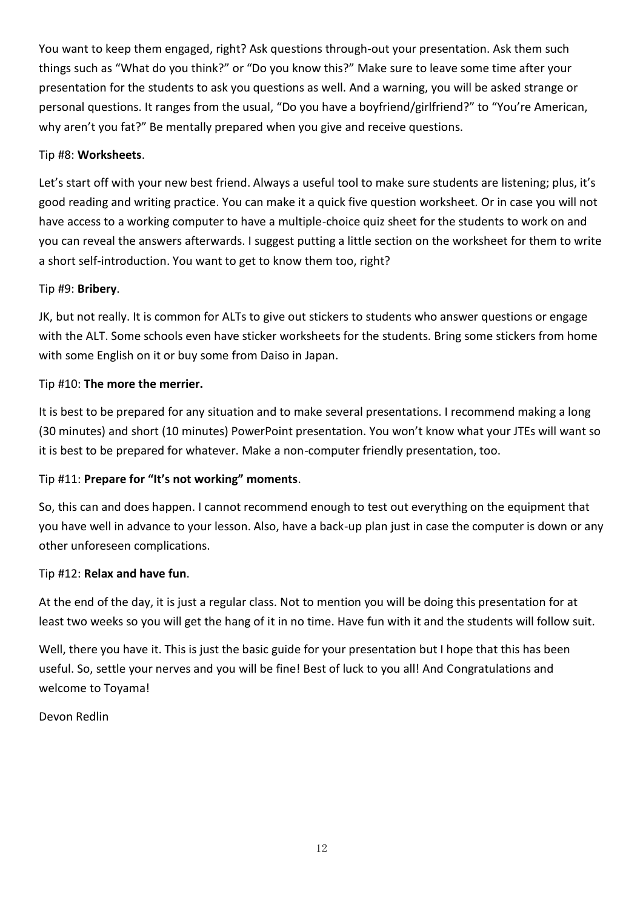You want to keep them engaged, right? Ask questions through-out your presentation. Ask them such things such as "What do you think?" or "Do you know this?" Make sure to leave some time after your presentation for the students to ask you questions as well. And a warning, you will be asked strange or personal questions. It ranges from the usual, "Do you have a boyfriend/girlfriend?" to "You're American, why aren't you fat?" Be mentally prepared when you give and receive questions.

# Tip #8: **Worksheets**.

Let's start off with your new best friend. Always a useful tool to make sure students are listening; plus, it's good reading and writing practice. You can make it a quick five question worksheet. Or in case you will not have access to a working computer to have a multiple-choice quiz sheet for the students to work on and you can reveal the answers afterwards. I suggest putting a little section on the worksheet for them to write a short self-introduction. You want to get to know them too, right?

## Tip #9: **Bribery**.

JK, but not really. It is common for ALTs to give out stickers to students who answer questions or engage with the ALT. Some schools even have sticker worksheets for the students. Bring some stickers from home with some English on it or buy some from Daiso in Japan.

### Tip #10: **The more the merrier.**

It is best to be prepared for any situation and to make several presentations. I recommend making a long (30 minutes) and short (10 minutes) PowerPoint presentation. You won't know what your JTEs will want so it is best to be prepared for whatever. Make a non-computer friendly presentation, too.

## Tip #11: **Prepare for "It's not working" moments**.

So, this can and does happen. I cannot recommend enough to test out everything on the equipment that you have well in advance to your lesson. Also, have a back-up plan just in case the computer is down or any other unforeseen complications.

### Tip #12: **Relax and have fun**.

At the end of the day, it is just a regular class. Not to mention you will be doing this presentation for at least two weeks so you will get the hang of it in no time. Have fun with it and the students will follow suit.

Well, there you have it. This is just the basic guide for your presentation but I hope that this has been useful. So, settle your nerves and you will be fine! Best of luck to you all! And Congratulations and welcome to Toyama!

Devon Redlin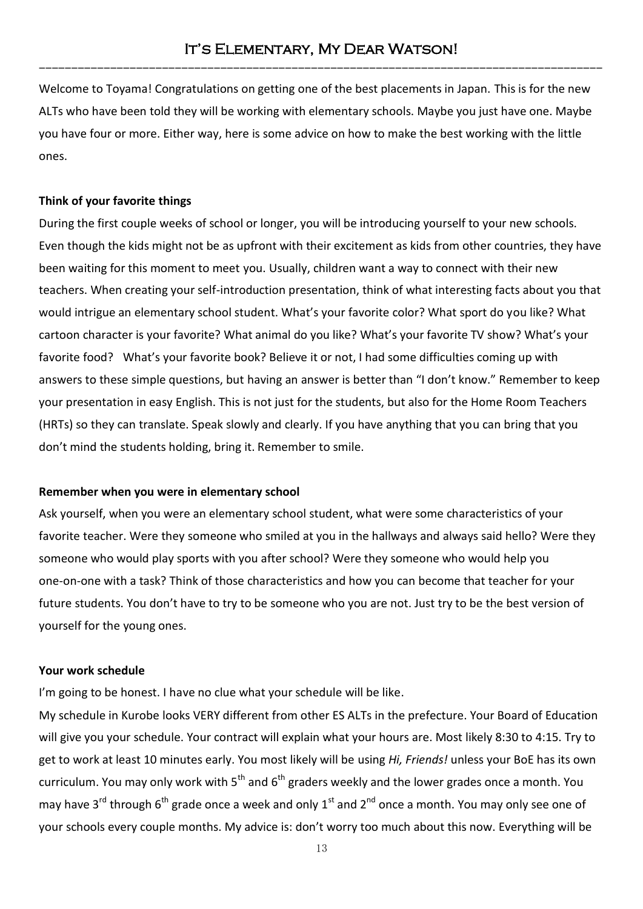Welcome to Toyama! Congratulations on getting one of the best placements in Japan. This is for the new ALTs who have been told they will be working with elementary schools. Maybe you just have one. Maybe you have four or more. Either way, here is some advice on how to make the best working with the little ones.

### **Think of your favorite things**

During the first couple weeks of school or longer, you will be introducing yourself to your new schools. Even though the kids might not be as upfront with their excitement as kids from other countries, they have been waiting for this moment to meet you. Usually, children want a way to connect with their new teachers. When creating your self-introduction presentation, think of what interesting facts about you that would intrigue an elementary school student. What's your favorite color? What sport do you like? What cartoon character is your favorite? What animal do you like? What's your favorite TV show? What's your favorite food? What's your favorite book? Believe it or not, I had some difficulties coming up with answers to these simple questions, but having an answer is better than "I don't know." Remember to keep your presentation in easy English. This is not just for the students, but also for the Home Room Teachers (HRTs) so they can translate. Speak slowly and clearly. If you have anything that you can bring that you don't mind the students holding, bring it. Remember to smile.

### **Remember when you were in elementary school**

Ask yourself, when you were an elementary school student, what were some characteristics of your favorite teacher. Were they someone who smiled at you in the hallways and always said hello? Were they someone who would play sports with you after school? Were they someone who would help you one-on-one with a task? Think of those characteristics and how you can become that teacher for your future students. You don't have to try to be someone who you are not. Just try to be the best version of yourself for the young ones.

### **Your work schedule**

I'm going to be honest. I have no clue what your schedule will be like.

My schedule in Kurobe looks VERY different from other ES ALTs in the prefecture. Your Board of Education will give you your schedule. Your contract will explain what your hours are. Most likely 8:30 to 4:15. Try to get to work at least 10 minutes early. You most likely will be using *Hi, Friends!* unless your BoE has its own curriculum. You may only work with  $5<sup>th</sup>$  and  $6<sup>th</sup>$  graders weekly and the lower grades once a month. You may have 3<sup>rd</sup> through 6<sup>th</sup> grade once a week and only 1<sup>st</sup> and 2<sup>nd</sup> once a month. You may only see one of your schools every couple months. My advice is: don't worry too much about this now. Everything will be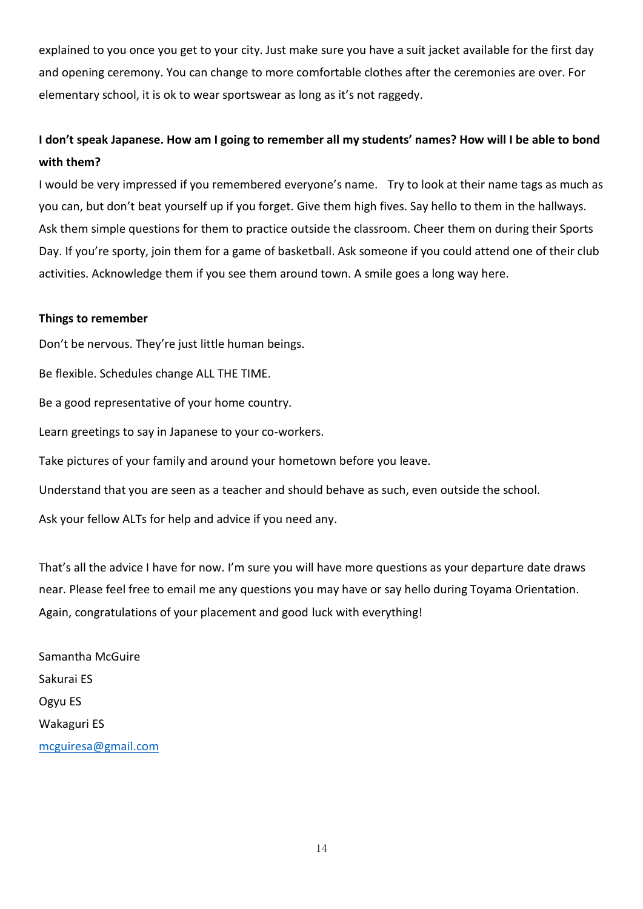explained to you once you get to your city. Just make sure you have a suit jacket available for the first day and opening ceremony. You can change to more comfortable clothes after the ceremonies are over. For elementary school, it is ok to wear sportswear as long as it's not raggedy.

# **I don't speak Japanese. How am I going to remember all my students' names? How will I be able to bond with them?**

I would be very impressed if you remembered everyone's name. Try to look at their name tags as much as you can, but don't beat yourself up if you forget. Give them high fives. Say hello to them in the hallways. Ask them simple questions for them to practice outside the classroom. Cheer them on during their Sports Day. If you're sporty, join them for a game of basketball. Ask someone if you could attend one of their club activities. Acknowledge them if you see them around town. A smile goes a long way here.

### **Things to remember**

Don't be nervous. They're just little human beings.

Be flexible. Schedules change ALL THE TIME.

Be a good representative of your home country.

Learn greetings to say in Japanese to your co-workers.

Take pictures of your family and around your hometown before you leave.

Understand that you are seen as a teacher and should behave as such, even outside the school.

Ask your fellow ALTs for help and advice if you need any.

That's all the advice I have for now. I'm sure you will have more questions as your departure date draws near. Please feel free to email me any questions you may have or say hello during Toyama Orientation. Again, congratulations of your placement and good luck with everything!

Samantha McGuire Sakurai ES Ogyu ES Wakaguri ES [mcguiresa@gmail.com](mailto:mcguiresa@gmail.com)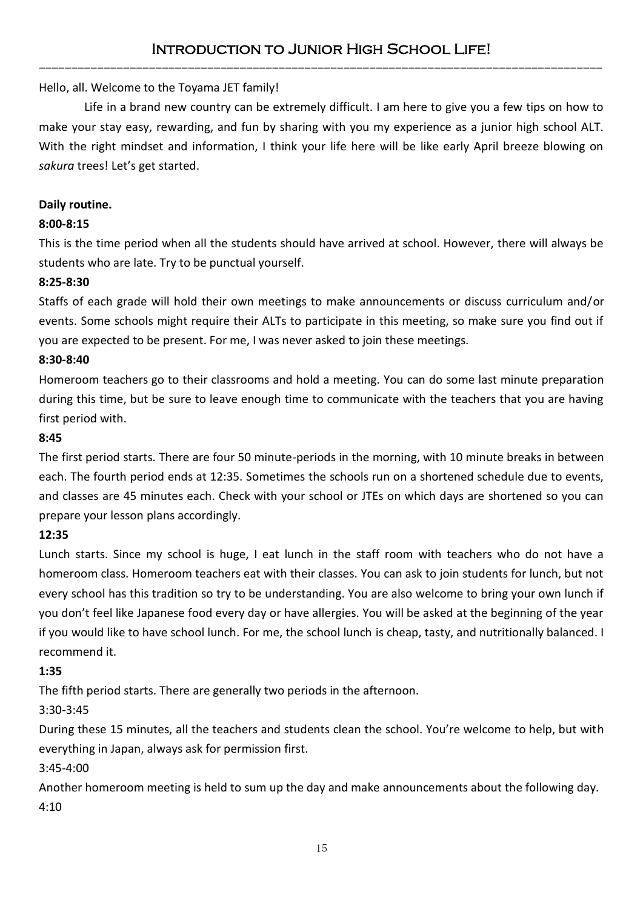Hello, all. Welcome to the Toyama JET family!

Life in a brand new country can be extremely difficult. I am here to give you a few tips on how to make your stay easy, rewarding, and fun by sharing with you my experience as a junior high school ALT. With the right mindset and information, I think your life here will be like early April breeze blowing on *sakura* trees! Let's get started.

## **Daily routine.**

# **8:00-8:15**

This is the time period when all the students should have arrived at school. However, there will always be students who are late. Try to be punctual yourself.

## **8:25-8:30**

Staffs of each grade will hold their own meetings to make announcements or discuss curriculum and/or events. Some schools might require their ALTs to participate in this meeting, so make sure you find out if you are expected to be present. For me, I was never asked to join these meetings.

## **8:30-8:40**

Homeroom teachers go to their classrooms and hold a meeting. You can do some last minute preparation during this time, but be sure to leave enough time to communicate with the teachers that you are having first period with.

## **8:45**

The first period starts. There are four 50 minute-periods in the morning, with 10 minute breaks in between each. The fourth period ends at 12:35. Sometimes the schools run on a shortened schedule due to events, and classes are 45 minutes each. Check with your school or JTEs on which days are shortened so you can prepare your lesson plans accordingly.

## **12:35**

Lunch starts. Since my school is huge, I eat lunch in the staff room with teachers who do not have a homeroom class. Homeroom teachers eat with their classes. You can ask to join students for lunch, but not every school has this tradition so try to be understanding. You are also welcome to bring your own lunch if you don't feel like Japanese food every day or have allergies. You will be asked at the beginning of the year if you would like to have school lunch. For me, the school lunch is cheap, tasty, and nutritionally balanced. I recommend it.

## **1:35**

The fifth period starts. There are generally two periods in the afternoon.

## 3:30-3:45

During these 15 minutes, all the teachers and students clean the school. You're welcome to help, but with everything in Japan, always ask for permission first.

## 3:45-4:00

Another homeroom meeting is held to sum up the day and make announcements about the following day. 4:10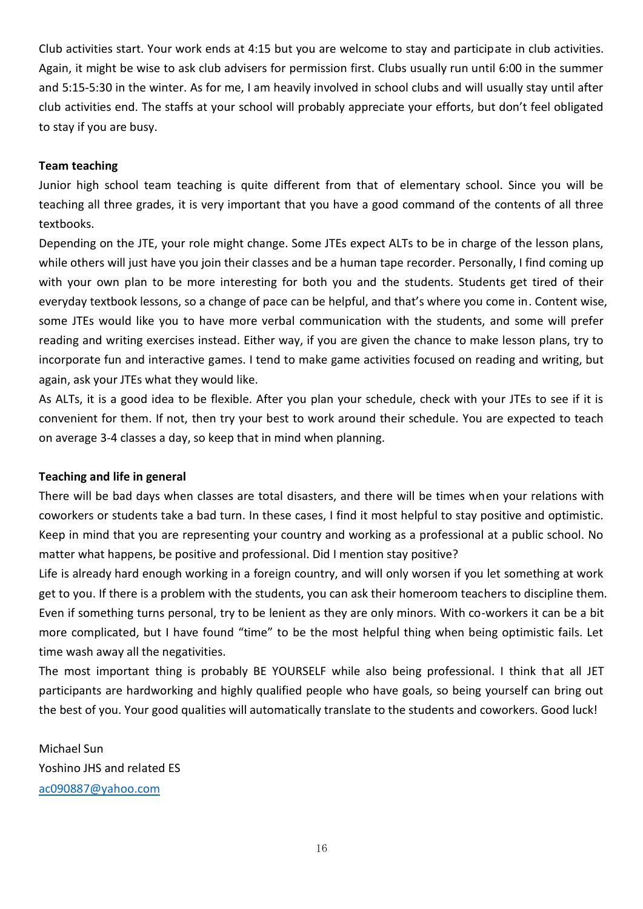Club activities start. Your work ends at 4:15 but you are welcome to stay and participate in club activities. Again, it might be wise to ask club advisers for permission first. Clubs usually run until 6:00 in the summer and 5:15-5:30 in the winter. As for me, I am heavily involved in school clubs and will usually stay until after club activities end. The staffs at your school will probably appreciate your efforts, but don't feel obligated to stay if you are busy.

### **Team teaching**

Junior high school team teaching is quite different from that of elementary school. Since you will be teaching all three grades, it is very important that you have a good command of the contents of all three textbooks.

Depending on the JTE, your role might change. Some JTEs expect ALTs to be in charge of the lesson plans, while others will just have you join their classes and be a human tape recorder. Personally, I find coming up with your own plan to be more interesting for both you and the students. Students get tired of their everyday textbook lessons, so a change of pace can be helpful, and that's where you come in. Content wise, some JTEs would like you to have more verbal communication with the students, and some will prefer reading and writing exercises instead. Either way, if you are given the chance to make lesson plans, try to incorporate fun and interactive games. I tend to make game activities focused on reading and writing, but again, ask your JTEs what they would like.

As ALTs, it is a good idea to be flexible. After you plan your schedule, check with your JTEs to see if it is convenient for them. If not, then try your best to work around their schedule. You are expected to teach on average 3-4 classes a day, so keep that in mind when planning.

### **Teaching and life in general**

There will be bad days when classes are total disasters, and there will be times when your relations with coworkers or students take a bad turn. In these cases, I find it most helpful to stay positive and optimistic. Keep in mind that you are representing your country and working as a professional at a public school. No matter what happens, be positive and professional. Did I mention stay positive?

Life is already hard enough working in a foreign country, and will only worsen if you let something at work get to you. If there is a problem with the students, you can ask their homeroom teachers to discipline them. Even if something turns personal, try to be lenient as they are only minors. With co-workers it can be a bit more complicated, but I have found "time" to be the most helpful thing when being optimistic fails. Let time wash away all the negativities.

The most important thing is probably BE YOURSELF while also being professional. I think that all JET participants are hardworking and highly qualified people who have goals, so being yourself can bring out the best of you. Your good qualities will automatically translate to the students and coworkers. Good luck!

Michael Sun Yoshino JHS and related ES [ac090887@yahoo.com](mailto:ac090887@yahoo.com)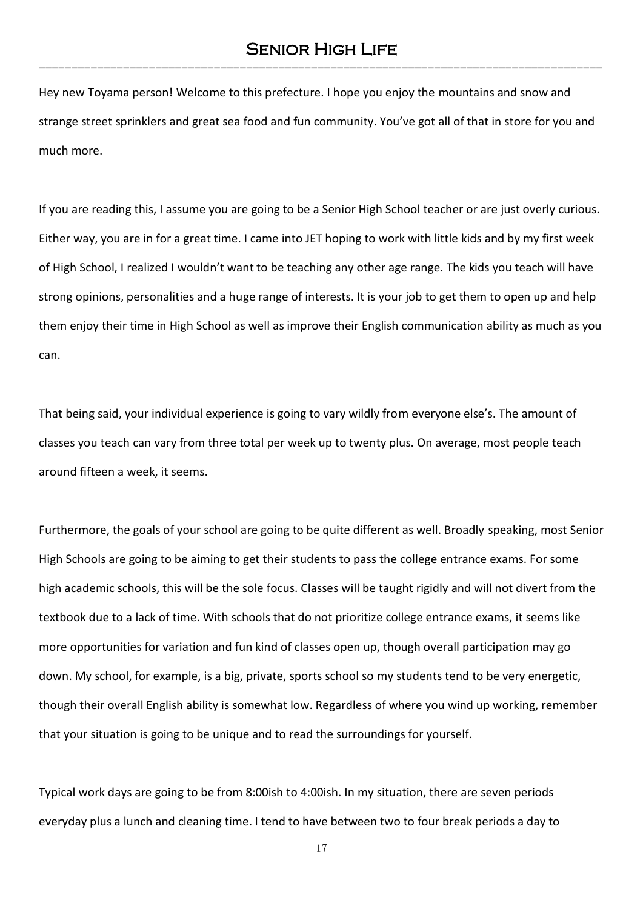Hey new Toyama person! Welcome to this prefecture. I hope you enjoy the mountains and snow and strange street sprinklers and great sea food and fun community. You've got all of that in store for you and much more.

If you are reading this, I assume you are going to be a Senior High School teacher or are just overly curious. Either way, you are in for a great time. I came into JET hoping to work with little kids and by my first week of High School, I realized I wouldn't want to be teaching any other age range. The kids you teach will have strong opinions, personalities and a huge range of interests. It is your job to get them to open up and help them enjoy their time in High School as well as improve their English communication ability as much as you can.

That being said, your individual experience is going to vary wildly from everyone else's. The amount of classes you teach can vary from three total per week up to twenty plus. On average, most people teach around fifteen a week, it seems.

Furthermore, the goals of your school are going to be quite different as well. Broadly speaking, most Senior High Schools are going to be aiming to get their students to pass the college entrance exams. For some high academic schools, this will be the sole focus. Classes will be taught rigidly and will not divert from the textbook due to a lack of time. With schools that do not prioritize college entrance exams, it seems like more opportunities for variation and fun kind of classes open up, though overall participation may go down. My school, for example, is a big, private, sports school so my students tend to be very energetic, though their overall English ability is somewhat low. Regardless of where you wind up working, remember that your situation is going to be unique and to read the surroundings for yourself.

Typical work days are going to be from 8:00ish to 4:00ish. In my situation, there are seven periods everyday plus a lunch and cleaning time. I tend to have between two to four break periods a day to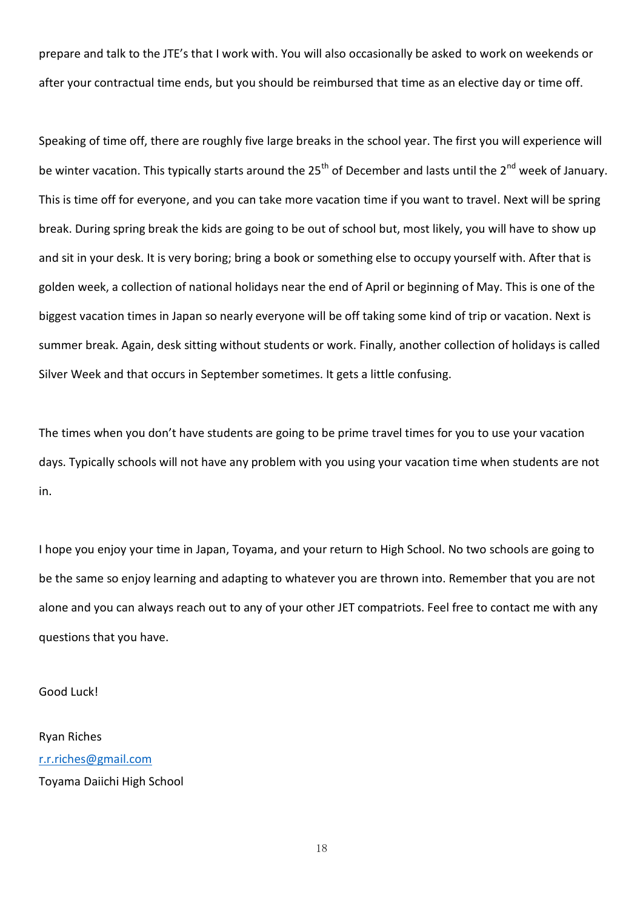prepare and talk to the JTE's that I work with. You will also occasionally be asked to work on weekends or after your contractual time ends, but you should be reimbursed that time as an elective day or time off.

Speaking of time off, there are roughly five large breaks in the school year. The first you will experience will be winter vacation. This typically starts around the 25<sup>th</sup> of December and lasts until the 2<sup>nd</sup> week of January. This is time off for everyone, and you can take more vacation time if you want to travel. Next will be spring break. During spring break the kids are going to be out of school but, most likely, you will have to show up and sit in your desk. It is very boring; bring a book or something else to occupy yourself with. After that is golden week, a collection of national holidays near the end of April or beginning of May. This is one of the biggest vacation times in Japan so nearly everyone will be off taking some kind of trip or vacation. Next is summer break. Again, desk sitting without students or work. Finally, another collection of holidays is called Silver Week and that occurs in September sometimes. It gets a little confusing.

The times when you don't have students are going to be prime travel times for you to use your vacation days. Typically schools will not have any problem with you using your vacation time when students are not in.

I hope you enjoy your time in Japan, Toyama, and your return to High School. No two schools are going to be the same so enjoy learning and adapting to whatever you are thrown into. Remember that you are not alone and you can always reach out to any of your other JET compatriots. Feel free to contact me with any questions that you have.

Good Luck!

Ryan Riches [r.r.riches@gmail.com](mailto:r.r.riches@gmail.com) Toyama Daiichi High School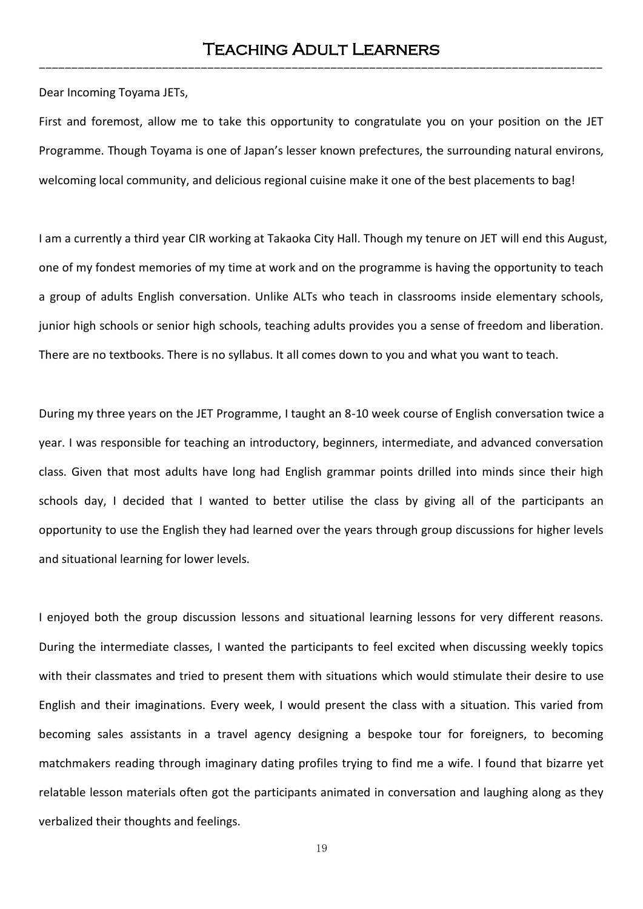Dear Incoming Toyama JETs,

First and foremost, allow me to take this opportunity to congratulate you on your position on the JET Programme. Though Toyama is one of Japan's lesser known prefectures, the surrounding natural environs, welcoming local community, and delicious regional cuisine make it one of the best placements to bag!

I am a currently a third year CIR working at Takaoka City Hall. Though my tenure on JET will end this August, one of my fondest memories of my time at work and on the programme is having the opportunity to teach a group of adults English conversation. Unlike ALTs who teach in classrooms inside elementary schools, junior high schools or senior high schools, teaching adults provides you a sense of freedom and liberation. There are no textbooks. There is no syllabus. It all comes down to you and what you want to teach.

During my three years on the JET Programme, I taught an 8-10 week course of English conversation twice a year. I was responsible for teaching an introductory, beginners, intermediate, and advanced conversation class. Given that most adults have long had English grammar points drilled into minds since their high schools day, I decided that I wanted to better utilise the class by giving all of the participants an opportunity to use the English they had learned over the years through group discussions for higher levels and situational learning for lower levels.

I enjoyed both the group discussion lessons and situational learning lessons for very different reasons. During the intermediate classes, I wanted the participants to feel excited when discussing weekly topics with their classmates and tried to present them with situations which would stimulate their desire to use English and their imaginations. Every week, I would present the class with a situation. This varied from becoming sales assistants in a travel agency designing a bespoke tour for foreigners, to becoming matchmakers reading through imaginary dating profiles trying to find me a wife. I found that bizarre yet relatable lesson materials often got the participants animated in conversation and laughing along as they verbalized their thoughts and feelings.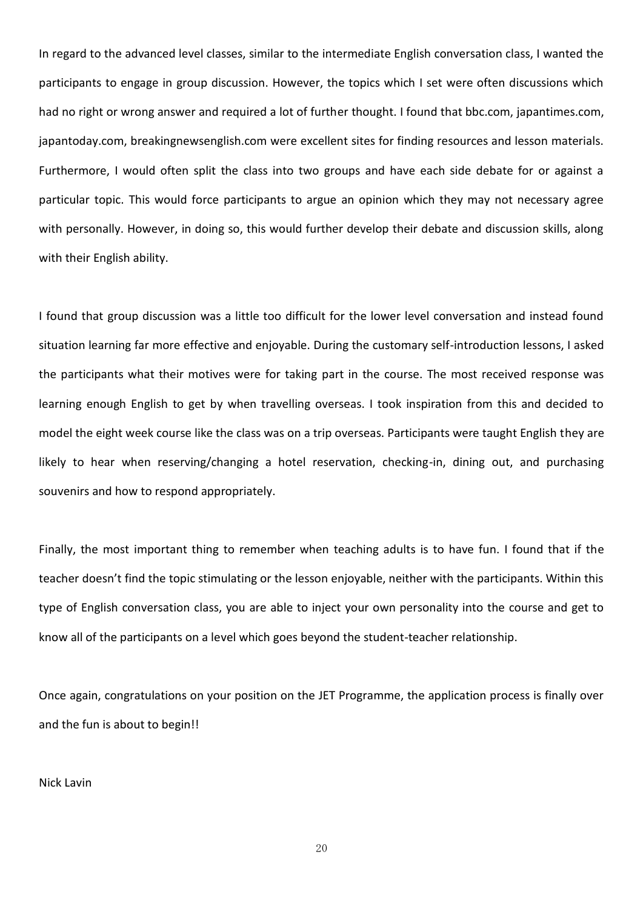In regard to the advanced level classes, similar to the intermediate English conversation class, I wanted the participants to engage in group discussion. However, the topics which I set were often discussions which had no right or wrong answer and required a lot of further thought. I found that bbc.com, japantimes.com, japantoday.com, breakingnewsenglish.com were excellent sites for finding resources and lesson materials. Furthermore, I would often split the class into two groups and have each side debate for or against a particular topic. This would force participants to argue an opinion which they may not necessary agree with personally. However, in doing so, this would further develop their debate and discussion skills, along with their English ability.

I found that group discussion was a little too difficult for the lower level conversation and instead found situation learning far more effective and enjoyable. During the customary self-introduction lessons, I asked the participants what their motives were for taking part in the course. The most received response was learning enough English to get by when travelling overseas. I took inspiration from this and decided to model the eight week course like the class was on a trip overseas. Participants were taught English they are likely to hear when reserving/changing a hotel reservation, checking-in, dining out, and purchasing souvenirs and how to respond appropriately.

Finally, the most important thing to remember when teaching adults is to have fun. I found that if the teacher doesn't find the topic stimulating or the lesson enjoyable, neither with the participants. Within this type of English conversation class, you are able to inject your own personality into the course and get to know all of the participants on a level which goes beyond the student-teacher relationship.

Once again, congratulations on your position on the JET Programme, the application process is finally over and the fun is about to begin!!

Nick Lavin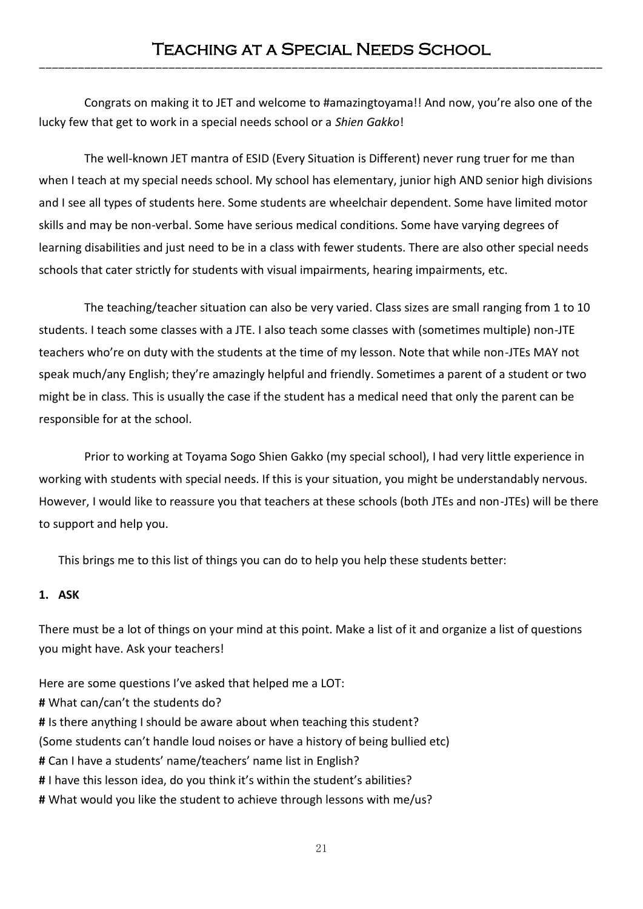Congrats on making it to JET and welcome to #amazingtoyama!! And now, you're also one of the lucky few that get to work in a special needs school or a *Shien Gakko*!

The well-known JET mantra of ESID (Every Situation is Different) never rung truer for me than when I teach at my special needs school. My school has elementary, junior high AND senior high divisions and I see all types of students here. Some students are wheelchair dependent. Some have limited motor skills and may be non-verbal. Some have serious medical conditions. Some have varying degrees of learning disabilities and just need to be in a class with fewer students. There are also other special needs schools that cater strictly for students with visual impairments, hearing impairments, etc.

The teaching/teacher situation can also be very varied. Class sizes are small ranging from 1 to 10 students. I teach some classes with a JTE. I also teach some classes with (sometimes multiple) non-JTE teachers who're on duty with the students at the time of my lesson. Note that while non-JTEs MAY not speak much/any English; they're amazingly helpful and friendly. Sometimes a parent of a student or two might be in class. This is usually the case if the student has a medical need that only the parent can be responsible for at the school.

Prior to working at Toyama Sogo Shien Gakko (my special school), I had very little experience in working with students with special needs. If this is your situation, you might be understandably nervous. However, I would like to reassure you that teachers at these schools (both JTEs and non-JTEs) will be there to support and help you.

This brings me to this list of things you can do to help you help these students better:

## **1. ASK**

There must be a lot of things on your mind at this point. Make a list of it and organize a list of questions you might have. Ask your teachers!

Here are some questions I've asked that helped me a LOT: **#** What can/can't the students do? **#** Is there anything I should be aware about when teaching this student? (Some students can't handle loud noises or have a history of being bullied etc) **#** Can I have a students' name/teachers' name list in English? **#** I have this lesson idea, do you think it's within the student's abilities? **#** What would you like the student to achieve through lessons with me/us?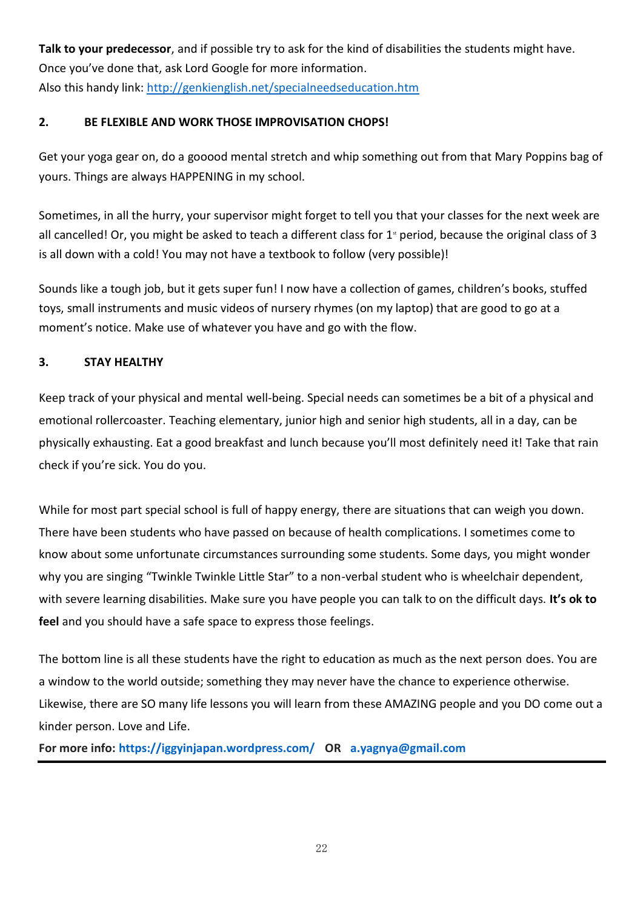**Talk to your predecessor**, and if possible try to ask for the kind of disabilities the students might have. Once you've done that, ask Lord Google for more information. Also this handy link:<http://genkienglish.net/specialneedseducation.htm>

# **2. BE FLEXIBLE AND WORK THOSE IMPROVISATION CHOPS!**

Get your yoga gear on, do a gooood mental stretch and whip something out from that Mary Poppins bag of yours. Things are always HAPPENING in my school.

Sometimes, in all the hurry, your supervisor might forget to tell you that your classes for the next week are all cancelled! Or, you might be asked to teach a different class for  $1<sup>*</sup>$  period, because the original class of 3 is all down with a cold! You may not have a textbook to follow (very possible)!

Sounds like a tough job, but it gets super fun! I now have a collection of games, children's books, stuffed toys, small instruments and music videos of nursery rhymes (on my laptop) that are good to go at a moment's notice. Make use of whatever you have and go with the flow.

# **3. STAY HEALTHY**

Keep track of your physical and mental well-being. Special needs can sometimes be a bit of a physical and emotional rollercoaster. Teaching elementary, junior high and senior high students, all in a day, can be physically exhausting. Eat a good breakfast and lunch because you'll most definitely need it! Take that rain check if you're sick. You do you.

While for most part special school is full of happy energy, there are situations that can weigh you down. There have been students who have passed on because of health complications. I sometimes come to know about some unfortunate circumstances surrounding some students. Some days, you might wonder why you are singing "Twinkle Twinkle Little Star" to a non-verbal student who is wheelchair dependent, with severe learning disabilities. Make sure you have people you can talk to on the difficult days. **It's ok to feel** and you should have a safe space to express those feelings.

The bottom line is all these students have the right to education as much as the next person does. You are a window to the world outside; something they may never have the chance to experience otherwise. Likewise, there are SO many life lessons you will learn from these AMAZING people and you DO come out a kinder person. Love and Life.

**For more info: <https://iggyinjapan.wordpress.com/> OR [a.yagnya@gmail.com](mailto:a.yagnya@gmail.com)**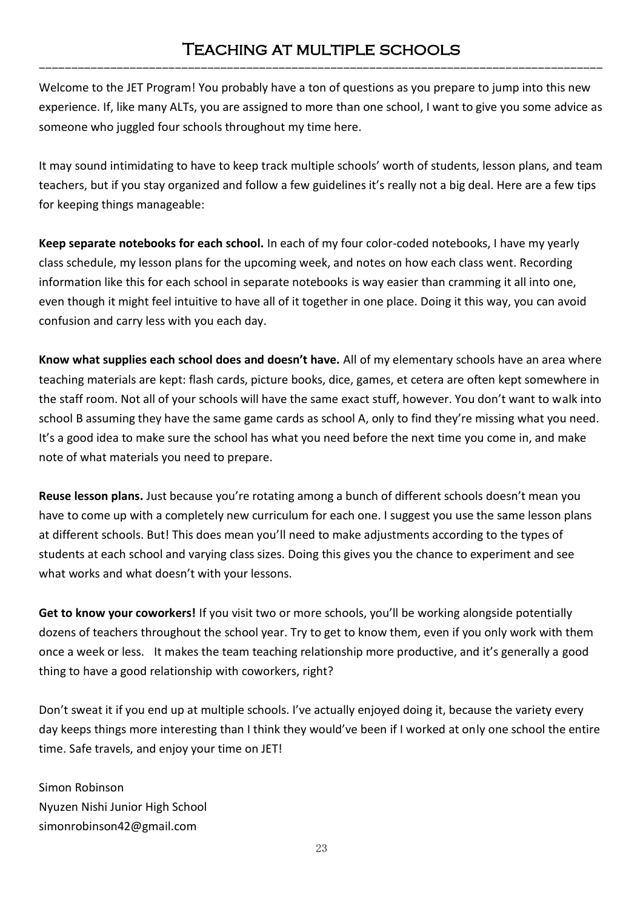# Teaching at multiple schools ---------------------------------------------------------------------------------------

Welcome to the JET Program! You probably have a ton of questions as you prepare to jump into this new experience. If, like many ALTs, you are assigned to more than one school, I want to give you some advice as someone who juggled four schools throughout my time here.

It may sound intimidating to have to keep track multiple schools' worth of students, lesson plans, and team teachers, but if you stay organized and follow a few guidelines it's really not a big deal. Here are a few tips for keeping things manageable:

**Keep separate notebooks for each school.** In each of my four color-coded notebooks, I have my yearly class schedule, my lesson plans for the upcoming week, and notes on how each class went. Recording information like this for each school in separate notebooks is way easier than cramming it all into one, even though it might feel intuitive to have all of it together in one place. Doing it this way, you can avoid confusion and carry less with you each day.

**Know what supplies each school does and doesn't have.** All of my elementary schools have an area where teaching materials are kept: flash cards, picture books, dice, games, et cetera are often kept somewhere in the staff room. Not all of your schools will have the same exact stuff, however. You don't want to walk into school B assuming they have the same game cards as school A, only to find they're missing what you need. It's a good idea to make sure the school has what you need before the next time you come in, and make note of what materials you need to prepare.

**Reuse lesson plans.** Just because you're rotating among a bunch of different schools doesn't mean you have to come up with a completely new curriculum for each one. I suggest you use the same lesson plans at different schools. But! This does mean you'll need to make adjustments according to the types of students at each school and varying class sizes. Doing this gives you the chance to experiment and see what works and what doesn't with your lessons.

**Get to know your coworkers!** If you visit two or more schools, you'll be working alongside potentially dozens of teachers throughout the school year. Try to get to know them, even if you only work with them once a week or less. It makes the team teaching relationship more productive, and it's generally a good thing to have a good relationship with coworkers, right?

Don't sweat it if you end up at multiple schools. I've actually enjoyed doing it, because the variety every day keeps things more interesting than I think they would've been if I worked at only one school the entire time. Safe travels, and enjoy your time on JET!

Simon Robinson Nyuzen Nishi Junior High School simonrobinson42@gmail.com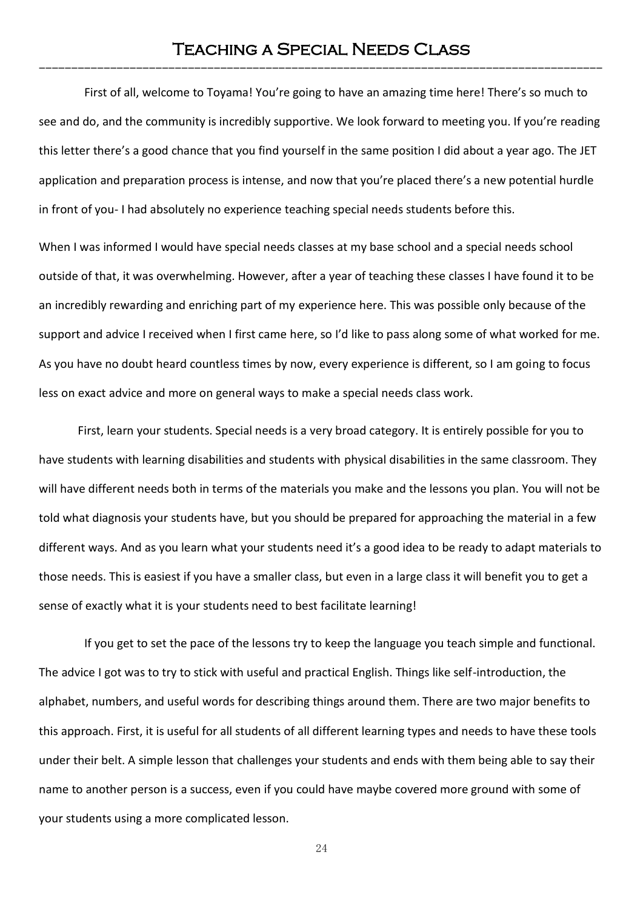First of all, welcome to Toyama! You're going to have an amazing time here! There's so much to see and do, and the community is incredibly supportive. We look forward to meeting you. If you're reading this letter there's a good chance that you find yourself in the same position I did about a year ago. The JET application and preparation process is intense, and now that you're placed there's a new potential hurdle in front of you- I had absolutely no experience teaching special needs students before this.

When I was informed I would have special needs classes at my base school and a special needs school outside of that, it was overwhelming. However, after a year of teaching these classes I have found it to be an incredibly rewarding and enriching part of my experience here. This was possible only because of the support and advice I received when I first came here, so I'd like to pass along some of what worked for me. As you have no doubt heard countless times by now, every experience is different, so I am going to focus less on exact advice and more on general ways to make a special needs class work.

First, learn your students. Special needs is a very broad category. It is entirely possible for you to have students with learning disabilities and students with physical disabilities in the same classroom. They will have different needs both in terms of the materials you make and the lessons you plan. You will not be told what diagnosis your students have, but you should be prepared for approaching the material in a few different ways. And as you learn what your students need it's a good idea to be ready to adapt materials to those needs. This is easiest if you have a smaller class, but even in a large class it will benefit you to get a sense of exactly what it is your students need to best facilitate learning!

If you get to set the pace of the lessons try to keep the language you teach simple and functional. The advice I got was to try to stick with useful and practical English. Things like self-introduction, the alphabet, numbers, and useful words for describing things around them. There are two major benefits to this approach. First, it is useful for all students of all different learning types and needs to have these tools under their belt. A simple lesson that challenges your students and ends with them being able to say their name to another person is a success, even if you could have maybe covered more ground with some of your students using a more complicated lesson.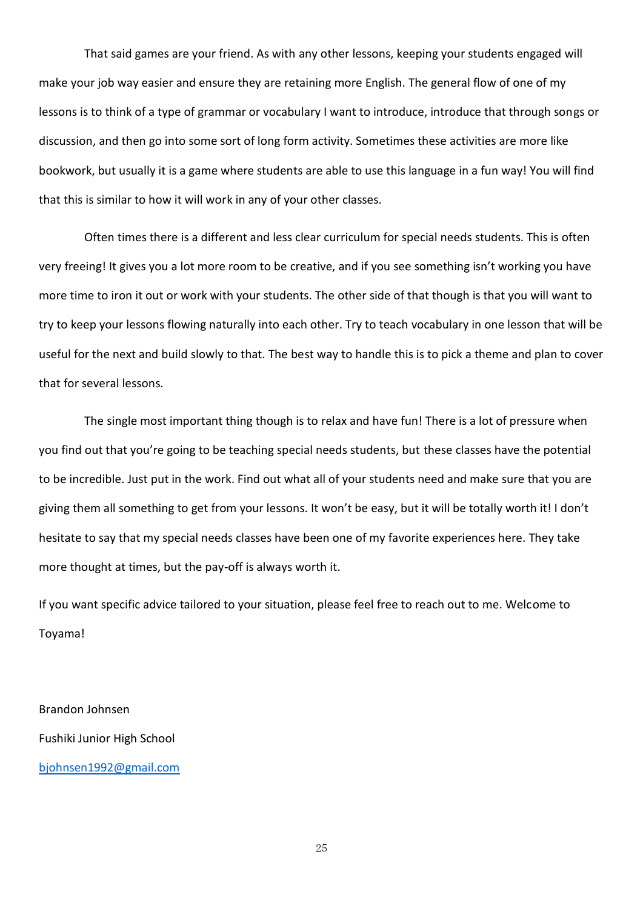That said games are your friend. As with any other lessons, keeping your students engaged will make your job way easier and ensure they are retaining more English. The general flow of one of my lessons is to think of a type of grammar or vocabulary I want to introduce, introduce that through songs or discussion, and then go into some sort of long form activity. Sometimes these activities are more like bookwork, but usually it is a game where students are able to use this language in a fun way! You will find that this is similar to how it will work in any of your other classes.

Often times there is a different and less clear curriculum for special needs students. This is often very freeing! It gives you a lot more room to be creative, and if you see something isn't working you have more time to iron it out or work with your students. The other side of that though is that you will want to try to keep your lessons flowing naturally into each other. Try to teach vocabulary in one lesson that will be useful for the next and build slowly to that. The best way to handle this is to pick a theme and plan to cover that for several lessons.

The single most important thing though is to relax and have fun! There is a lot of pressure when you find out that you're going to be teaching special needs students, but these classes have the potential to be incredible. Just put in the work. Find out what all of your students need and make sure that you are giving them all something to get from your lessons. It won't be easy, but it will be totally worth it! I don't hesitate to say that my special needs classes have been one of my favorite experiences here. They take more thought at times, but the pay-off is always worth it.

If you want specific advice tailored to your situation, please feel free to reach out to me. Welcome to Toyama!

Brandon Johnsen Fushiki Junior High School [bjohnsen1992@gmail.com](mailto:bjohnsen1992@gmail.com)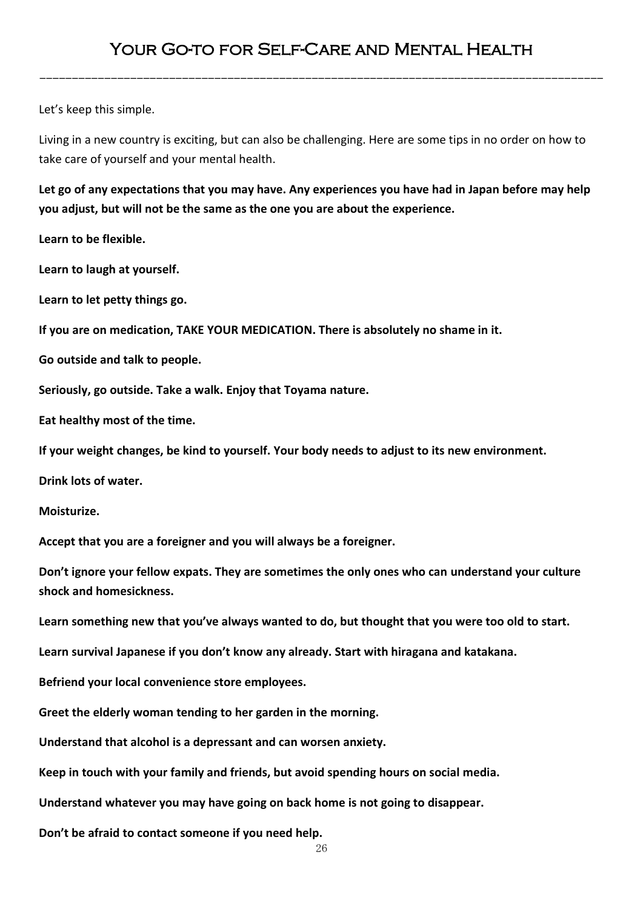---------------------------------------------------------------------------------------

Let's keep this simple.

Living in a new country is exciting, but can also be challenging. Here are some tips in no order on how to take care of yourself and your mental health.

**Let go of any expectations that you may have. Any experiences you have had in Japan before may help you adjust, but will not be the same as the one you are about the experience.** 

**Learn to be flexible.**

**Learn to laugh at yourself.**

**Learn to let petty things go.** 

**If you are on medication, TAKE YOUR MEDICATION. There is absolutely no shame in it.** 

**Go outside and talk to people.**

**Seriously, go outside. Take a walk. Enjoy that Toyama nature.** 

**Eat healthy most of the time.**

**If your weight changes, be kind to yourself. Your body needs to adjust to its new environment.** 

**Drink lots of water.**

**Moisturize.**

**Accept that you are a foreigner and you will always be a foreigner.** 

**Don't ignore your fellow expats. They are sometimes the only ones who can understand your culture shock and homesickness.** 

**Learn something new that you've always wanted to do, but thought that you were too old to start.**

**Learn survival Japanese if you don't know any already. Start with hiragana and katakana.** 

**Befriend your local convenience store employees.** 

**Greet the elderly woman tending to her garden in the morning.** 

**Understand that alcohol is a depressant and can worsen anxiety.** 

**Keep in touch with your family and friends, but avoid spending hours on social media.** 

**Understand whatever you may have going on back home is not going to disappear.**

**Don't be afraid to contact someone if you need help.**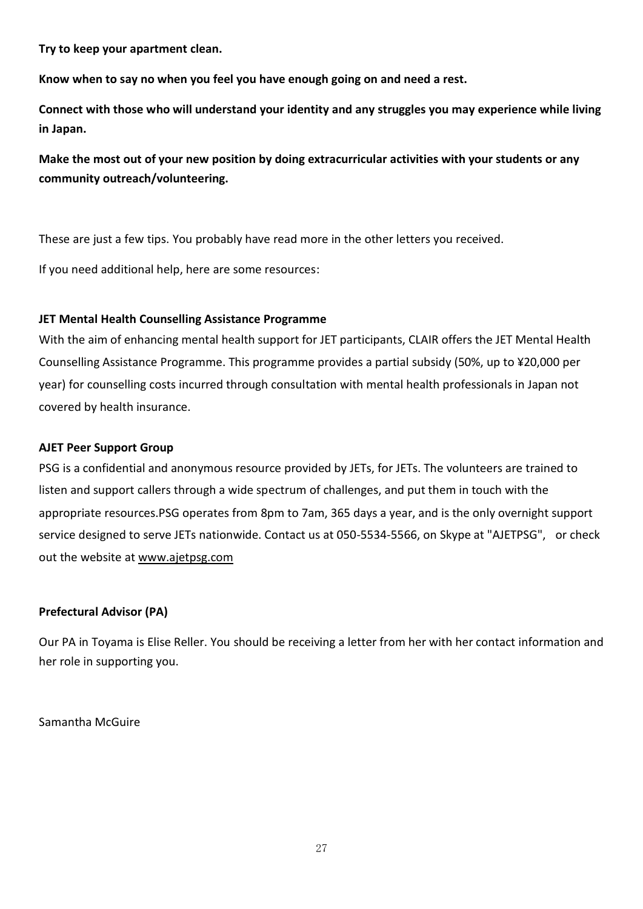**Try to keep your apartment clean.** 

**Know when to say no when you feel you have enough going on and need a rest.** 

**Connect with those who will understand your identity and any struggles you may experience while living in Japan.**

**Make the most out of your new position by doing extracurricular activities with your students or any community outreach/volunteering.** 

These are just a few tips. You probably have read more in the other letters you received.

If you need additional help, here are some resources:

### **JET Mental Health Counselling Assistance Programme**

With the aim of enhancing mental health support for JET participants, CLAIR offers the JET Mental Health Counselling Assistance Programme. This programme provides a partial subsidy (50%, up to ¥20,000 per year) for counselling costs incurred through consultation with mental health professionals in Japan not covered by health insurance.

### **AJET Peer Support Group**

PSG is a confidential and anonymous resource provided by JETs, for JETs. The volunteers are trained to listen and support callers through a wide spectrum of challenges, and put them in touch with the appropriate resources.PSG operates from 8pm to 7am, 365 days a year, and is the only overnight support service designed to serve JETs nationwide. Contact us at 050-5534-5566, on Skype at "AJETPSG", or check out the website at [www.ajetpsg.com](http://www.ajetpsg.com/)

## **Prefectural Advisor (PA)**

Our PA in Toyama is Elise Reller. You should be receiving a letter from her with her contact information and her role in supporting you.

Samantha McGuire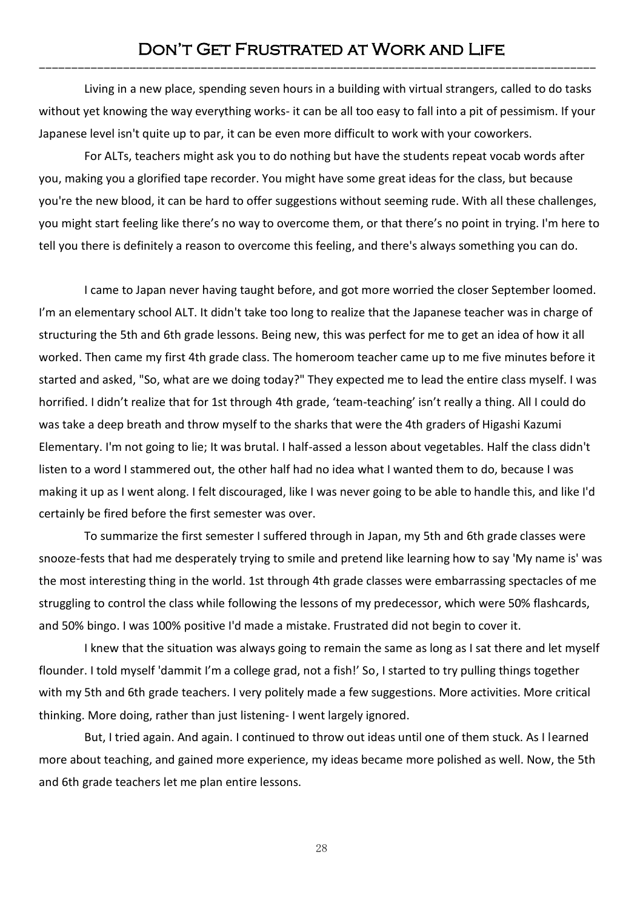# Don't Get Frustrated at Work and Life --------------------------------------------------------------------------------------

Living in a new place, spending seven hours in a building with virtual strangers, called to do tasks without yet knowing the way everything works- it can be all too easy to fall into a pit of pessimism. If your Japanese level isn't quite up to par, it can be even more difficult to work with your coworkers.

For ALTs, teachers might ask you to do nothing but have the students repeat vocab words after you, making you a glorified tape recorder. You might have some great ideas for the class, but because you're the new blood, it can be hard to offer suggestions without seeming rude. With all these challenges, you might start feeling like there's no way to overcome them, or that there's no point in trying. I'm here to tell you there is definitely a reason to overcome this feeling, and there's always something you can do.

I came to Japan never having taught before, and got more worried the closer September loomed. I'm an elementary school ALT. It didn't take too long to realize that the Japanese teacher was in charge of structuring the 5th and 6th grade lessons. Being new, this was perfect for me to get an idea of how it all worked. Then came my first 4th grade class. The homeroom teacher came up to me five minutes before it started and asked, "So, what are we doing today?" They expected me to lead the entire class myself. I was horrified. I didn't realize that for 1st through 4th grade, 'team-teaching' isn't really a thing. All I could do was take a deep breath and throw myself to the sharks that were the 4th graders of Higashi Kazumi Elementary. I'm not going to lie; It was brutal. I half-assed a lesson about vegetables. Half the class didn't listen to a word I stammered out, the other half had no idea what I wanted them to do, because I was making it up as I went along. I felt discouraged, like I was never going to be able to handle this, and like I'd certainly be fired before the first semester was over.

To summarize the first semester I suffered through in Japan, my 5th and 6th grade classes were snooze-fests that had me desperately trying to smile and pretend like learning how to say 'My name is' was the most interesting thing in the world. 1st through 4th grade classes were embarrassing spectacles of me struggling to control the class while following the lessons of my predecessor, which were 50% flashcards, and 50% bingo. I was 100% positive I'd made a mistake. Frustrated did not begin to cover it.

I knew that the situation was always going to remain the same as long as I sat there and let myself flounder. I told myself 'dammit I'm a college grad, not a fish!' So, I started to try pulling things together with my 5th and 6th grade teachers. I very politely made a few suggestions. More activities. More critical thinking. More doing, rather than just listening- I went largely ignored.

But, I tried again. And again. I continued to throw out ideas until one of them stuck. As I learned more about teaching, and gained more experience, my ideas became more polished as well. Now, the 5th and 6th grade teachers let me plan entire lessons.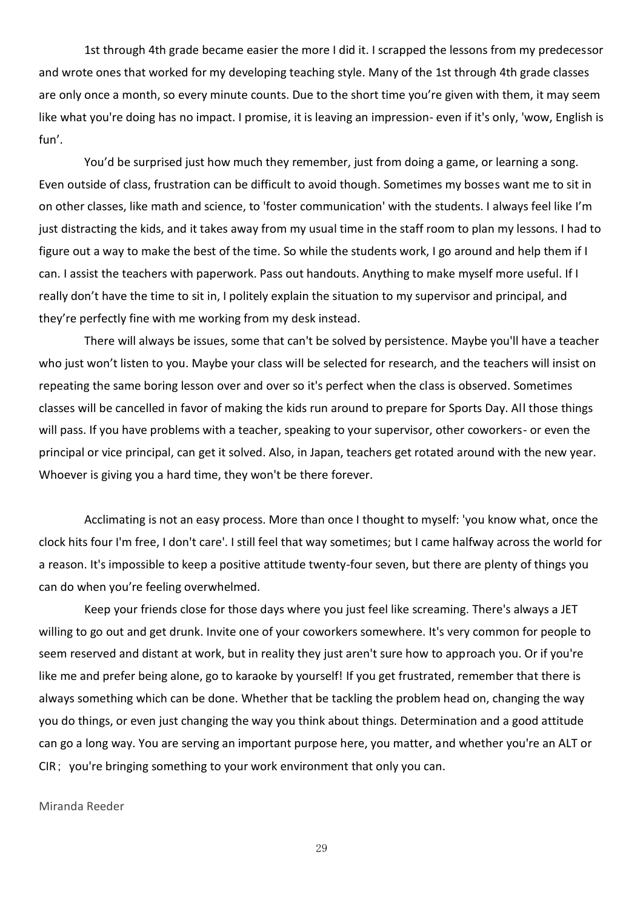1st through 4th grade became easier the more I did it. I scrapped the lessons from my predecessor and wrote ones that worked for my developing teaching style. Many of the 1st through 4th grade classes are only once a month, so every minute counts. Due to the short time you're given with them, it may seem like what you're doing has no impact. I promise, it is leaving an impression- even if it's only, 'wow, English is fun'.

You'd be surprised just how much they remember, just from doing a game, or learning a song. Even outside of class, frustration can be difficult to avoid though. Sometimes my bosses want me to sit in on other classes, like math and science, to 'foster communication' with the students. I always feel like I'm just distracting the kids, and it takes away from my usual time in the staff room to plan my lessons. I had to figure out a way to make the best of the time. So while the students work, I go around and help them if I can. I assist the teachers with paperwork. Pass out handouts. Anything to make myself more useful. If I really don't have the time to sit in, I politely explain the situation to my supervisor and principal, and they're perfectly fine with me working from my desk instead.

There will always be issues, some that can't be solved by persistence. Maybe you'll have a teacher who just won't listen to you. Maybe your class will be selected for research, and the teachers will insist on repeating the same boring lesson over and over so it's perfect when the class is observed. Sometimes classes will be cancelled in favor of making the kids run around to prepare for Sports Day. All those things will pass. If you have problems with a teacher, speaking to your supervisor, other coworkers- or even the principal or vice principal, can get it solved. Also, in Japan, teachers get rotated around with the new year. Whoever is giving you a hard time, they won't be there forever.

Acclimating is not an easy process. More than once I thought to myself: 'you know what, once the clock hits four I'm free, I don't care'. I still feel that way sometimes; but I came halfway across the world for a reason. It's impossible to keep a positive attitude twenty-four seven, but there are plenty of things you can do when you're feeling overwhelmed.

Keep your friends close for those days where you just feel like screaming. There's always a JET willing to go out and get drunk. Invite one of your coworkers somewhere. It's very common for people to seem reserved and distant at work, but in reality they just aren't sure how to approach you. Or if you're like me and prefer being alone, go to karaoke by yourself! If you get frustrated, remember that there is always something which can be done. Whether that be tackling the problem head on, changing the way you do things, or even just changing the way you think about things. Determination and a good attitude can go a long way. You are serving an important purpose here, you matter, and whether you're an ALT or CIR; you're bringing something to your work environment that only you can.

#### Miranda Reeder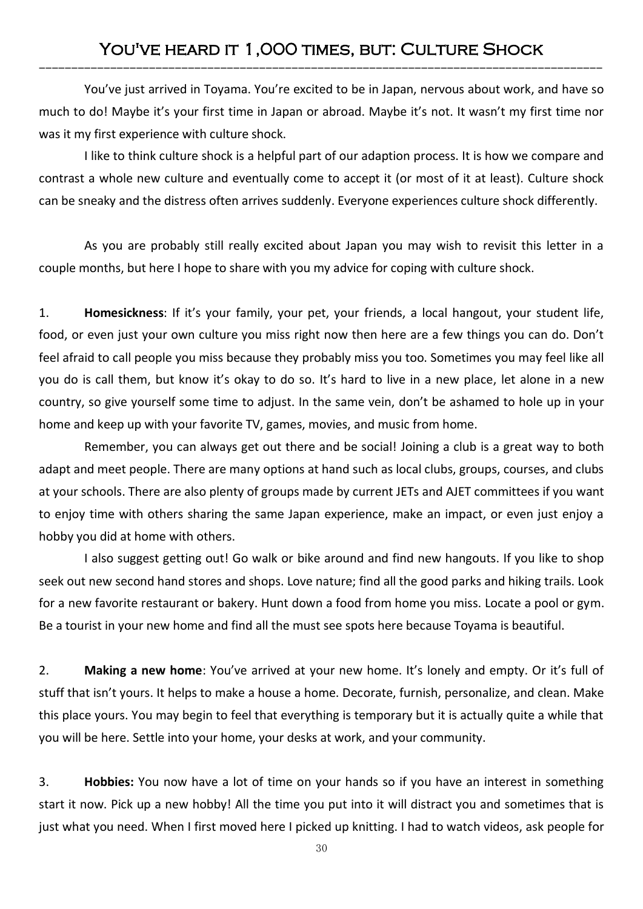# YOU'VE HEARD IT 1,000 TIMES, BUT: CULTURE SHOCK ---------------------------------------------------------------------------------------

You've just arrived in Toyama. You're excited to be in Japan, nervous about work, and have so much to do! Maybe it's your first time in Japan or abroad. Maybe it's not. It wasn't my first time nor was it my first experience with culture shock.

I like to think culture shock is a helpful part of our adaption process. It is how we compare and contrast a whole new culture and eventually come to accept it (or most of it at least). Culture shock can be sneaky and the distress often arrives suddenly. Everyone experiences culture shock differently.

As you are probably still really excited about Japan you may wish to revisit this letter in a couple months, but here I hope to share with you my advice for coping with culture shock.

1. **Homesickness**: If it's your family, your pet, your friends, a local hangout, your student life, food, or even just your own culture you miss right now then here are a few things you can do. Don't feel afraid to call people you miss because they probably miss you too. Sometimes you may feel like all you do is call them, but know it's okay to do so. It's hard to live in a new place, let alone in a new country, so give yourself some time to adjust. In the same vein, don't be ashamed to hole up in your home and keep up with your favorite TV, games, movies, and music from home.

Remember, you can always get out there and be social! Joining a club is a great way to both adapt and meet people. There are many options at hand such as local clubs, groups, courses, and clubs at your schools. There are also plenty of groups made by current JETs and AJET committees if you want to enjoy time with others sharing the same Japan experience, make an impact, or even just enjoy a hobby you did at home with others.

I also suggest getting out! Go walk or bike around and find new hangouts. If you like to shop seek out new second hand stores and shops. Love nature; find all the good parks and hiking trails. Look for a new favorite restaurant or bakery. Hunt down a food from home you miss. Locate a pool or gym. Be a tourist in your new home and find all the must see spots here because Toyama is beautiful.

2. **Making a new home**: You've arrived at your new home. It's lonely and empty. Or it's full of stuff that isn't yours. It helps to make a house a home. Decorate, furnish, personalize, and clean. Make this place yours. You may begin to feel that everything is temporary but it is actually quite a while that you will be here. Settle into your home, your desks at work, and your community.

3. **Hobbies:** You now have a lot of time on your hands so if you have an interest in something start it now. Pick up a new hobby! All the time you put into it will distract you and sometimes that is just what you need. When I first moved here I picked up knitting. I had to watch videos, ask people for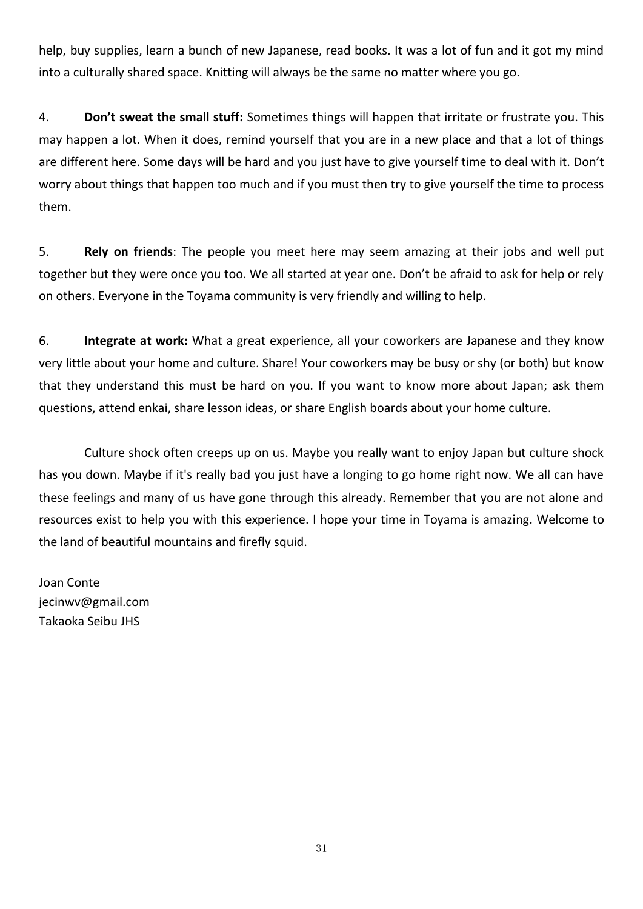help, buy supplies, learn a bunch of new Japanese, read books. It was a lot of fun and it got my mind into a culturally shared space. Knitting will always be the same no matter where you go.

4. **Don't sweat the small stuff:** Sometimes things will happen that irritate or frustrate you. This may happen a lot. When it does, remind yourself that you are in a new place and that a lot of things are different here. Some days will be hard and you just have to give yourself time to deal with it. Don't worry about things that happen too much and if you must then try to give yourself the time to process them.

5. **Rely on friends**: The people you meet here may seem amazing at their jobs and well put together but they were once you too. We all started at year one. Don't be afraid to ask for help or rely on others. Everyone in the Toyama community is very friendly and willing to help.

6. **Integrate at work:** What a great experience, all your coworkers are Japanese and they know very little about your home and culture. Share! Your coworkers may be busy or shy (or both) but know that they understand this must be hard on you. If you want to know more about Japan; ask them questions, attend enkai, share lesson ideas, or share English boards about your home culture.

Culture shock often creeps up on us. Maybe you really want to enjoy Japan but culture shock has you down. Maybe if it's really bad you just have a longing to go home right now. We all can have these feelings and many of us have gone through this already. Remember that you are not alone and resources exist to help you with this experience. I hope your time in Toyama is amazing. Welcome to the land of beautiful mountains and firefly squid.

Joan Conte jecinwv@gmail.com Takaoka Seibu JHS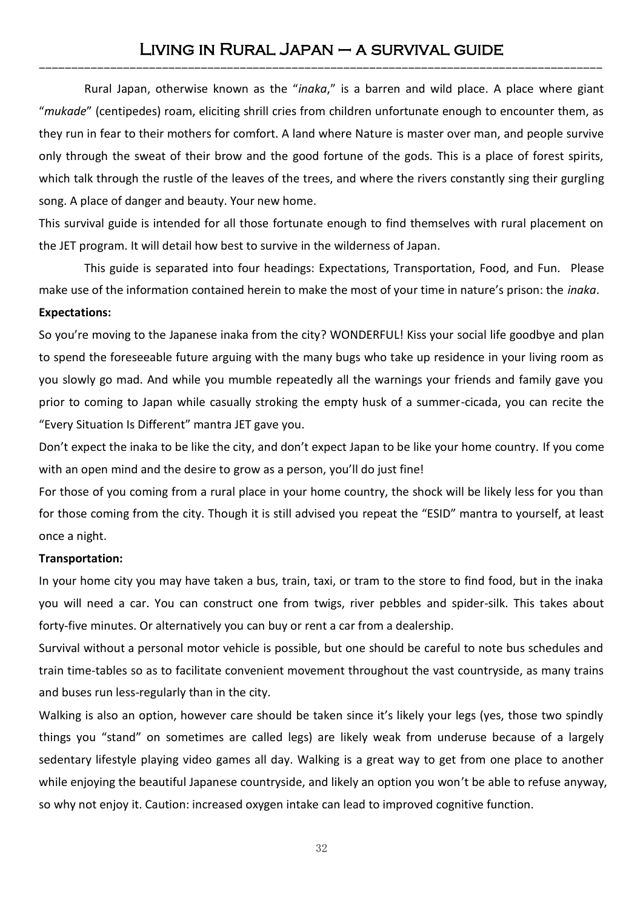# Living in Rural Japan – a survival guide ---------------------------------------------------------------------------------------

Rural Japan, otherwise known as the "*inaka*," is a barren and wild place. A place where giant "*mukade*" (centipedes) roam, eliciting shrill cries from children unfortunate enough to encounter them, as they run in fear to their mothers for comfort. A land where Nature is master over man, and people survive only through the sweat of their brow and the good fortune of the gods. This is a place of forest spirits, which talk through the rustle of the leaves of the trees, and where the rivers constantly sing their gurgling song. A place of danger and beauty. Your new home.

This survival guide is intended for all those fortunate enough to find themselves with rural placement on the JET program. It will detail how best to survive in the wilderness of Japan.

This guide is separated into four headings: Expectations, Transportation, Food, and Fun. Please make use of the information contained herein to make the most of your time in nature's prison: the *inaka*. **Expectations:**

So you're moving to the Japanese inaka from the city? WONDERFUL! Kiss your social life goodbye and plan to spend the foreseeable future arguing with the many bugs who take up residence in your living room as you slowly go mad. And while you mumble repeatedly all the warnings your friends and family gave you prior to coming to Japan while casually stroking the empty husk of a summer-cicada, you can recite the "Every Situation Is Different" mantra JET gave you.

Don't expect the inaka to be like the city, and don't expect Japan to be like your home country. If you come with an open mind and the desire to grow as a person, you'll do just fine!

For those of you coming from a rural place in your home country, the shock will be likely less for you than for those coming from the city. Though it is still advised you repeat the "ESID" mantra to yourself, at least once a night.

#### **Transportation:**

In your home city you may have taken a bus, train, taxi, or tram to the store to find food, but in the inaka you will need a car. You can construct one from twigs, river pebbles and spider-silk. This takes about forty-five minutes. Or alternatively you can buy or rent a car from a dealership.

Survival without a personal motor vehicle is possible, but one should be careful to note bus schedules and train time-tables so as to facilitate convenient movement throughout the vast countryside, as many trains and buses run less-regularly than in the city.

Walking is also an option, however care should be taken since it's likely your legs (yes, those two spindly things you "stand" on sometimes are called legs) are likely weak from underuse because of a largely sedentary lifestyle playing video games all day. Walking is a great way to get from one place to another while enjoying the beautiful Japanese countryside, and likely an option you won't be able to refuse anyway, so why not enjoy it. Caution: increased oxygen intake can lead to improved cognitive function.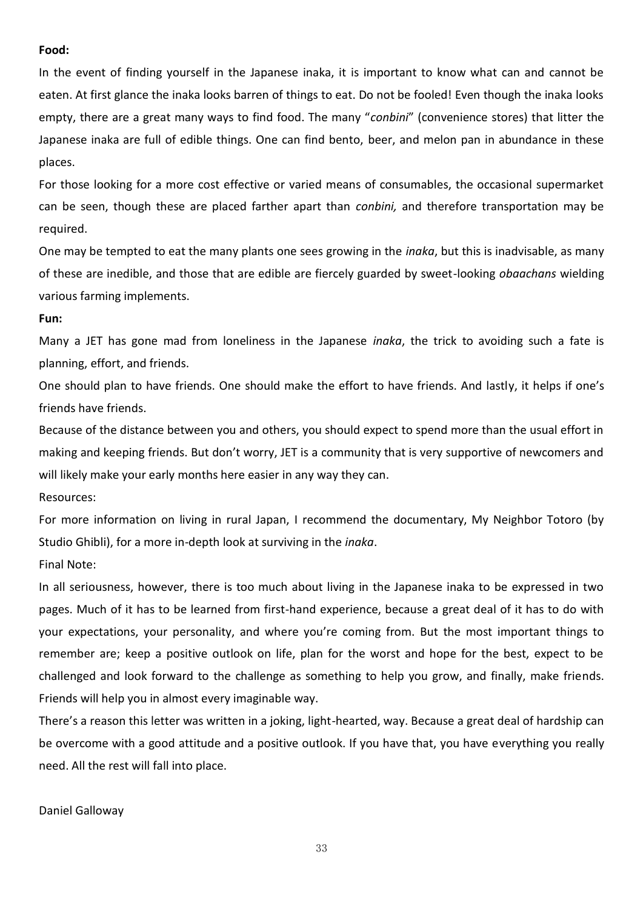#### **Food:**

In the event of finding yourself in the Japanese inaka, it is important to know what can and cannot be eaten. At first glance the inaka looks barren of things to eat. Do not be fooled! Even though the inaka looks empty, there are a great many ways to find food. The many "*conbini*" (convenience stores) that litter the Japanese inaka are full of edible things. One can find bento, beer, and melon pan in abundance in these places.

For those looking for a more cost effective or varied means of consumables, the occasional supermarket can be seen, though these are placed farther apart than *conbini,* and therefore transportation may be required.

One may be tempted to eat the many plants one sees growing in the *inaka*, but this is inadvisable, as many of these are inedible, and those that are edible are fiercely guarded by sweet-looking *obaachans* wielding various farming implements.

#### **Fun:**

Many a JET has gone mad from loneliness in the Japanese *inaka*, the trick to avoiding such a fate is planning, effort, and friends.

One should plan to have friends. One should make the effort to have friends. And lastly, it helps if one's friends have friends.

Because of the distance between you and others, you should expect to spend more than the usual effort in making and keeping friends. But don't worry, JET is a community that is very supportive of newcomers and will likely make your early months here easier in any way they can.

Resources:

For more information on living in rural Japan, I recommend the documentary, My Neighbor Totoro (by Studio Ghibli), for a more in-depth look at surviving in the *inaka*.

Final Note:

In all seriousness, however, there is too much about living in the Japanese inaka to be expressed in two pages. Much of it has to be learned from first-hand experience, because a great deal of it has to do with your expectations, your personality, and where you're coming from. But the most important things to remember are; keep a positive outlook on life, plan for the worst and hope for the best, expect to be challenged and look forward to the challenge as something to help you grow, and finally, make friends. Friends will help you in almost every imaginable way.

There's a reason this letter was written in a joking, light-hearted, way. Because a great deal of hardship can be overcome with a good attitude and a positive outlook. If you have that, you have everything you really need. All the rest will fall into place.

Daniel Galloway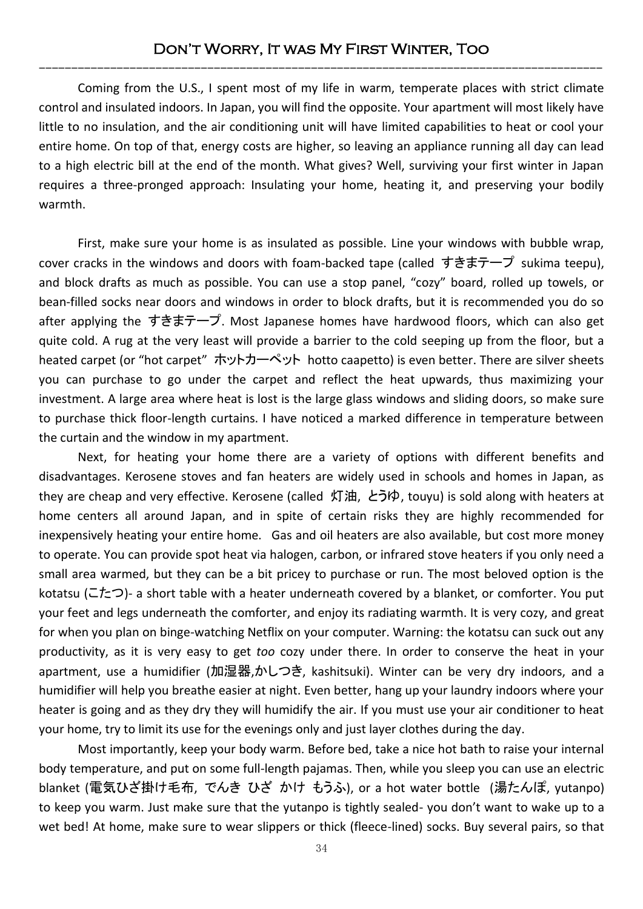# Don't Worry, It was My First Winter, Too ---------------------------------------------------------------------------------------

Coming from the U.S., I spent most of my life in warm, temperate places with strict climate control and insulated indoors. In Japan, you will find the opposite. Your apartment will most likely have little to no insulation, and the air conditioning unit will have limited capabilities to heat or cool your entire home. On top of that, energy costs are higher, so leaving an appliance running all day can lead to a high electric bill at the end of the month. What gives? Well, surviving your first winter in Japan requires a three-pronged approach: Insulating your home, heating it, and preserving your bodily warmth.

First, make sure your home is as insulated as possible. Line your windows with bubble wrap, cover cracks in the windows and doors with foam-backed tape (called すきまテープ sukima teepu), and block drafts as much as possible. You can use a stop panel, "cozy" board, rolled up towels, or bean-filled socks near doors and windows in order to block drafts, but it is recommended you do so after applying the すきまテープ. Most Japanese homes have hardwood floors, which can also get quite cold. A rug at the very least will provide a barrier to the cold seeping up from the floor, but a heated carpet (or "hot carpet" ホットカーペット hotto caapetto) is even better. There are silver sheets you can purchase to go under the carpet and reflect the heat upwards, thus maximizing your investment. A large area where heat is lost is the large glass windows and sliding doors, so make sure to purchase thick floor-length curtains. I have noticed a marked difference in temperature between the curtain and the window in my apartment.

Next, for heating your home there are a variety of options with different benefits and disadvantages. Kerosene stoves and fan heaters are widely used in schools and homes in Japan, as they are cheap and very effective. Kerosene (called 灯油, とうゆ, touyu) is sold along with heaters at home centers all around Japan, and in spite of certain risks they are highly recommended for inexpensively heating your entire home. Gas and oil heaters are also available, but cost more money to operate. You can provide spot heat via halogen, carbon, or infrared stove heaters if you only need a small area warmed, but they can be a bit pricey to purchase or run. The most beloved option is the kotatsu (こたつ)- a short table with a heater underneath covered by a blanket, or comforter. You put your feet and legs underneath the comforter, and enjoy its radiating warmth. It is very cozy, and great for when you plan on binge-watching Netflix on your computer. Warning: the kotatsu can suck out any productivity, as it is very easy to get *too* cozy under there. In order to conserve the heat in your apartment, use a humidifier (加湿器,かしつき, kashitsuki). Winter can be very dry indoors, and a humidifier will help you breathe easier at night. Even better, hang up your laundry indoors where your heater is going and as they dry they will humidify the air. If you must use your air conditioner to heat your home, try to limit its use for the evenings only and just layer clothes during the day.

Most importantly, keep your body warm. Before bed, take a nice hot bath to raise your internal body temperature, and put on some full-length pajamas. Then, while you sleep you can use an electric blanket (電気ひざ掛け毛布, でんき ひざ かけ もうふ), or a hot water bottle (湯たんぽ, yutanpo) to keep you warm. Just make sure that the yutanpo is tightly sealed- you don't want to wake up to a wet bed! At home, make sure to wear slippers or thick (fleece-lined) socks. Buy several pairs, so that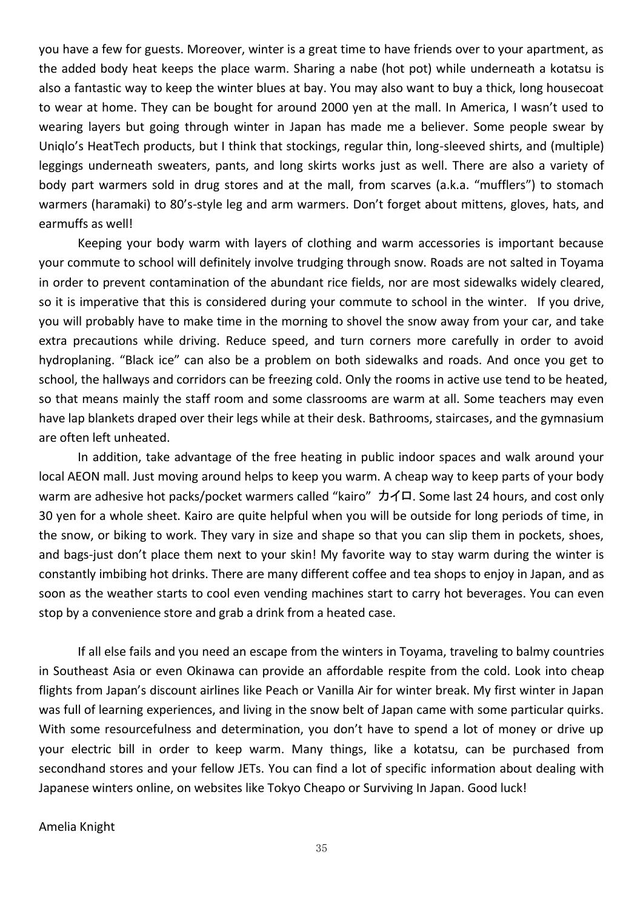you have a few for guests. Moreover, winter is a great time to have friends over to your apartment, as the added body heat keeps the place warm. Sharing a nabe (hot pot) while underneath a kotatsu is also a fantastic way to keep the winter blues at bay. You may also want to buy a thick, long housecoat to wear at home. They can be bought for around 2000 yen at the mall. In America, I wasn't used to wearing layers but going through winter in Japan has made me a believer. Some people swear by Uniqlo's HeatTech products, but I think that stockings, regular thin, long-sleeved shirts, and (multiple) leggings underneath sweaters, pants, and long skirts works just as well. There are also a variety of body part warmers sold in drug stores and at the mall, from scarves (a.k.a. "mufflers") to stomach warmers (haramaki) to 80's-style leg and arm warmers. Don't forget about mittens, gloves, hats, and earmuffs as well!

Keeping your body warm with layers of clothing and warm accessories is important because your commute to school will definitely involve trudging through snow. Roads are not salted in Toyama in order to prevent contamination of the abundant rice fields, nor are most sidewalks widely cleared, so it is imperative that this is considered during your commute to school in the winter. If you drive, you will probably have to make time in the morning to shovel the snow away from your car, and take extra precautions while driving. Reduce speed, and turn corners more carefully in order to avoid hydroplaning. "Black ice" can also be a problem on both sidewalks and roads. And once you get to school, the hallways and corridors can be freezing cold. Only the rooms in active use tend to be heated, so that means mainly the staff room and some classrooms are warm at all. Some teachers may even have lap blankets draped over their legs while at their desk. Bathrooms, staircases, and the gymnasium are often left unheated.

In addition, take advantage of the free heating in public indoor spaces and walk around your local AEON mall. Just moving around helps to keep you warm. A cheap way to keep parts of your body warm are adhesive hot packs/pocket warmers called "kairo" カイロ. Some last 24 hours, and cost only 30 yen for a whole sheet. Kairo are quite helpful when you will be outside for long periods of time, in the snow, or biking to work. They vary in size and shape so that you can slip them in pockets, shoes, and bags-just don't place them next to your skin! My favorite way to stay warm during the winter is constantly imbibing hot drinks. There are many different coffee and tea shops to enjoy in Japan, and as soon as the weather starts to cool even vending machines start to carry hot beverages. You can even stop by a convenience store and grab a drink from a heated case.

If all else fails and you need an escape from the winters in Toyama, traveling to balmy countries in Southeast Asia or even Okinawa can provide an affordable respite from the cold. Look into cheap flights from Japan's discount airlines like Peach or Vanilla Air for winter break. My first winter in Japan was full of learning experiences, and living in the snow belt of Japan came with some particular quirks. With some resourcefulness and determination, you don't have to spend a lot of money or drive up your electric bill in order to keep warm. Many things, like a kotatsu, can be purchased from secondhand stores and your fellow JETs. You can find a lot of specific information about dealing with Japanese winters online, on websites like Tokyo Cheapo or Surviving In Japan. Good luck!

Amelia Knight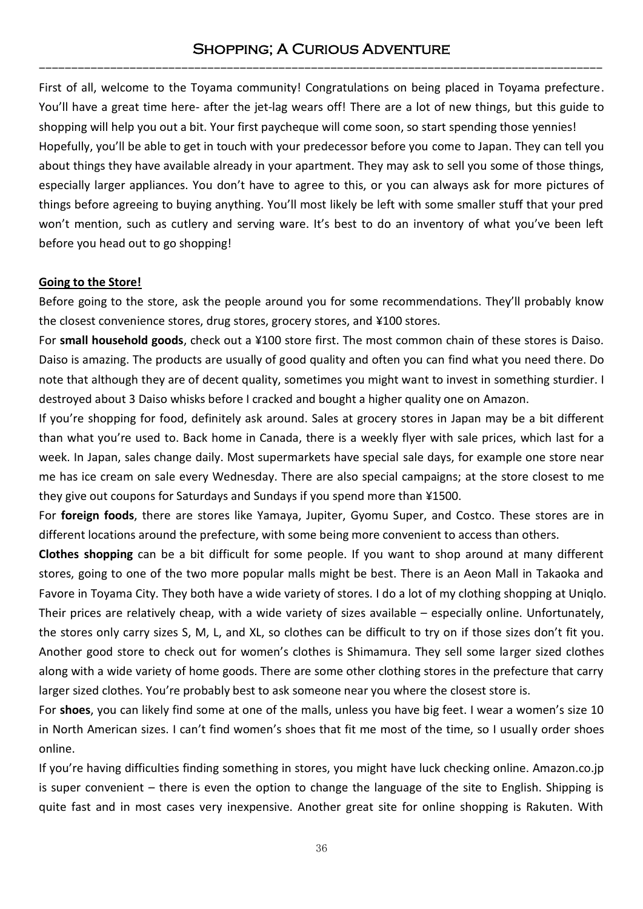# Shopping; A Curious Adventure ---------------------------------------------------------------------------------------

First of all, welcome to the Toyama community! Congratulations on being placed in Toyama prefecture. You'll have a great time here- after the jet-lag wears off! There are a lot of new things, but this guide to shopping will help you out a bit. Your first paycheque will come soon, so start spending those yennies! Hopefully, you'll be able to get in touch with your predecessor before you come to Japan. They can tell you about things they have available already in your apartment. They may ask to sell you some of those things, especially larger appliances. You don't have to agree to this, or you can always ask for more pictures of things before agreeing to buying anything. You'll most likely be left with some smaller stuff that your pred won't mention, such as cutlery and serving ware. It's best to do an inventory of what you've been left before you head out to go shopping!

### **Going to the Store!**

Before going to the store, ask the people around you for some recommendations. They'll probably know the closest convenience stores, drug stores, grocery stores, and ¥100 stores.

For **small household goods**, check out a ¥100 store first. The most common chain of these stores is Daiso. Daiso is amazing. The products are usually of good quality and often you can find what you need there. Do note that although they are of decent quality, sometimes you might want to invest in something sturdier. I destroyed about 3 Daiso whisks before I cracked and bought a higher quality one on Amazon.

If you're shopping for food, definitely ask around. Sales at grocery stores in Japan may be a bit different than what you're used to. Back home in Canada, there is a weekly flyer with sale prices, which last for a week. In Japan, sales change daily. Most supermarkets have special sale days, for example one store near me has ice cream on sale every Wednesday. There are also special campaigns; at the store closest to me they give out coupons for Saturdays and Sundays if you spend more than ¥1500.

For **foreign foods**, there are stores like Yamaya, Jupiter, Gyomu Super, and Costco. These stores are in different locations around the prefecture, with some being more convenient to access than others.

**Clothes shopping** can be a bit difficult for some people. If you want to shop around at many different stores, going to one of the two more popular malls might be best. There is an Aeon Mall in Takaoka and Favore in Toyama City. They both have a wide variety of stores. I do a lot of my clothing shopping at Uniqlo. Their prices are relatively cheap, with a wide variety of sizes available – especially online. Unfortunately, the stores only carry sizes S, M, L, and XL, so clothes can be difficult to try on if those sizes don't fit you. Another good store to check out for women's clothes is Shimamura. They sell some larger sized clothes along with a wide variety of home goods. There are some other clothing stores in the prefecture that carry larger sized clothes. You're probably best to ask someone near you where the closest store is.

For **shoes**, you can likely find some at one of the malls, unless you have big feet. I wear a women's size 10 in North American sizes. I can't find women's shoes that fit me most of the time, so I usually order shoes online.

If you're having difficulties finding something in stores, you might have luck checking online. Amazon.co.jp is super convenient – there is even the option to change the language of the site to English. Shipping is quite fast and in most cases very inexpensive. Another great site for online shopping is Rakuten. With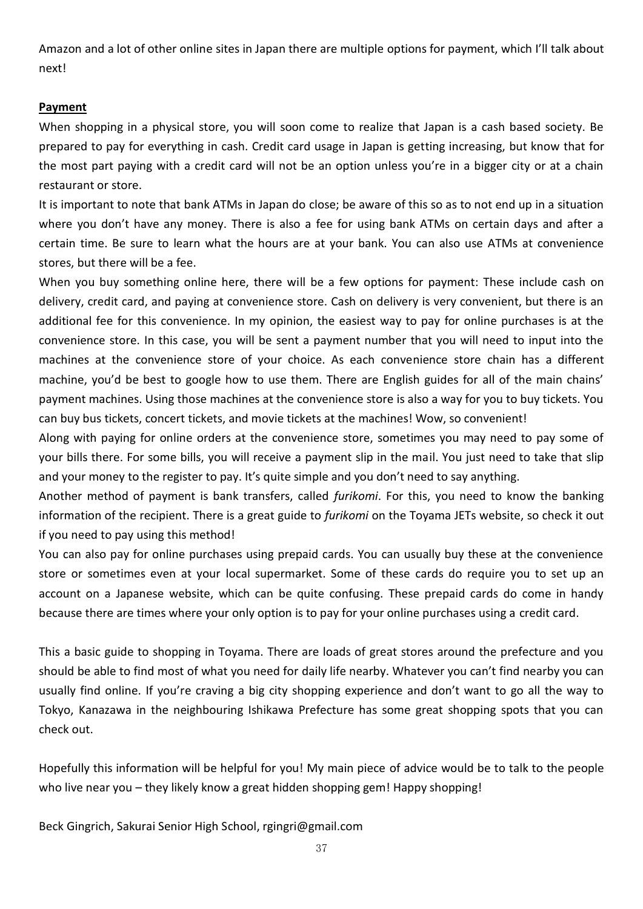Amazon and a lot of other online sites in Japan there are multiple options for payment, which I'll talk about next!

### **Payment**

When shopping in a physical store, you will soon come to realize that Japan is a cash based society. Be prepared to pay for everything in cash. Credit card usage in Japan is getting increasing, but know that for the most part paying with a credit card will not be an option unless you're in a bigger city or at a chain restaurant or store.

It is important to note that bank ATMs in Japan do close; be aware of this so as to not end up in a situation where you don't have any money. There is also a fee for using bank ATMs on certain days and after a certain time. Be sure to learn what the hours are at your bank. You can also use ATMs at convenience stores, but there will be a fee.

When you buy something online here, there will be a few options for payment: These include cash on delivery, credit card, and paying at convenience store. Cash on delivery is very convenient, but there is an additional fee for this convenience. In my opinion, the easiest way to pay for online purchases is at the convenience store. In this case, you will be sent a payment number that you will need to input into the machines at the convenience store of your choice. As each convenience store chain has a different machine, you'd be best to google how to use them. There are English guides for all of the main chains' payment machines. Using those machines at the convenience store is also a way for you to buy tickets. You can buy bus tickets, concert tickets, and movie tickets at the machines! Wow, so convenient!

Along with paying for online orders at the convenience store, sometimes you may need to pay some of your bills there. For some bills, you will receive a payment slip in the mail. You just need to take that slip and your money to the register to pay. It's quite simple and you don't need to say anything.

Another method of payment is bank transfers, called *furikomi*. For this, you need to know the banking information of the recipient. There is a great guide to *furikomi* on the Toyama JETs website, so check it out if you need to pay using this method!

You can also pay for online purchases using prepaid cards. You can usually buy these at the convenience store or sometimes even at your local supermarket. Some of these cards do require you to set up an account on a Japanese website, which can be quite confusing. These prepaid cards do come in handy because there are times where your only option is to pay for your online purchases using a credit card.

This a basic guide to shopping in Toyama. There are loads of great stores around the prefecture and you should be able to find most of what you need for daily life nearby. Whatever you can't find nearby you can usually find online. If you're craving a big city shopping experience and don't want to go all the way to Tokyo, Kanazawa in the neighbouring Ishikawa Prefecture has some great shopping spots that you can check out.

Hopefully this information will be helpful for you! My main piece of advice would be to talk to the people who live near you – they likely know a great hidden shopping gem! Happy shopping!

Beck Gingrich, Sakurai Senior High School, rgingri@gmail.com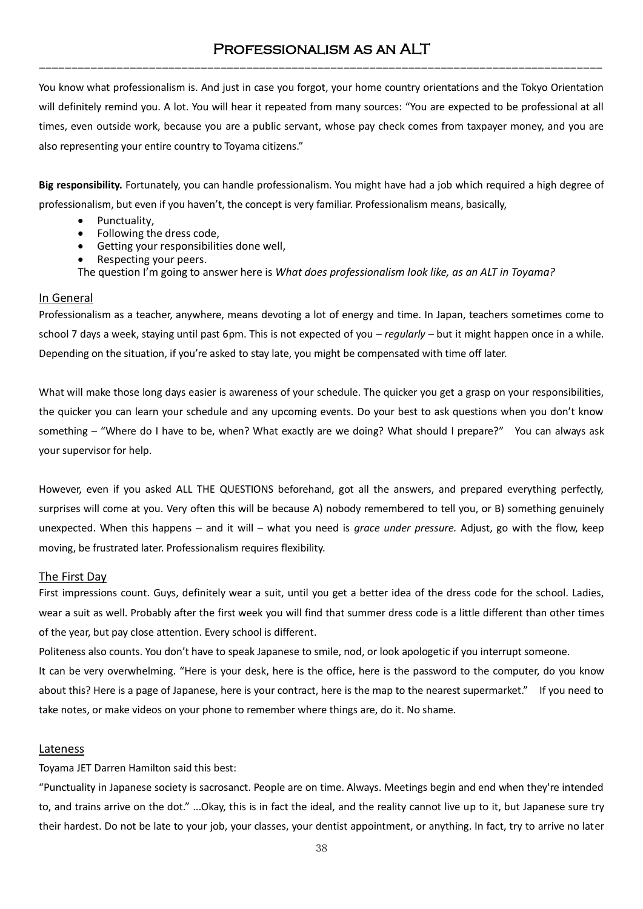# Professionalism as an ALT ---------------------------------------------------------------------------------------

You know what professionalism is. And just in case you forgot, your home country orientations and the Tokyo Orientation will definitely remind you. A lot. You will hear it repeated from many sources: "You are expected to be professional at all times, even outside work, because you are a public servant, whose pay check comes from taxpayer money, and you are also representing your entire country to Toyama citizens."

**Big responsibility.** Fortunately, you can handle professionalism. You might have had a job which required a high degree of professionalism, but even if you haven't, the concept is very familiar. Professionalism means, basically,

- Punctuality,
- Following the dress code,
- Getting your responsibilities done well,
- Respecting your peers.

The question I'm going to answer here is *What does professionalism look like, as an ALT in Toyama?* 

#### In General

Professionalism as a teacher, anywhere, means devoting a lot of energy and time. In Japan, teachers sometimes come to school 7 days a week, staying until past 6pm. This is not expected of you – *regularly –* but it might happen once in a while. Depending on the situation, if you're asked to stay late, you might be compensated with time off later.

What will make those long days easier is awareness of your schedule. The quicker you get a grasp on your responsibilities, the quicker you can learn your schedule and any upcoming events. Do your best to ask questions when you don't know something – "Where do I have to be, when? What exactly are we doing? What should I prepare?" You can always ask your supervisor for help.

However, even if you asked ALL THE QUESTIONS beforehand, got all the answers, and prepared everything perfectly, surprises will come at you. Very often this will be because A) nobody remembered to tell you, or B) something genuinely unexpected. When this happens – and it will – what you need is *grace under pressure.* Adjust, go with the flow, keep moving, be frustrated later. Professionalism requires flexibility.

#### The First Day

First impressions count. Guys, definitely wear a suit, until you get a better idea of the dress code for the school. Ladies, wear a suit as well. Probably after the first week you will find that summer dress code is a little different than other times of the year, but pay close attention. Every school is different.

Politeness also counts. You don't have to speak Japanese to smile, nod, or look apologetic if you interrupt someone. It can be very overwhelming. "Here is your desk, here is the office, here is the password to the computer, do you know about this? Here is a page of Japanese, here is your contract, here is the map to the nearest supermarket." If you need to take notes, or make videos on your phone to remember where things are, do it. No shame.

#### Lateness

Toyama JET Darren Hamilton said this best:

"Punctuality in Japanese society is sacrosanct. People are on time. Always. Meetings begin and end when they're intended to, and trains arrive on the dot." ...Okay, this is in fact the ideal, and the reality cannot live up to it, but Japanese sure try their hardest. Do not be late to your job, your classes, your dentist appointment, or anything. In fact, try to arrive no later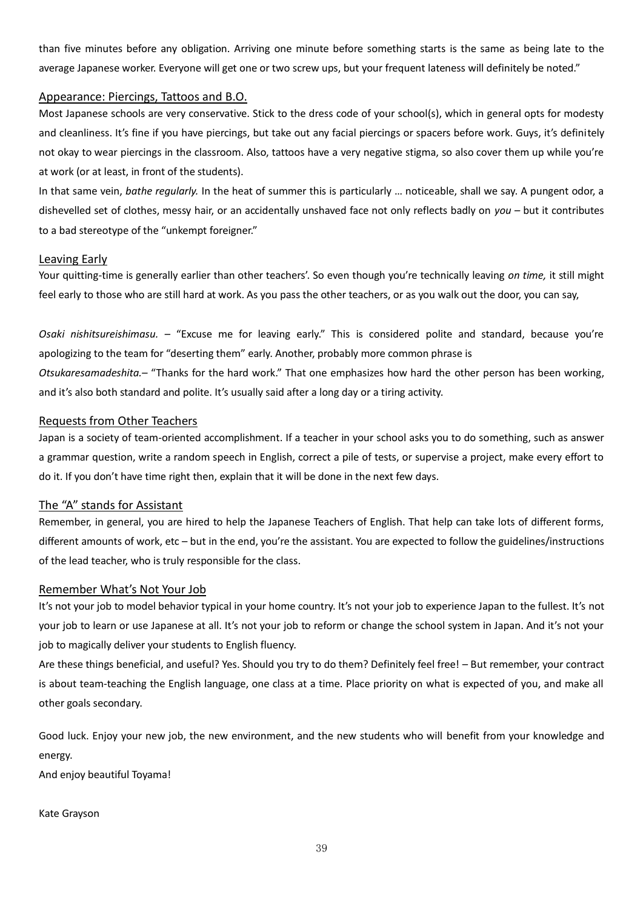than five minutes before any obligation. Arriving one minute before something starts is the same as being late to the average Japanese worker. Everyone will get one or two screw ups, but your frequent lateness will definitely be noted."

#### Appearance: Piercings, Tattoos and B.O.

Most Japanese schools are very conservative. Stick to the dress code of your school(s), which in general opts for modesty and cleanliness. It's fine if you have piercings, but take out any facial piercings or spacers before work. Guys, it's definitely not okay to wear piercings in the classroom. Also, tattoos have a very negative stigma, so also cover them up while you're at work (or at least, in front of the students).

In that same vein, *bathe regularly.* In the heat of summer this is particularly … noticeable, shall we say. A pungent odor, a dishevelled set of clothes, messy hair, or an accidentally unshaved face not only reflects badly on *you –* but it contributes to a bad stereotype of the "unkempt foreigner."

#### Leaving Early

Your quitting-time is generally earlier than other teachers'. So even though you're technically leaving *on time,* it still might feel early to those who are still hard at work. As you pass the other teachers, or as you walk out the door, you can say,

*Osaki nishitsureishimasu. –* "Excuse me for leaving early." This is considered polite and standard, because you're apologizing to the team for "deserting them" early. Another, probably more common phrase is *Otsukaresamadeshita.–* "Thanks for the hard work." That one emphasizes how hard the other person has been working, and it's also both standard and polite. It's usually said after a long day or a tiring activity.

#### Requests from Other Teachers

Japan is a society of team-oriented accomplishment. If a teacher in your school asks you to do something, such as answer a grammar question, write a random speech in English, correct a pile of tests, or supervise a project, make every effort to do it. If you don't have time right then, explain that it will be done in the next few days.

#### The "A" stands for Assistant

Remember, in general, you are hired to help the Japanese Teachers of English. That help can take lots of different forms, different amounts of work, etc – but in the end, you're the assistant. You are expected to follow the guidelines/instructions of the lead teacher, who is truly responsible for the class.

#### Remember What's Not Your Job

It's not your job to model behavior typical in your home country. It's not your job to experience Japan to the fullest. It's not your job to learn or use Japanese at all. It's not your job to reform or change the school system in Japan. And it's not your job to magically deliver your students to English fluency.

Are these things beneficial, and useful? Yes. Should you try to do them? Definitely feel free! – But remember, your contract is about team-teaching the English language, one class at a time. Place priority on what is expected of you, and make all other goals secondary.

Good luck. Enjoy your new job, the new environment, and the new students who will benefit from your knowledge and energy.

And enjoy beautiful Toyama!

#### Kate Grayson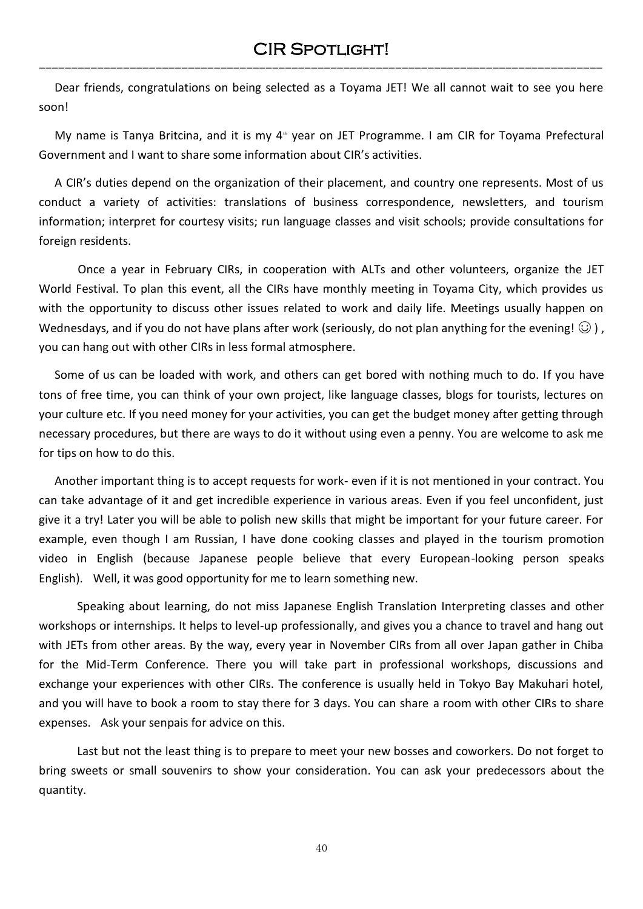Dear friends, congratulations on being selected as a Toyama JET! We all cannot wait to see you here soon!

My name is Tanya Britcina, and it is my  $4<sup>th</sup>$  year on JET Programme. I am CIR for Toyama Prefectural Government and I want to share some information about CIR's activities.

A CIR's duties depend on the organization of their placement, and country one represents. Most of us conduct a variety of activities: translations of business correspondence, newsletters, and tourism information; interpret for courtesy visits; run language classes and visit schools; provide consultations for foreign residents.

Once a year in February CIRs, in cooperation with ALTs and other volunteers, organize the JET World Festival. To plan this event, all the CIRs have monthly meeting in Toyama City, which provides us with the opportunity to discuss other issues related to work and daily life. Meetings usually happen on Wednesdays, and if you do not have plans after work (seriously, do not plan anything for the evening!  $\odot$  ), you can hang out with other CIRs in less formal atmosphere.

Some of us can be loaded with work, and others can get bored with nothing much to do. If you have tons of free time, you can think of your own project, like language classes, blogs for tourists, lectures on your culture etc. If you need money for your activities, you can get the budget money after getting through necessary procedures, but there are ways to do it without using even a penny. You are welcome to ask me for tips on how to do this.

Another important thing is to accept requests for work- even if it is not mentioned in your contract. You can take advantage of it and get incredible experience in various areas. Even if you feel unconfident, just give it a try! Later you will be able to polish new skills that might be important for your future career. For example, even though I am Russian, I have done cooking classes and played in the tourism promotion video in English (because Japanese people believe that every European-looking person speaks English). Well, it was good opportunity for me to learn something new.

Speaking about learning, do not miss Japanese English Translation Interpreting classes and other workshops or internships. It helps to level-up professionally, and gives you a chance to travel and hang out with JETs from other areas. By the way, every year in November CIRs from all over Japan gather in Chiba for the Mid-Term Conference. There you will take part in professional workshops, discussions and exchange your experiences with other CIRs. The conference is usually held in Tokyo Bay Makuhari hotel, and you will have to book a room to stay there for 3 days. You can share a room with other CIRs to share expenses. Ask your senpais for advice on this.

Last but not the least thing is to prepare to meet your new bosses and coworkers. Do not forget to bring sweets or small souvenirs to show your consideration. You can ask your predecessors about the quantity.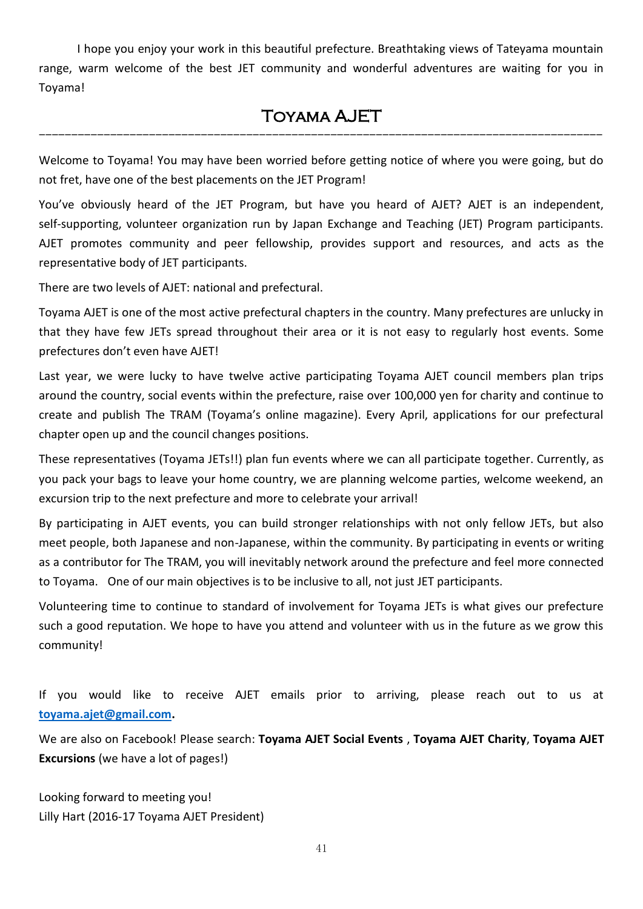I hope you enjoy your work in this beautiful prefecture. Breathtaking views of Tateyama mountain range, warm welcome of the best JET community and wonderful adventures are waiting for you in Toyama!

# Toyama AJET ---------------------------------------------------------------------------------------

Welcome to Toyama! You may have been worried before getting notice of where you were going, but do not fret, have one of the best placements on the JET Program!

You've obviously heard of the JET Program, but have you heard of AJET? AJET is an independent, self-supporting, volunteer organization run by Japan Exchange and Teaching (JET) Program participants. AJET promotes community and peer fellowship, provides support and resources, and acts as the representative body of JET participants.

There are two levels of AJET: national and prefectural.

Toyama AJET is one of the most active prefectural chapters in the country. Many prefectures are unlucky in that they have few JETs spread throughout their area or it is not easy to regularly host events. Some prefectures don't even have AJET!

Last year, we were lucky to have twelve active participating Toyama AJET council members plan trips around the country, social events within the prefecture, raise over 100,000 yen for charity and continue to create and publish The TRAM (Toyama's online magazine). Every April, applications for our prefectural chapter open up and the council changes positions.

These representatives (Toyama JETs!!) plan fun events where we can all participate together. Currently, as you pack your bags to leave your home country, we are planning welcome parties, welcome weekend, an excursion trip to the next prefecture and more to celebrate your arrival!

By participating in AJET events, you can build stronger relationships with not only fellow JETs, but also meet people, both Japanese and non-Japanese, within the community. By participating in events or writing as a contributor for The TRAM, you will inevitably network around the prefecture and feel more connected to Toyama. One of our main objectives is to be inclusive to all, not just JET participants.

Volunteering time to continue to standard of involvement for Toyama JETs is what gives our prefecture such a good reputation. We hope to have you attend and volunteer with us in the future as we grow this community!

If you would like to receive AJET emails prior to arriving, please reach out to us at **[toyama.ajet@gmail.com.](mailto:toyama.ajet@gmail.com)**

We are also on Facebook! Please search: **Toyama AJET Social Events** , **Toyama AJET Charity**, **Toyama AJET Excursions** (we have a lot of pages!)

Looking forward to meeting you! Lilly Hart (2016-17 Toyama AJET President)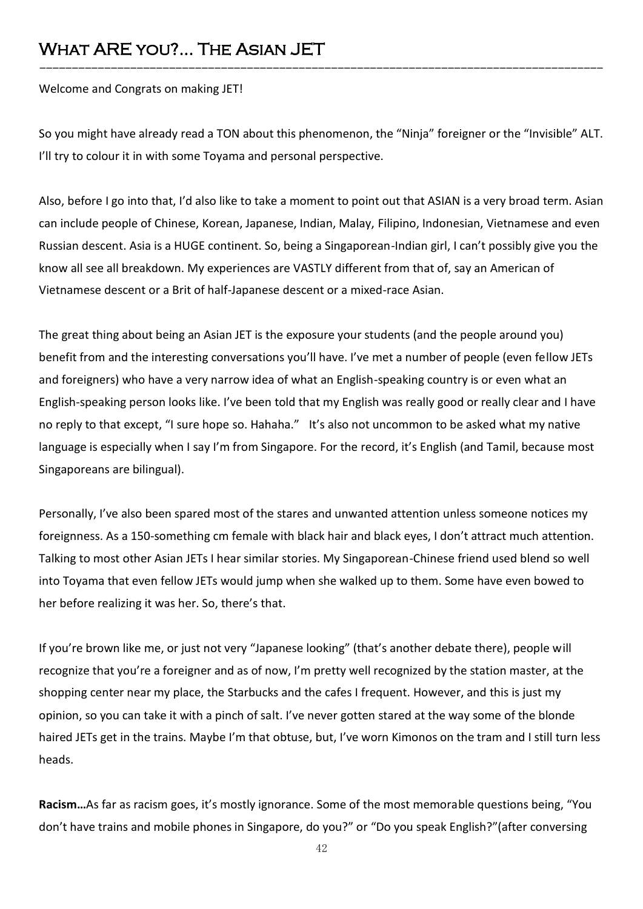# What ARE you?... The Asian JET

Welcome and Congrats on making JET!

So you might have already read a TON about this phenomenon, the "Ninja" foreigner or the "Invisible" ALT. I'll try to colour it in with some Toyama and personal perspective.

---------------------------------------------------------------------------------------

Also, before I go into that, I'd also like to take a moment to point out that ASIAN is a very broad term. Asian can include people of Chinese, Korean, Japanese, Indian, Malay, Filipino, Indonesian, Vietnamese and even Russian descent. Asia is a HUGE continent. So, being a Singaporean-Indian girl, I can't possibly give you the know all see all breakdown. My experiences are VASTLY different from that of, say an American of Vietnamese descent or a Brit of half-Japanese descent or a mixed-race Asian.

The great thing about being an Asian JET is the exposure your students (and the people around you) benefit from and the interesting conversations you'll have. I've met a number of people (even fellow JETs and foreigners) who have a very narrow idea of what an English-speaking country is or even what an English-speaking person looks like. I've been told that my English was really good or really clear and I have no reply to that except, "I sure hope so. Hahaha." It's also not uncommon to be asked what my native language is especially when I say I'm from Singapore. For the record, it's English (and Tamil, because most Singaporeans are bilingual).

Personally, I've also been spared most of the stares and unwanted attention unless someone notices my foreignness. As a 150-something cm female with black hair and black eyes, I don't attract much attention. Talking to most other Asian JETs I hear similar stories. My Singaporean-Chinese friend used blend so well into Toyama that even fellow JETs would jump when she walked up to them. Some have even bowed to her before realizing it was her. So, there's that.

If you're brown like me, or just not very "Japanese looking" (that's another debate there), people will recognize that you're a foreigner and as of now, I'm pretty well recognized by the station master, at the shopping center near my place, the Starbucks and the cafes I frequent. However, and this is just my opinion, so you can take it with a pinch of salt. I've never gotten stared at the way some of the blonde haired JETs get in the trains. Maybe I'm that obtuse, but, I've worn Kimonos on the tram and I still turn less heads.

**Racism…**As far as racism goes, it's mostly ignorance. Some of the most memorable questions being, "You don't have trains and mobile phones in Singapore, do you?" or "Do you speak English?"(after conversing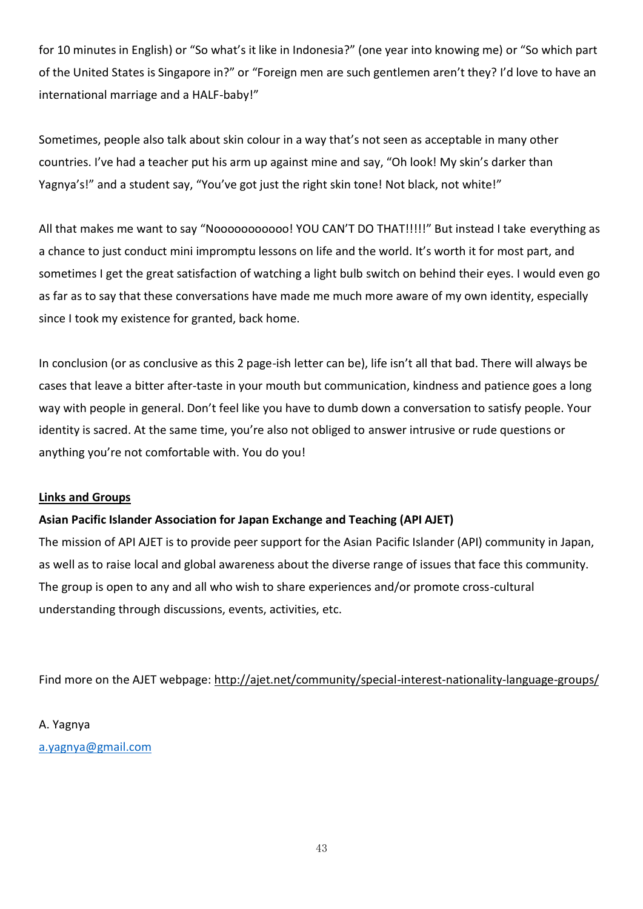for 10 minutes in English) or "So what's it like in Indonesia?" (one year into knowing me) or "So which part of the United States is Singapore in?" or "Foreign men are such gentlemen aren't they? I'd love to have an international marriage and a HALF-baby!"

Sometimes, people also talk about skin colour in a way that's not seen as acceptable in many other countries. I've had a teacher put his arm up against mine and say, "Oh look! My skin's darker than Yagnya's!" and a student say, "You've got just the right skin tone! Not black, not white!"

All that makes me want to say "Nooooooooooo! YOU CAN'T DO THAT!!!!!" But instead I take everything as a chance to just conduct mini impromptu lessons on life and the world. It's worth it for most part, and sometimes I get the great satisfaction of watching a light bulb switch on behind their eyes. I would even go as far as to say that these conversations have made me much more aware of my own identity, especially since I took my existence for granted, back home.

In conclusion (or as conclusive as this 2 page-ish letter can be), life isn't all that bad. There will always be cases that leave a bitter after-taste in your mouth but communication, kindness and patience goes a long way with people in general. Don't feel like you have to dumb down a conversation to satisfy people. Your identity is sacred. At the same time, you're also not obliged to answer intrusive or rude questions or anything you're not comfortable with. You do you!

### **Links and Groups**

### **Asian Pacific Islander Association for Japan Exchange and Teaching (API AJET)**

The mission of API AJET is to provide peer support for the Asian Pacific Islander (API) community in Japan, as well as to raise local and global awareness about the diverse range of issues that face this community. The group is open to any and all who wish to share experiences and/or promote cross-cultural understanding through discussions, events, activities, etc.

Find more on the AJET webpage: [http://ajet.net/community/special-interest-nationality-language-groups/](http://l.facebook.com/l.php?u=http%3A%2F%2Fajet.net%2Fcommunity%2Fspecial-interest-nationality-language-groups%2F&h=7AQGhrQad)

A. Yagnya [a.yagnya@gmail.com](mailto:a.yagnya@gmail.com)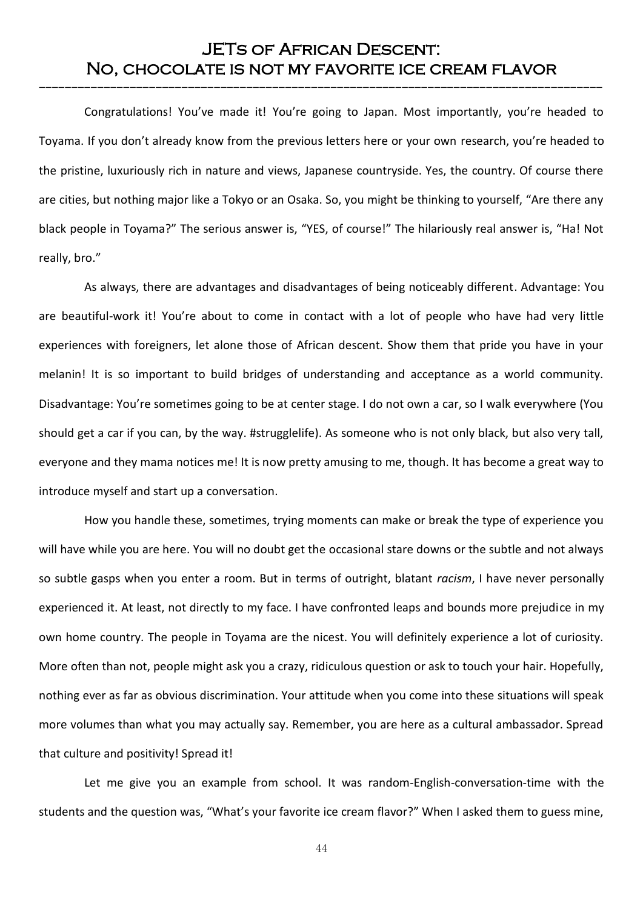# JETs of African Descent: No, chocolate is not my favorite ice cream flavor

---------------------------------------------------------------------------------------

Congratulations! You've made it! You're going to Japan. Most importantly, you're headed to Toyama. If you don't already know from the previous letters here or your own research, you're headed to the pristine, luxuriously rich in nature and views, Japanese countryside. Yes, the country. Of course there are cities, but nothing major like a Tokyo or an Osaka. So, you might be thinking to yourself, "Are there any black people in Toyama?" The serious answer is, "YES, of course!" The hilariously real answer is, "Ha! Not really, bro."

As always, there are advantages and disadvantages of being noticeably different. Advantage: You are beautiful-work it! You're about to come in contact with a lot of people who have had very little experiences with foreigners, let alone those of African descent. Show them that pride you have in your melanin! It is so important to build bridges of understanding and acceptance as a world community. Disadvantage: You're sometimes going to be at center stage. I do not own a car, so I walk everywhere (You should get a car if you can, by the way. #strugglelife). As someone who is not only black, but also very tall, everyone and they mama notices me! It is now pretty amusing to me, though. It has become a great way to introduce myself and start up a conversation.

How you handle these, sometimes, trying moments can make or break the type of experience you will have while you are here. You will no doubt get the occasional stare downs or the subtle and not always so subtle gasps when you enter a room. But in terms of outright, blatant *racism*, I have never personally experienced it. At least, not directly to my face. I have confronted leaps and bounds more prejudice in my own home country. The people in Toyama are the nicest. You will definitely experience a lot of curiosity. More often than not, people might ask you a crazy, ridiculous question or ask to touch your hair. Hopefully, nothing ever as far as obvious discrimination. Your attitude when you come into these situations will speak more volumes than what you may actually say. Remember, you are here as a cultural ambassador. Spread that culture and positivity! Spread it!

Let me give you an example from school. It was random-English-conversation-time with the students and the question was, "What's your favorite ice cream flavor?" When I asked them to guess mine,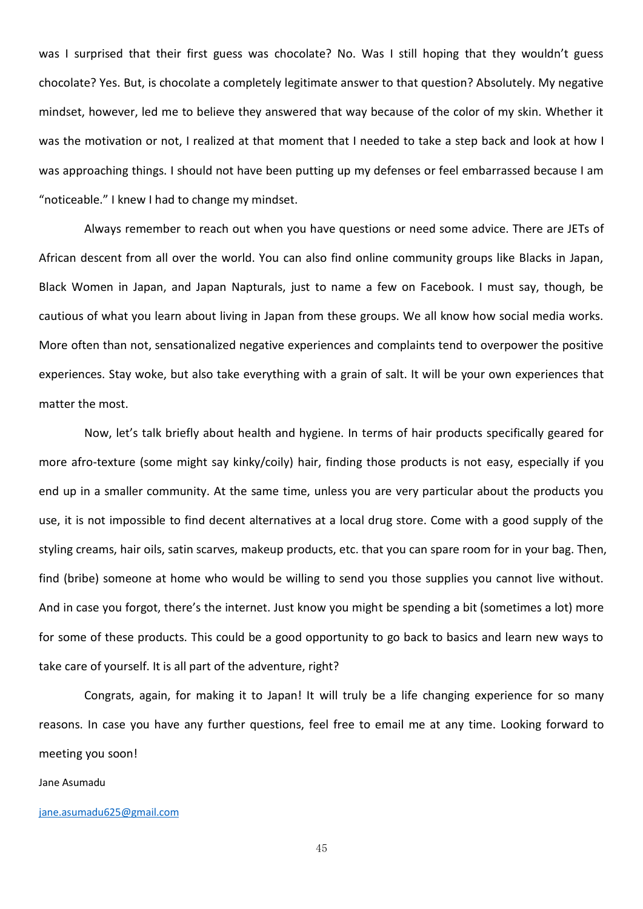was I surprised that their first guess was chocolate? No. Was I still hoping that they wouldn't guess chocolate? Yes. But, is chocolate a completely legitimate answer to that question? Absolutely. My negative mindset, however, led me to believe they answered that way because of the color of my skin. Whether it was the motivation or not, I realized at that moment that I needed to take a step back and look at how I was approaching things. I should not have been putting up my defenses or feel embarrassed because I am "noticeable." I knew I had to change my mindset.

Always remember to reach out when you have questions or need some advice. There are JETs of African descent from all over the world. You can also find online community groups like Blacks in Japan, Black Women in Japan, and Japan Napturals, just to name a few on Facebook. I must say, though, be cautious of what you learn about living in Japan from these groups. We all know how social media works. More often than not, sensationalized negative experiences and complaints tend to overpower the positive experiences. Stay woke, but also take everything with a grain of salt. It will be your own experiences that matter the most.

Now, let's talk briefly about health and hygiene. In terms of hair products specifically geared for more afro-texture (some might say kinky/coily) hair, finding those products is not easy, especially if you end up in a smaller community. At the same time, unless you are very particular about the products you use, it is not impossible to find decent alternatives at a local drug store. Come with a good supply of the styling creams, hair oils, satin scarves, makeup products, etc. that you can spare room for in your bag. Then, find (bribe) someone at home who would be willing to send you those supplies you cannot live without. And in case you forgot, there's the internet. Just know you might be spending a bit (sometimes a lot) more for some of these products. This could be a good opportunity to go back to basics and learn new ways to take care of yourself. It is all part of the adventure, right?

Congrats, again, for making it to Japan! It will truly be a life changing experience for so many reasons. In case you have any further questions, feel free to email me at any time. Looking forward to meeting you soon!

#### Jane Asumadu

#### [jane.asumadu625@gmail.com](mailto:jane.asumadu625@gmail.com)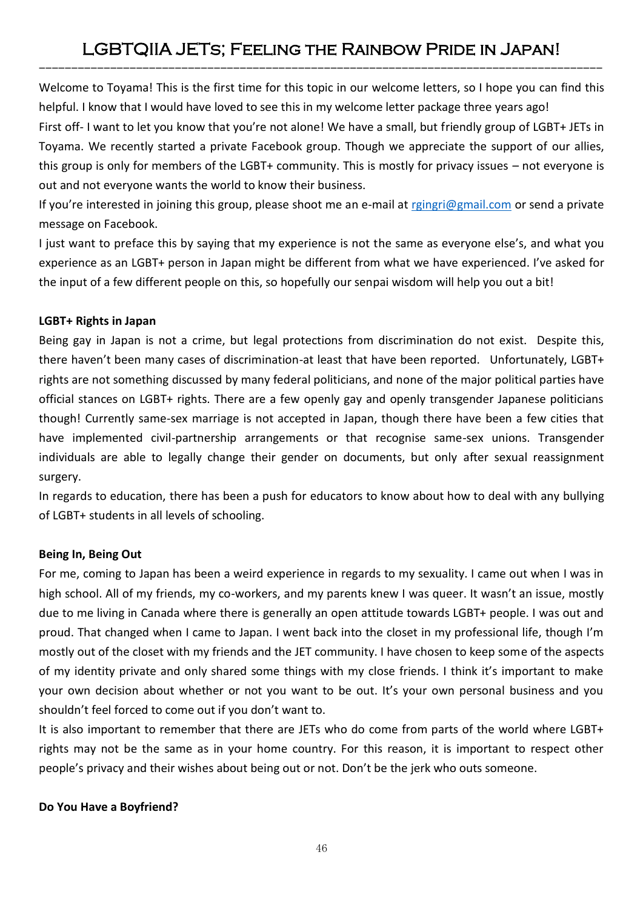# LGBTQIIA JETs; Feeling the Rainbow Pride in Japan! ---------------------------------------------------------------------------------------

Welcome to Toyama! This is the first time for this topic in our welcome letters, so I hope you can find this helpful. I know that I would have loved to see this in my welcome letter package three years ago!

First off- I want to let you know that you're not alone! We have a small, but friendly group of LGBT+ JETs in Toyama. We recently started a private Facebook group. Though we appreciate the support of our allies, this group is only for members of the LGBT+ community. This is mostly for privacy issues – not everyone is out and not everyone wants the world to know their business.

If you're interested in joining this group, please shoot me an e-mail at [rgingri@gmail.com](mailto:rgingri@gmail.com) or send a private message on Facebook.

I just want to preface this by saying that my experience is not the same as everyone else's, and what you experience as an LGBT+ person in Japan might be different from what we have experienced. I've asked for the input of a few different people on this, so hopefully our senpai wisdom will help you out a bit!

### **LGBT+ Rights in Japan**

Being gay in Japan is not a crime, but legal protections from discrimination do not exist. Despite this, there haven't been many cases of discrimination-at least that have been reported. Unfortunately, LGBT+ rights are not something discussed by many federal politicians, and none of the major political parties have official stances on LGBT+ rights. There are a few openly gay and openly transgender Japanese politicians though! Currently same-sex marriage is not accepted in Japan, though there have been a few cities that have implemented civil-partnership arrangements or that recognise same-sex unions. Transgender individuals are able to legally change their gender on documents, but only after sexual reassignment surgery.

In regards to education, there has been a push for educators to know about how to deal with any bullying of LGBT+ students in all levels of schooling.

### **Being In, Being Out**

For me, coming to Japan has been a weird experience in regards to my sexuality. I came out when I was in high school. All of my friends, my co-workers, and my parents knew I was queer. It wasn't an issue, mostly due to me living in Canada where there is generally an open attitude towards LGBT+ people. I was out and proud. That changed when I came to Japan. I went back into the closet in my professional life, though I'm mostly out of the closet with my friends and the JET community. I have chosen to keep some of the aspects of my identity private and only shared some things with my close friends. I think it's important to make your own decision about whether or not you want to be out. It's your own personal business and you shouldn't feel forced to come out if you don't want to.

It is also important to remember that there are JETs who do come from parts of the world where LGBT+ rights may not be the same as in your home country. For this reason, it is important to respect other people's privacy and their wishes about being out or not. Don't be the jerk who outs someone.

### **Do You Have a Boyfriend?**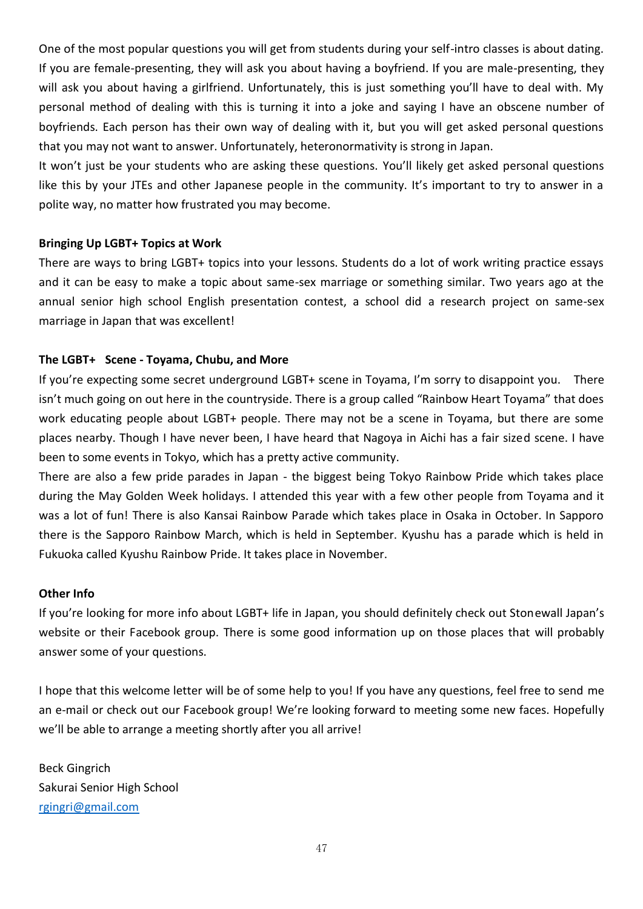One of the most popular questions you will get from students during your self-intro classes is about dating. If you are female-presenting, they will ask you about having a boyfriend. If you are male-presenting, they will ask you about having a girlfriend. Unfortunately, this is just something you'll have to deal with. My personal method of dealing with this is turning it into a joke and saying I have an obscene number of boyfriends. Each person has their own way of dealing with it, but you will get asked personal questions that you may not want to answer. Unfortunately, heteronormativity is strong in Japan.

It won't just be your students who are asking these questions. You'll likely get asked personal questions like this by your JTEs and other Japanese people in the community. It's important to try to answer in a polite way, no matter how frustrated you may become.

### **Bringing Up LGBT+ Topics at Work**

There are ways to bring LGBT+ topics into your lessons. Students do a lot of work writing practice essays and it can be easy to make a topic about same-sex marriage or something similar. Two years ago at the annual senior high school English presentation contest, a school did a research project on same-sex marriage in Japan that was excellent!

#### **The LGBT+ Scene - Toyama, Chubu, and More**

If you're expecting some secret underground LGBT+ scene in Toyama, I'm sorry to disappoint you. There isn't much going on out here in the countryside. There is a group called "Rainbow Heart Toyama" that does work educating people about LGBT+ people. There may not be a scene in Toyama, but there are some places nearby. Though I have never been, I have heard that Nagoya in Aichi has a fair sized scene. I have been to some events in Tokyo, which has a pretty active community.

There are also a few pride parades in Japan - the biggest being Tokyo Rainbow Pride which takes place during the May Golden Week holidays. I attended this year with a few other people from Toyama and it was a lot of fun! There is also Kansai Rainbow Parade which takes place in Osaka in October. In Sapporo there is the Sapporo Rainbow March, which is held in September. Kyushu has a parade which is held in Fukuoka called Kyushu Rainbow Pride. It takes place in November.

#### **Other Info**

If you're looking for more info about LGBT+ life in Japan, you should definitely check out Stonewall Japan's website or their Facebook group. There is some good information up on those places that will probably answer some of your questions.

I hope that this welcome letter will be of some help to you! If you have any questions, feel free to send me an e-mail or check out our Facebook group! We're looking forward to meeting some new faces. Hopefully we'll be able to arrange a meeting shortly after you all arrive!

Beck Gingrich Sakurai Senior High School [rgingri@gmail.com](mailto:rgingri@gmail.com)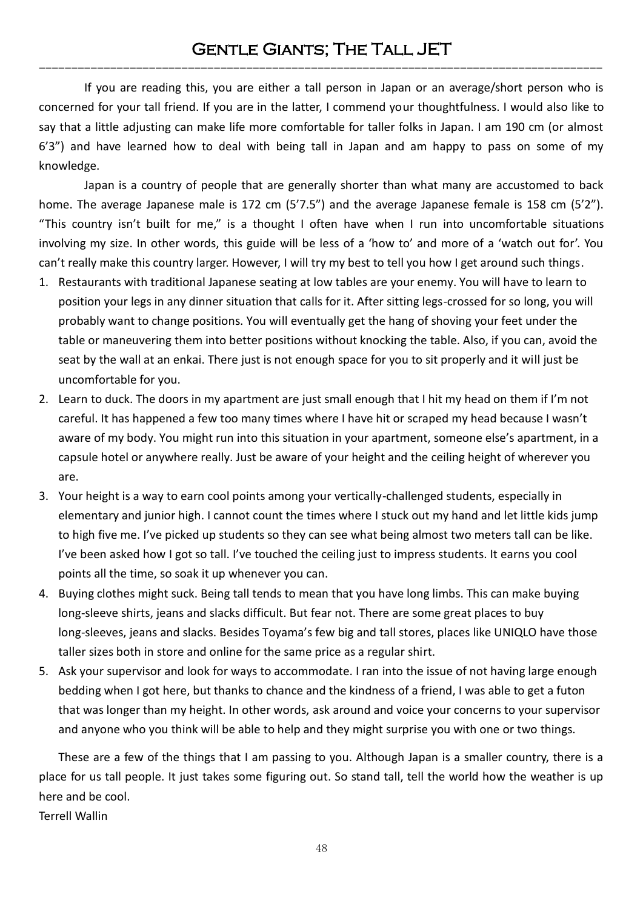If you are reading this, you are either a tall person in Japan or an average/short person who is concerned for your tall friend. If you are in the latter, I commend your thoughtfulness. I would also like to say that a little adjusting can make life more comfortable for taller folks in Japan. I am 190 cm (or almost 6'3") and have learned how to deal with being tall in Japan and am happy to pass on some of my knowledge.

Japan is a country of people that are generally shorter than what many are accustomed to back home. The average Japanese male is 172 cm (5'7.5") and the average Japanese female is 158 cm (5'2"). "This country isn't built for me," is a thought I often have when I run into uncomfortable situations involving my size. In other words, this guide will be less of a 'how to' and more of a 'watch out for'. You can't really make this country larger. However, I will try my best to tell you how I get around such things.

- 1. Restaurants with traditional Japanese seating at low tables are your enemy. You will have to learn to position your legs in any dinner situation that calls for it. After sitting legs-crossed for so long, you will probably want to change positions. You will eventually get the hang of shoving your feet under the table or maneuvering them into better positions without knocking the table. Also, if you can, avoid the seat by the wall at an enkai. There just is not enough space for you to sit properly and it will just be uncomfortable for you.
- 2. Learn to duck. The doors in my apartment are just small enough that I hit my head on them if I'm not careful. It has happened a few too many times where I have hit or scraped my head because I wasn't aware of my body. You might run into this situation in your apartment, someone else's apartment, in a capsule hotel or anywhere really. Just be aware of your height and the ceiling height of wherever you are.
- 3. Your height is a way to earn cool points among your vertically-challenged students, especially in elementary and junior high. I cannot count the times where I stuck out my hand and let little kids jump to high five me. I've picked up students so they can see what being almost two meters tall can be like. I've been asked how I got so tall. I've touched the ceiling just to impress students. It earns you cool points all the time, so soak it up whenever you can.
- 4. Buying clothes might suck. Being tall tends to mean that you have long limbs. This can make buying long-sleeve shirts, jeans and slacks difficult. But fear not. There are some great places to buy long-sleeves, jeans and slacks. Besides Toyama's few big and tall stores, places like UNIQLO have those taller sizes both in store and online for the same price as a regular shirt.
- 5. Ask your supervisor and look for ways to accommodate. I ran into the issue of not having large enough bedding when I got here, but thanks to chance and the kindness of a friend, I was able to get a futon that was longer than my height. In other words, ask around and voice your concerns to your supervisor and anyone who you think will be able to help and they might surprise you with one or two things.

These are a few of the things that I am passing to you. Although Japan is a smaller country, there is a place for us tall people. It just takes some figuring out. So stand tall, tell the world how the weather is up here and be cool.

Terrell Wallin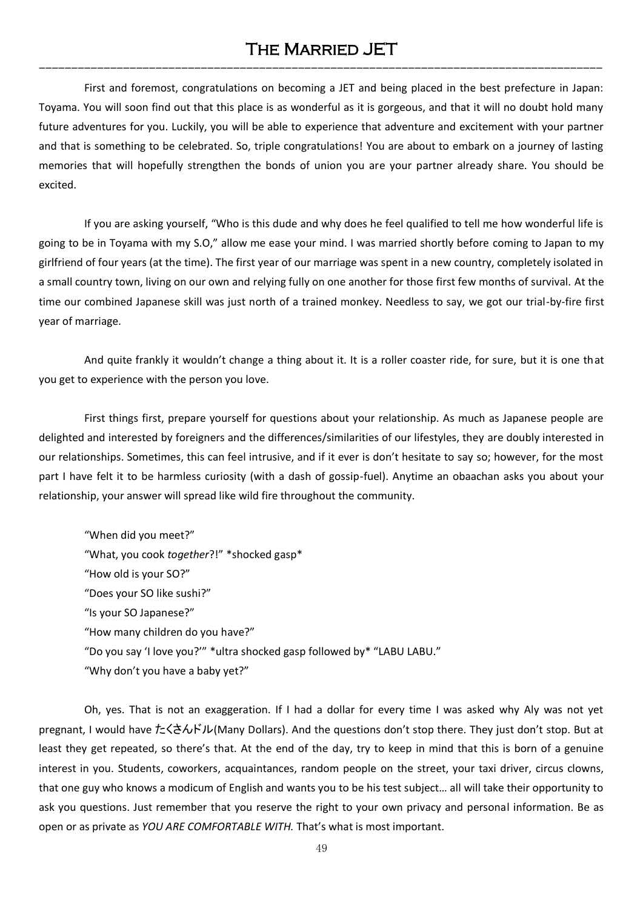# The Married JET ---------------------------------------------------------------------------------------

First and foremost, congratulations on becoming a JET and being placed in the best prefecture in Japan: Toyama. You will soon find out that this place is as wonderful as it is gorgeous, and that it will no doubt hold many future adventures for you. Luckily, you will be able to experience that adventure and excitement with your partner and that is something to be celebrated. So, triple congratulations! You are about to embark on a journey of lasting memories that will hopefully strengthen the bonds of union you are your partner already share. You should be excited.

If you are asking yourself, "Who is this dude and why does he feel qualified to tell me how wonderful life is going to be in Toyama with my S.O," allow me ease your mind. I was married shortly before coming to Japan to my girlfriend of four years (at the time). The first year of our marriage was spent in a new country, completely isolated in a small country town, living on our own and relying fully on one another for those first few months of survival. At the time our combined Japanese skill was just north of a trained monkey. Needless to say, we got our trial-by-fire first year of marriage.

And quite frankly it wouldn't change a thing about it. It is a roller coaster ride, for sure, but it is one that you get to experience with the person you love.

First things first, prepare yourself for questions about your relationship. As much as Japanese people are delighted and interested by foreigners and the differences/similarities of our lifestyles, they are doubly interested in our relationships. Sometimes, this can feel intrusive, and if it ever is don't hesitate to say so; however, for the most part I have felt it to be harmless curiosity (with a dash of gossip-fuel). Anytime an obaachan asks you about your relationship, your answer will spread like wild fire throughout the community.

"When did you meet?" "What, you cook *together*?!" \*shocked gasp\* "How old is your SO?" "Does your SO like sushi?" "Is your SO Japanese?" "How many children do you have?" "Do you say 'I love you?'" \*ultra shocked gasp followed by\* "LABU LABU." "Why don't you have a baby yet?"

Oh, yes. That is not an exaggeration. If I had a dollar for every time I was asked why Aly was not yet pregnant, I would have たくさんドル(Many Dollars). And the questions don't stop there. They just don't stop. But at least they get repeated, so there's that. At the end of the day, try to keep in mind that this is born of a genuine interest in you. Students, coworkers, acquaintances, random people on the street, your taxi driver, circus clowns, that one guy who knows a modicum of English and wants you to be his test subject… all will take their opportunity to ask you questions. Just remember that you reserve the right to your own privacy and personal information. Be as open or as private as *YOU ARE COMFORTABLE WITH.* That's what is most important.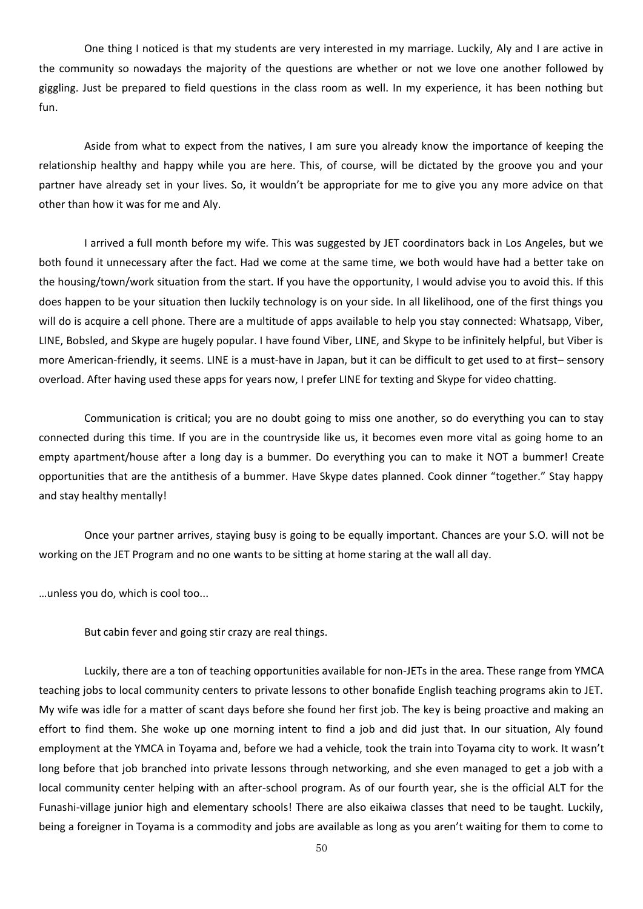One thing I noticed is that my students are very interested in my marriage. Luckily, Aly and I are active in the community so nowadays the majority of the questions are whether or not we love one another followed by giggling. Just be prepared to field questions in the class room as well. In my experience, it has been nothing but fun.

Aside from what to expect from the natives, I am sure you already know the importance of keeping the relationship healthy and happy while you are here. This, of course, will be dictated by the groove you and your partner have already set in your lives. So, it wouldn't be appropriate for me to give you any more advice on that other than how it was for me and Aly.

I arrived a full month before my wife. This was suggested by JET coordinators back in Los Angeles, but we both found it unnecessary after the fact. Had we come at the same time, we both would have had a better take on the housing/town/work situation from the start. If you have the opportunity, I would advise you to avoid this. If this does happen to be your situation then luckily technology is on your side. In all likelihood, one of the first things you will do is acquire a cell phone. There are a multitude of apps available to help you stay connected: Whatsapp, Viber, LINE, Bobsled, and Skype are hugely popular. I have found Viber, LINE, and Skype to be infinitely helpful, but Viber is more American-friendly, it seems. LINE is a must-have in Japan, but it can be difficult to get used to at first– sensory overload. After having used these apps for years now, I prefer LINE for texting and Skype for video chatting.

Communication is critical; you are no doubt going to miss one another, so do everything you can to stay connected during this time. If you are in the countryside like us, it becomes even more vital as going home to an empty apartment/house after a long day is a bummer. Do everything you can to make it NOT a bummer! Create opportunities that are the antithesis of a bummer. Have Skype dates planned. Cook dinner "together." Stay happy and stay healthy mentally!

Once your partner arrives, staying busy is going to be equally important. Chances are your S.O. will not be working on the JET Program and no one wants to be sitting at home staring at the wall all day.

…unless you do, which is cool too...

But cabin fever and going stir crazy are real things.

Luckily, there are a ton of teaching opportunities available for non-JETs in the area. These range from YMCA teaching jobs to local community centers to private lessons to other bonafide English teaching programs akin to JET. My wife was idle for a matter of scant days before she found her first job. The key is being proactive and making an effort to find them. She woke up one morning intent to find a job and did just that. In our situation, Aly found employment at the YMCA in Toyama and, before we had a vehicle, took the train into Toyama city to work. It wasn't long before that job branched into private lessons through networking, and she even managed to get a job with a local community center helping with an after-school program. As of our fourth year, she is the official ALT for the Funashi-village junior high and elementary schools! There are also eikaiwa classes that need to be taught. Luckily, being a foreigner in Toyama is a commodity and jobs are available as long as you aren't waiting for them to come to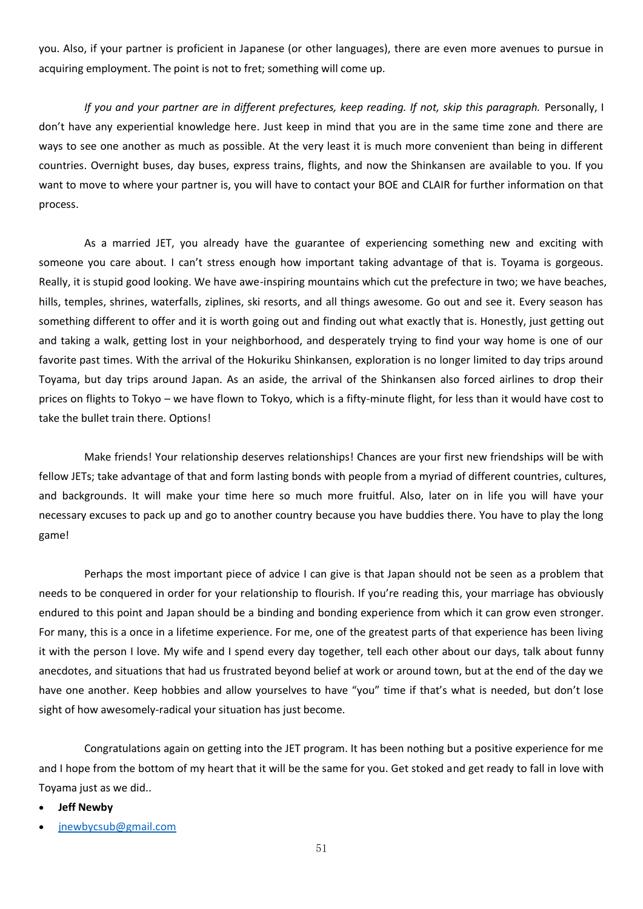you. Also, if your partner is proficient in Japanese (or other languages), there are even more avenues to pursue in acquiring employment. The point is not to fret; something will come up.

*If you and your partner are in different prefectures, keep reading. If not, skip this paragraph.* Personally, I don't have any experiential knowledge here. Just keep in mind that you are in the same time zone and there are ways to see one another as much as possible. At the very least it is much more convenient than being in different countries. Overnight buses, day buses, express trains, flights, and now the Shinkansen are available to you. If you want to move to where your partner is, you will have to contact your BOE and CLAIR for further information on that process.

As a married JET, you already have the guarantee of experiencing something new and exciting with someone you care about. I can't stress enough how important taking advantage of that is. Toyama is gorgeous. Really, it is stupid good looking. We have awe-inspiring mountains which cut the prefecture in two; we have beaches, hills, temples, shrines, waterfalls, ziplines, ski resorts, and all things awesome. Go out and see it. Every season has something different to offer and it is worth going out and finding out what exactly that is. Honestly, just getting out and taking a walk, getting lost in your neighborhood, and desperately trying to find your way home is one of our favorite past times. With the arrival of the Hokuriku Shinkansen, exploration is no longer limited to day trips around Toyama, but day trips around Japan. As an aside, the arrival of the Shinkansen also forced airlines to drop their prices on flights to Tokyo – we have flown to Tokyo, which is a fifty-minute flight, for less than it would have cost to take the bullet train there. Options!

Make friends! Your relationship deserves relationships! Chances are your first new friendships will be with fellow JETs; take advantage of that and form lasting bonds with people from a myriad of different countries, cultures, and backgrounds. It will make your time here so much more fruitful. Also, later on in life you will have your necessary excuses to pack up and go to another country because you have buddies there. You have to play the long game!

Perhaps the most important piece of advice I can give is that Japan should not be seen as a problem that needs to be conquered in order for your relationship to flourish. If you're reading this, your marriage has obviously endured to this point and Japan should be a binding and bonding experience from which it can grow even stronger. For many, this is a once in a lifetime experience. For me, one of the greatest parts of that experience has been living it with the person I love. My wife and I spend every day together, tell each other about our days, talk about funny anecdotes, and situations that had us frustrated beyond belief at work or around town, but at the end of the day we have one another. Keep hobbies and allow yourselves to have "you" time if that's what is needed, but don't lose sight of how awesomely-radical your situation has just become.

Congratulations again on getting into the JET program. It has been nothing but a positive experience for me and I hope from the bottom of my heart that it will be the same for you. Get stoked and get ready to fall in love with Toyama just as we did..

- **Jeff Newby**
- [jnewbycsub@gmail.com](mailto:jnewbycsub@gmail.com)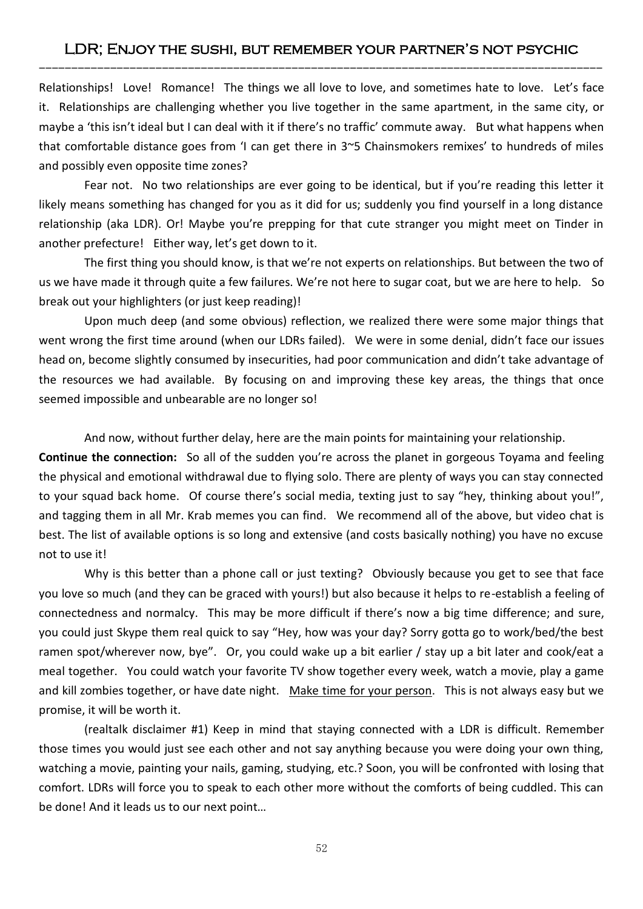# LDR; Enjoy the sushi, but remember your partner's not psychic ---------------------------------------------------------------------------------------

Relationships! Love! Romance! The things we all love to love, and sometimes hate to love. Let's face it. Relationships are challenging whether you live together in the same apartment, in the same city, or maybe a 'this isn't ideal but I can deal with it if there's no traffic' commute away. But what happens when that comfortable distance goes from 'I can get there in 3~5 Chainsmokers remixes' to hundreds of miles and possibly even opposite time zones?

Fear not. No two relationships are ever going to be identical, but if you're reading this letter it likely means something has changed for you as it did for us; suddenly you find yourself in a long distance relationship (aka LDR). Or! Maybe you're prepping for that cute stranger you might meet on Tinder in another prefecture! Either way, let's get down to it.

The first thing you should know, is that we're not experts on relationships. But between the two of us we have made it through quite a few failures. We're not here to sugar coat, but we are here to help. So break out your highlighters (or just keep reading)!

Upon much deep (and some obvious) reflection, we realized there were some major things that went wrong the first time around (when our LDRs failed). We were in some denial, didn't face our issues head on, become slightly consumed by insecurities, had poor communication and didn't take advantage of the resources we had available. By focusing on and improving these key areas, the things that once seemed impossible and unbearable are no longer so!

And now, without further delay, here are the main points for maintaining your relationship.

**Continue the connection:** So all of the sudden you're across the planet in gorgeous Toyama and feeling the physical and emotional withdrawal due to flying solo. There are plenty of ways you can stay connected to your squad back home. Of course there's social media, texting just to say "hey, thinking about you!", and tagging them in all Mr. Krab memes you can find. We recommend all of the above, but video chat is best. The list of available options is so long and extensive (and costs basically nothing) you have no excuse not to use it!

Why is this better than a phone call or just texting? Obviously because you get to see that face you love so much (and they can be graced with yours!) but also because it helps to re-establish a feeling of connectedness and normalcy. This may be more difficult if there's now a big time difference; and sure, you could just Skype them real quick to say "Hey, how was your day? Sorry gotta go to work/bed/the best ramen spot/wherever now, bye". Or, you could wake up a bit earlier / stay up a bit later and cook/eat a meal together. You could watch your favorite TV show together every week, watch a movie, play a game and kill zombies together, or have date night. Make time for your person. This is not always easy but we promise, it will be worth it.

(realtalk disclaimer #1) Keep in mind that staying connected with a LDR is difficult. Remember those times you would just see each other and not say anything because you were doing your own thing, watching a movie, painting your nails, gaming, studying, etc.? Soon, you will be confronted with losing that comfort. LDRs will force you to speak to each other more without the comforts of being cuddled. This can be done! And it leads us to our next point…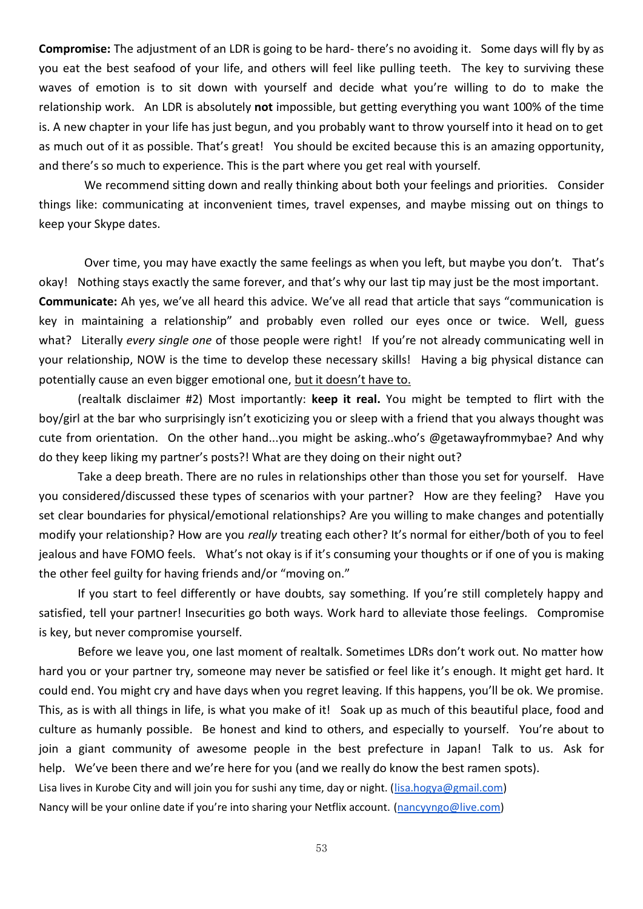**Compromise:** The adjustment of an LDR is going to be hard- there's no avoiding it. Some days will fly by as you eat the best seafood of your life, and others will feel like pulling teeth. The key to surviving these waves of emotion is to sit down with yourself and decide what you're willing to do to make the relationship work. An LDR is absolutely **not** impossible, but getting everything you want 100% of the time is. A new chapter in your life has just begun, and you probably want to throw yourself into it head on to get as much out of it as possible. That's great! You should be excited because this is an amazing opportunity, and there's so much to experience. This is the part where you get real with yourself.

We recommend sitting down and really thinking about both your feelings and priorities. Consider things like: communicating at inconvenient times, travel expenses, and maybe missing out on things to keep your Skype dates.

Over time, you may have exactly the same feelings as when you left, but maybe you don't. That's okay! Nothing stays exactly the same forever, and that's why our last tip may just be the most important. **Communicate:** Ah yes, we've all heard this advice. We've all read that article that says "communication is key in maintaining a relationship" and probably even rolled our eyes once or twice. Well, guess what? Literally *every single one* of those people were right! If you're not already communicating well in your relationship, NOW is the time to develop these necessary skills! Having a big physical distance can potentially cause an even bigger emotional one, but it doesn't have to.

(realtalk disclaimer #2) Most importantly: **keep it real.** You might be tempted to flirt with the boy/girl at the bar who surprisingly isn't exoticizing you or sleep with a friend that you always thought was cute from orientation. On the other hand...you might be asking..who's @getawayfrommybae? And why do they keep liking my partner's posts?! What are they doing on their night out?

Take a deep breath. There are no rules in relationships other than those you set for yourself. Have you considered/discussed these types of scenarios with your partner? How are they feeling? Have you set clear boundaries for physical/emotional relationships? Are you willing to make changes and potentially modify your relationship? How are you *really* treating each other? It's normal for either/both of you to feel jealous and have FOMO feels. What's not okay is if it's consuming your thoughts or if one of you is making the other feel guilty for having friends and/or "moving on."

If you start to feel differently or have doubts, say something. If you're still completely happy and satisfied, tell your partner! Insecurities go both ways. Work hard to alleviate those feelings. Compromise is key, but never compromise yourself.

Before we leave you, one last moment of realtalk. Sometimes LDRs don't work out. No matter how hard you or your partner try, someone may never be satisfied or feel like it's enough. It might get hard. It could end. You might cry and have days when you regret leaving. If this happens, you'll be ok. We promise. This, as is with all things in life, is what you make of it! Soak up as much of this beautiful place, food and culture as humanly possible. Be honest and kind to others, and especially to yourself. You're about to join a giant community of awesome people in the best prefecture in Japan! Talk to us. Ask for help. We've been there and we're here for you (and we really do know the best ramen spots). Lisa lives in Kurobe City and will join you for sushi any time, day or night. [\(lisa.hogya@gmail.com\)](mailto:lisa.hogya@gmail.com) Nancy will be your online date if you're into sharing your Netflix account. [\(nancyyngo@live.com\)](mailto:nancyyngo@live.com)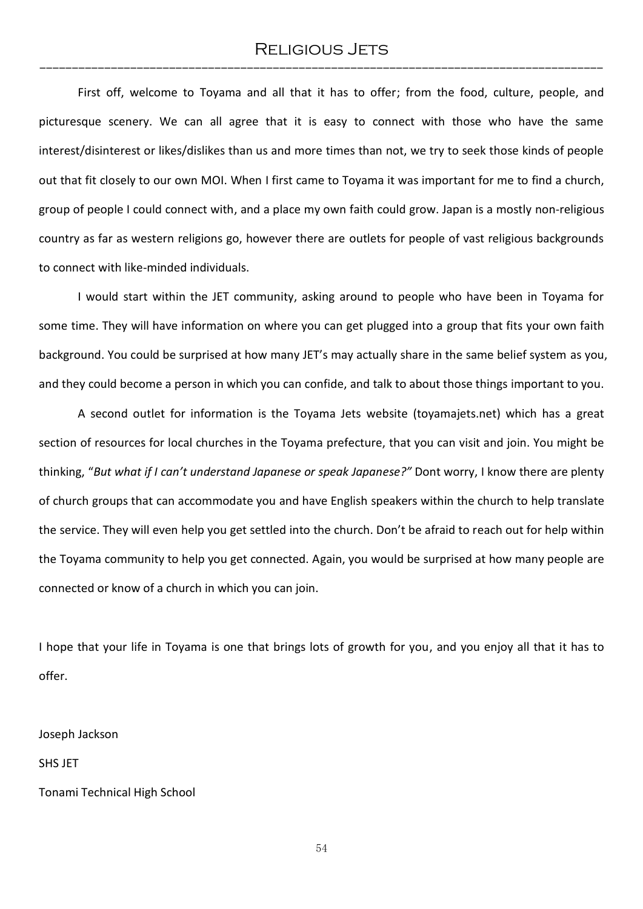# RELIGIOUS JETS ---------------------------------------------------------------------------------------

First off, welcome to Toyama and all that it has to offer; from the food, culture, people, and picturesque scenery. We can all agree that it is easy to connect with those who have the same interest/disinterest or likes/dislikes than us and more times than not, we try to seek those kinds of people out that fit closely to our own MOI. When I first came to Toyama it was important for me to find a church, group of people I could connect with, and a place my own faith could grow. Japan is a mostly non-religious country as far as western religions go, however there are outlets for people of vast religious backgrounds to connect with like-minded individuals.

I would start within the JET community, asking around to people who have been in Toyama for some time. They will have information on where you can get plugged into a group that fits your own faith background. You could be surprised at how many JET's may actually share in the same belief system as you, and they could become a person in which you can confide, and talk to about those things important to you.

A second outlet for information is the Toyama Jets website (toyamajets.net) which has a great section of resources for local churches in the Toyama prefecture, that you can visit and join. You might be thinking, "*But what if I can't understand Japanese or speak Japanese?"* Dont worry, I know there are plenty of church groups that can accommodate you and have English speakers within the church to help translate the service. They will even help you get settled into the church. Don't be afraid to reach out for help within the Toyama community to help you get connected. Again, you would be surprised at how many people are connected or know of a church in which you can join.

I hope that your life in Toyama is one that brings lots of growth for you, and you enjoy all that it has to offer.

Joseph Jackson

SHS JET

Tonami Technical High School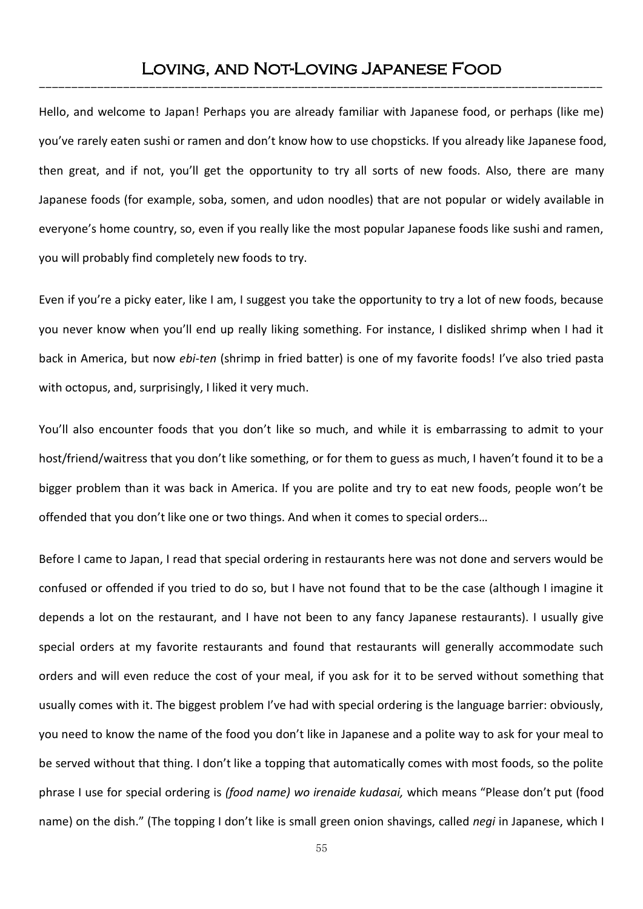# Loving, and Not-Loving Japanese Food ---------------------------------------------------------------------------------------

Hello, and welcome to Japan! Perhaps you are already familiar with Japanese food, or perhaps (like me) you've rarely eaten sushi or ramen and don't know how to use chopsticks. If you already like Japanese food, then great, and if not, you'll get the opportunity to try all sorts of new foods. Also, there are many Japanese foods (for example, soba, somen, and udon noodles) that are not popular or widely available in everyone's home country, so, even if you really like the most popular Japanese foods like sushi and ramen, you will probably find completely new foods to try.

Even if you're a picky eater, like I am, I suggest you take the opportunity to try a lot of new foods, because you never know when you'll end up really liking something. For instance, I disliked shrimp when I had it back in America, but now *ebi-ten* (shrimp in fried batter) is one of my favorite foods! I've also tried pasta with octopus, and, surprisingly, I liked it very much.

You'll also encounter foods that you don't like so much, and while it is embarrassing to admit to your host/friend/waitress that you don't like something, or for them to guess as much, I haven't found it to be a bigger problem than it was back in America. If you are polite and try to eat new foods, people won't be offended that you don't like one or two things. And when it comes to special orders…

Before I came to Japan, I read that special ordering in restaurants here was not done and servers would be confused or offended if you tried to do so, but I have not found that to be the case (although I imagine it depends a lot on the restaurant, and I have not been to any fancy Japanese restaurants). I usually give special orders at my favorite restaurants and found that restaurants will generally accommodate such orders and will even reduce the cost of your meal, if you ask for it to be served without something that usually comes with it. The biggest problem I've had with special ordering is the language barrier: obviously, you need to know the name of the food you don't like in Japanese and a polite way to ask for your meal to be served without that thing. I don't like a topping that automatically comes with most foods, so the polite phrase I use for special ordering is *(food name) wo irenaide kudasai,* which means "Please don't put (food name) on the dish." (The topping I don't like is small green onion shavings, called *negi* in Japanese, which I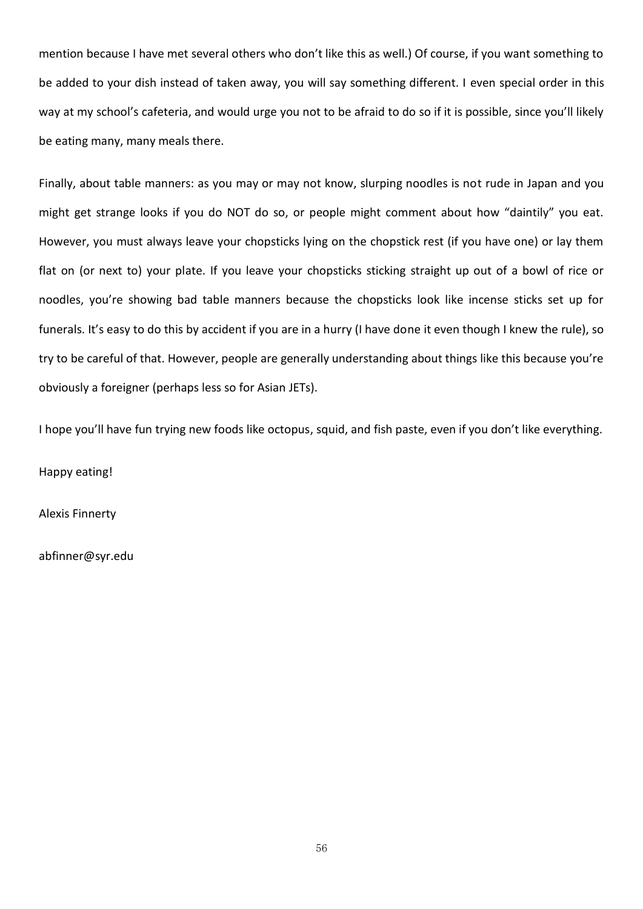mention because I have met several others who don't like this as well.) Of course, if you want something to be added to your dish instead of taken away, you will say something different. I even special order in this way at my school's cafeteria, and would urge you not to be afraid to do so if it is possible, since you'll likely be eating many, many meals there.

Finally, about table manners: as you may or may not know, slurping noodles is not rude in Japan and you might get strange looks if you do NOT do so, or people might comment about how "daintily" you eat. However, you must always leave your chopsticks lying on the chopstick rest (if you have one) or lay them flat on (or next to) your plate. If you leave your chopsticks sticking straight up out of a bowl of rice or noodles, you're showing bad table manners because the chopsticks look like incense sticks set up for funerals. It's easy to do this by accident if you are in a hurry (I have done it even though I knew the rule), so try to be careful of that. However, people are generally understanding about things like this because you're obviously a foreigner (perhaps less so for Asian JETs).

I hope you'll have fun trying new foods like octopus, squid, and fish paste, even if you don't like everything.

Happy eating!

Alexis Finnerty

abfinner@syr.edu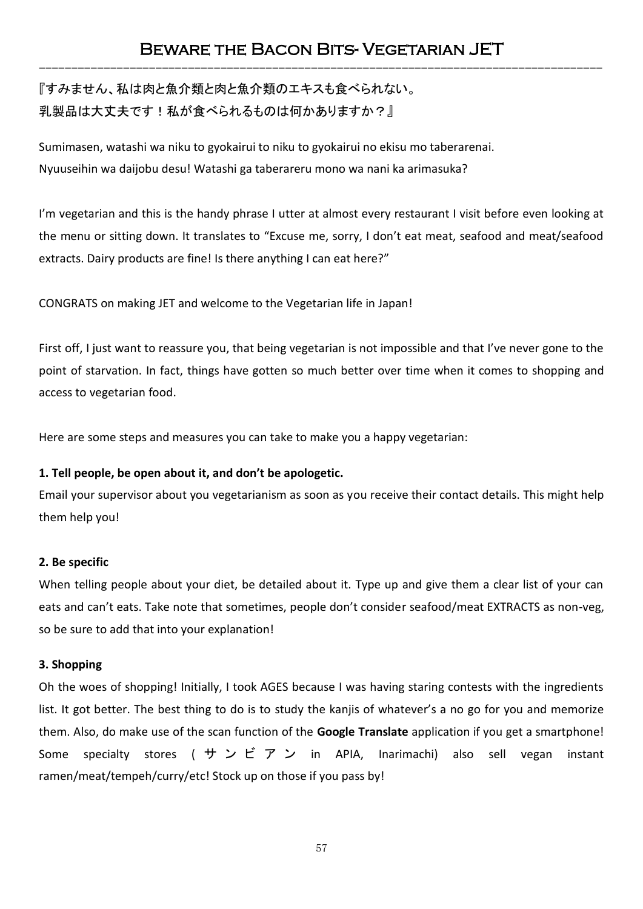# Beware the Bacon Bits- Vegetarian JET ---------------------------------------------------------------------------------------

『すみません、私は肉と魚介類と肉と魚介類のエキスも食べられない。 乳製品は大丈夫です!私が食べられるものは何かありますか?』

Sumimasen, watashi wa niku to gyokairui to niku to gyokairui no ekisu mo taberarenai. Nyuuseihin wa daijobu desu! Watashi ga taberareru mono wa nani ka arimasuka?

I'm vegetarian and this is the handy phrase I utter at almost every restaurant I visit before even looking at the menu or sitting down. It translates to "Excuse me, sorry, I don't eat meat, seafood and meat/seafood extracts. Dairy products are fine! Is there anything I can eat here?"

CONGRATS on making JET and welcome to the Vegetarian life in Japan!

First off, I just want to reassure you, that being vegetarian is not impossible and that I've never gone to the point of starvation. In fact, things have gotten so much better over time when it comes to shopping and access to vegetarian food.

Here are some steps and measures you can take to make you a happy vegetarian:

### **1. Tell people, be open about it, and don't be apologetic.**

Email your supervisor about you vegetarianism as soon as you receive their contact details. This might help them help you!

### **2. Be specific**

When telling people about your diet, be detailed about it. Type up and give them a clear list of your can eats and can't eats. Take note that sometimes, people don't consider seafood/meat EXTRACTS as non-veg, so be sure to add that into your explanation!

### **3. Shopping**

Oh the woes of shopping! Initially, I took AGES because I was having staring contests with the ingredients list. It got better. The best thing to do is to study the kanjis of whatever's a no go for you and memorize them. Also, do make use of the scan function of the **Google Translate** application if you get a smartphone! Some specialty stores (サンビアン in APIA, Inarimachi) also sell vegan instant ramen/meat/tempeh/curry/etc! Stock up on those if you pass by!